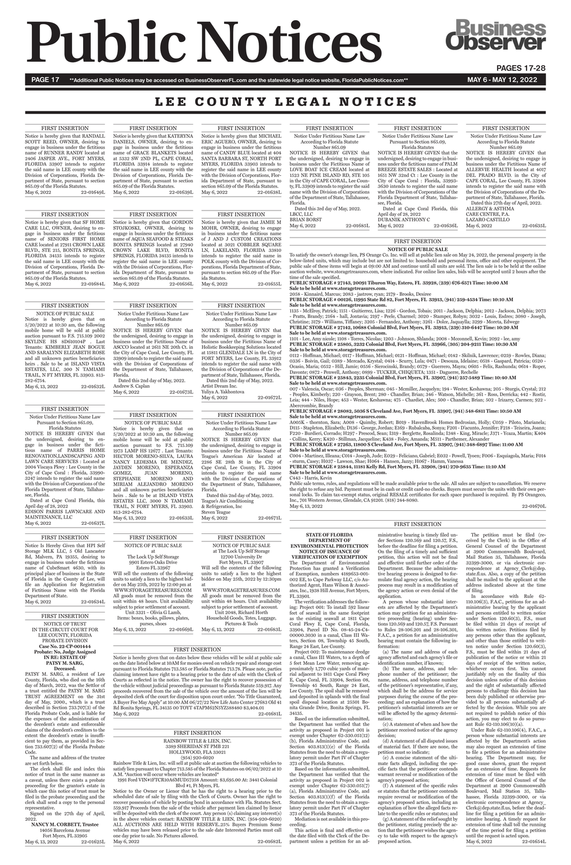# **Public Notices**

**Business<br>Jbserver** 

PAGES 17-28

PAGE 17 \*\*Additional Public Notices may be accessed on BusinessObserverFL.com and the statewide legal notice website, FloridaPublicNotices.com\*\* MAY 6 - MAY 6 - MAY 12, 2022

# LEE COUNTY LEGAL NOTICES

# FIRST INSERTION

NOTICE OF TRUST

# IN THE CIRCUIT COURT FOR LEE COUNTY, FLORIDA PROBATE DIVISION **Case No. 22-CP-001444 Probate: No, Judge Assigned IN RE: ESTATE OF PATSY M. SARG, Deceased.**

**NANCY M. CORBETT, Trustee** 14056 Barcelona Avenue Fort Myers, FL 33905 May 6, 13, 2022 22-01625L May 6, 13, 2022 22-01669L

May 6, 13, 2022

PATSY M. SARG, a resident of Lee County, Florida, who died on the 16th day of March, 2022, was the Settlor of a trust entitled the PATSY M. SARG TRUST AGREEMENT on the 31st day of May, 2000., which is a trust described in Section 733.707(3) of the Florida Probate Code, and is liable for the expenses of the administration of the decedent's estate and enforceable claims of the decedent's creditors to the extent the decedent's estate is insufficient to pay them, as provided in Section 733.607(2) of the Florida Probate Code.

The name and address of the trustee are set forth below.

The clerk shall file and index this notice of trust in the same manner as a caveat, unless there exists a probate proceeding for the grantor's estate in which case this notice of trust must be filed in the probate proceeding and the clerk shall send a copy to the personal representative.

TRAIL, N FORT MYERS, FL 33903. 813-282-6754. May 6, 13, 2022 22-01633L

Notice Is Hereby Given that HPI Self Storage MLK LLC, 5 Old Lancaster Rd, Malvern, PA 19355, desiring to engage in business under the fictitious name of CubeSmart 4630, with its principal place of business in the State of Florida in the County of Lee, will file an Application for Registration of Fictitious Name with the Florida Department of State.<br>May 6, 2022 22-01634L

Signed on the 27th day of April, 2022.

FIRST INSERTION NOTICE OF PUBLIC SALE Notice is hereby given that on 5/20/2022 at 10:30 am, the following mobile home will be sold at public auction pursuant to F.S. 715.109 2002 SKYLINE HS 8D610104P . Last Tenants: KIMBERLY JEAN BOGUE AND SARALYNN ELIZABETH ROSE and all unknown parties beneficiaries heirs . Sale to be at ISLAND VISTA ESTATES, LLC, 300 N TAMIAMI TRAIL, N FT MYERS, FL 33903. 813-

May 6, 13, 2022 22-01632L

NOTICE IS HEREBY GIVEN that the undersigned, desiring to engage in business under the fictitious name of PALM BREEZE ESTATE SALES : Located at 1651 NW 32nd Ct : Lee County in the City of Cape Coral : Florida, 33993- 3630 intends to register the said name with the Division of Corporations of the Florida Department of State, Tallahassee, Florida. Dated at Cape Coral Florida, this April day of 28, 2022 DUBANIK ANTHONY C May 6, 2022 22-01636L

282-6754.

# FIRST INSERTION NOTICE OF PUBLIC SALE Notice is hereby given that on 5/20/2022 at 10:30 am, the following mobile home will be sold at public auction pursuant to F.S. 715.109 1973 LAMP HS 12677 . Last Tenants: HECTOR MORENO-SILVA, LAURA NANCY LEDESMA DE MENDEZ, JAYDEN MORENO, ESPERANZA GOMEZ, JUAN MORENO. GOMEZ, JUAN MORENO,<br>STEPHANIE MORENO AND STEPHANIE MIRIAM ALEJANDRO MORENO and all unknown parties beneficiaries

Dated at Cape Coral Florida, this April day of 28, 2022 EDISON PARRIS LAWNCARE AND MAINTENANCE, LLC May 6, 2022 22-01637L

FIRST INSERTION Notice is hereby given that MICHAEL ERIC AGUERO, OWNER, desiring to engage in business under the fictitious name of CANDY BLUE located at 404 SANTA BARBARA ST, NORTH FORT MYERS, FLORIDA 33903 intends to register the said name in LEE county with the Division of Corporations, Florida Department of State, pursuant to section 865.09 of the Florida Statutes. May 6, 2022 22-01638L

heirs . Sale to be at ISLAND VISTA ESTATES LLC, 3000 N TAMIAMI

FIRST INSERTION

Notice is hereby given that KATERYNA DANIELS, OWNER, desiring to engage in business under the fictitious name of GRACE BLANKETS located at 5332 SW 2ND PL, CAPE CORAL, FLORIDA 33914 intends to register the said name in LEE county with the Division of Corporations, Florida Department of State, pursuant to section  $\frac{665.09}{\text{Mav}}$  6. 2022 22 22-01639L

Notice is hereby given that RANDALL SCOTT REED, OWNER, desiring to engage in business under the fictitious name of RUNNER RANDY located at 2406 JASPER AVE., FORT MYERS, FLORIDA 33907 intends to register the said name in LEE county with the Division of Corporations, Florida Department of State, pursuant to section  $865.09$  of the Florida Statutes.<br>May  $6.2022$   $22$ 22-01649L

# FIRST INSERTION Notice Under Fictitious Name Law According to Florida Statute

Number 865.09 NOTICE IS HEREBY GIVEN that the undersigned, desiring to engage in business under the Fictitious Name of ALLERVIE HEALTH located at 4017 DEL PRADO BLVD. in the City of CAPE CORAL, Lee County, FL 33904 intends to register the said name with the Division of Corporations of the Department of State, Tallahassee, Florida. Dated this 27th day of April, 2022.

CARE CENTRE, P.A. LAZARO CASTILLO

ALLERGY & ASTHMA May 6, 2022 22-01635L

# FIRST INSERTION Notice Under Fictitious Name Law Pursuant to Section 865.09, Florida Statutes

der Sections 120.569 and 120.57, F.S., before the deadline for filing a petition. On the filing of a timely and sufficient petition, this action will not be final and effective until further order of the Department. Because the administrative hearing process is designed to formulate final agency action, the hearing process may result in a modification of the agency action or even denial of the application.

FIRST INSERTION Notice Under Fictitious Name Law Pursuant to Section 865.09, Florida Statutes NOTICE IS HEREBY GIVEN that the undersigned, desiring to engage in business under the fictitious name of PARRIS HOME RENOVATION,LANDSCAPING AND LAWN CARE SERVICES : Located at 2004 Viscaya Pkwy : Lee County in the City of Cape Coral : Florida, 33990- 3247 intends to register the said name with the Division of Corporations of the Florida Department of State, Tallahas-

see, Florida.

# FIRST INSERTION

FIRST INSERTION

# **STATE OF FLORIDA DEPARTMENT OF ENVIRONMENTAL PROTECTION NOTICE OF ISSUANCE OF**

**VERIFICATION OF EXEMPTION** The Department of Environmental Protection has granted a Verification of Exemption, numbers 4189653-001- 002 EE, to Cape Parkway LLC, c/o Authorized Agent, Hans Wilson & Associates, Inc., 1938 Hill Avenue, Fort Myers, FL 33901.

FIRST INSERTION Notice is hereby given that GORDON STOJKOSKI, OWNER, desiring to engage in business under the fictitious name of AQUA SEAFOOD & STEAKS BONITA SPRINGS located at 27940 CROWN LAKE BLVD, BONITA SPRINGS, FLORIDA 34135 intends to register the said name in LEE county with the Division of Corporations, Florida Department of State, pursuant to section 865.09 of the Florida Statutes. May 6, 2022 22-01656L

> The verification addresses the following: Project 001: To install 592 linear feet of seawall in the same footprint as the existing seawall at 1811 Cape Coral Pkwy E, Cape Coral, Florida,

33904, Parcel ID No. 08-45-24-C4- 00000.3030 in a canal, Class III Waters, Section 08, Township 45 South, Range 24 East, Lee County.

Project 002: To maintenance dredge a canal, Class III Waters, to a depth of 5 feet Mean Low Water, removing approximately 1,770 cubic yards of material adjacent to 1811 Cape Coral Pkwy E, Cape Coral, FL 33904, Section 08, Township 45 South, Range 24 East, Lee County. The spoil shall be removed and deposited in uplands with the final spoil disposal location at 25501 Bonita Grande Drive, Bonita Springs, FL 34135.

Based on the information submitted, the Department has verified that the activity as proposed in Project 001 is exempt under Chapter 62-330.051(12) (b), Florida Administrative Code, and Section 403.813(1)(e) of the Florida Statutes from the need to obtain a regulatory permit under Part IV of Chapter 373 of the Florida Statutes.

**PUBLIC STORAGE # 27142, 10688 Colonial Blvd, Fort Myers, FL 33913, (239) 310-6447 Time: 10:20 AM Sale to be held at www.storagetreasures.com.**<br>1101 - Lee, Amy nicole; 1108 - Torres, Nicolas; 1203 - Johnson, Shlanda; 2008 - Mcconnell, Kevin; 2092 - lee, amy

Based on the information submitted, the Department has verified that the activity as proposed in Project 002 is exempt under Chapter 62-330.051(7) (a), Florida Administrative Code, and Section 403.813(1)(f) of the Florida Statutes from the need to obtain a regulatory permit under Part IV of Chapter 373 of the Florida Statutes.

Mediation is not available in this proceeding.

This action is final and effective on the date filed with the Clerk of the Department unless a petition for an administrative hearing is timely filed un-

**PUBLIC STORAGE # 27263, 11800 S Cleveland Ave, Fort Myers, FL 33907, (941) 348-6897 Time: 11:00 AM Sale to be held at www.storagetreasures.com.**<br>C004 - Martinez, Illeana; C014 - Joseph, Jude; E029 - Feliciano, Gabriel; E032 - Powell, Tyoen; F006 - Esquiagola, Maria; F014

> A person whose substantial interests are affected by the Department's action may petition for an administrative proceeding (hearing) under Sections 120.569 and 120.57, F.S. Pursuant

> to Rules 28-106.201 and 28-106.301, F.A.C., a petition for an administrative hearing must contain the following information:

(a) The name and address of each agency affected and each agency's file or identification number, if known;

(b) The name, address, and telephone number of the petitioner; the name, address, and telephone number of the petitioner's representative, if any, which shall be the address for service purposes during the course of the proceeding; and an explanation of how the petitioner's substantial interests are or will be affected by the agency determination;

(c) A statement of when and how the petitioner received notice of the agency decision;

(d) A statement of all disputed issues of material fact. If there are none, the petition must so indicate;

(e) A concise statement of the ultimate facts alleged, including the specific facts that the petitioner contends warrant reversal or modification of the agency's proposed action;

(f) A statement of the specific rules or statutes that the petitioner contends require reversal or modification of the agency's proposed action, including an explanation of how the alleged facts relate to the specific rules or statutes; and

Notice is hereby given that on dates below these vehicles will be sold at public sale on the date listed below at 10AM for monies owed on vehicle repair and storage cost pursuant to Florida Statutes 713.585 or Florida Statutes 713.78. Please note, parties claiming interest have right to a hearing prior to the date of sale with the Clerk of Courts as reflected in the notice. The owner has the right to recover possession of the vehicle without judicial proceedings as pursuant to Florida Statute 559.917. Any proceeds recovered from the sale of the vehicle over the amount of the lien will be deposited clerk of the court for disposition upon court order. "No Title Guaranteed, A Buyer Fee May Apply" at 10:00 AM 06/27/22 New Life Auto Center 27683 Old 41 Rd Bonita Springs, FL 34135 00 TOYT 4TAPM62N5YZ588480 \$3,404.01 May 6, 2022

(g) A statement of the relief sought by the petitioner, stating precisely the ac-tion that the petitioner wishes the agency to take with respect to the agency's proposed action.

The petition must be filed (received by the Clerk) in the Office of General Counsel of the Department at 3900 Commonwealth Boulevard, Mail Station 35, Tallahassee, Florida 32399-3000, or via electronic correspondence at Agency\_Clerk@dep. state.fl.us. Also, a copy of the petition shall be mailed to the applicant at the address indicated above at the time of filing.

Notice to the Owner or Lienor that he has the right to a hearing prior to the scheduled date of sale by filing with the Clerk of Courts. Owner has the right to recover possession of vehicle by posting bond in accordance with Fla. Statutes Sect. 559.917 Proceeds from the sale of the vehicle after payment lien claimed by lienor will be deposited with the clerk of the court. Any person (s) claiming any interest(s) in the above vehicles contact: RAINBOW TITLE & LIEN, INC. (954-920-6020) ALL AUCTIONS ARE HELD WITH RESERVE..25% Buyers Premium Some vehicles may have been released prior to the sale date Interested Parties must call one day prior to sale. No Pictures allowed. May 6, 2022 22-01682L

In accordance with Rule 62- 110.106(3), F.A.C., petitions for an administrative hearing by the applicant and persons entitled to written notice under Section 120.60(3), F.S., must be filed within 21 days of receipt of

this written notice. Petitions filed by any persons other than the applicant, and other than those entitled to written notice under Section 120.60(3), F.S., must be filed within 21 days of publication of the notice or within 21 days of receipt of the written notice, whichever occurs first. You cannot justifiably rely on the finality of this decision unless notice of this decision and the right of substantially affected persons to challenge this decision has been duly published or otherwise provided to all persons substantially affected by the decision. While you are not required to publish notice of this action, you may elect to do so pursuant Rule 62-110.106(10)(a).

Under Rule 62-110.106(4), F.A.C., a person whose substantial interests are affected by the Department's action may also request an extension of time to file a petition for an administrative hearing. The Department may, for good cause shown, grant the request for an extension of time. Requests for extension of time must be filed with the Office of General Counsel of the Department at 3900 Commonwealth Boulevard, Mail Station 35, Tallahassee, Florida 32399-3000, or via electronic correspondence at Agency\_ Clerk@dep.state.fl.us, before the deadline for filing a petition for an administrative hearing. A timely request for extension of time shall toll the running of the time period for filing a petition until the request is acted upon. May 6, 2022 22-01654L

FIRST INSERTION Notice is hereby given that JAMIE M MOHR, OWNER, desiring to engage in business under the fictitious name of J AND J CUSTOM CREATIONS located at 3021 COBBLER SQUARE LN, LAKELAND, FLORIDA 33810 intends to register the said name in

# FIRST INSERTION NOTICE OF PUBLIC SALE

## at The Lock Up Self Storage 9901 Estero Oaks Drive

Estero FL 33967 Will sell the contents of the following units to satisfy a lien to the highest bidder on May 25th, 2022 by 12:00 pm at WWW.STORAGETREASURES.COM All goods must be removed from the unit within 48 hours. Unit availability subject to prior settlement of account. Unit 3321 – Olivia G Lamb,

Items: boxes, books, pillows, plates, purses, shoes

# FIRST INSERTION **NOTICE OF PUBLIC SALE**

To satisfy the owner's storage lien, PS Orange Co. Inc. will sell at public lien sale on May 24, 2022, the personal property in the below-listed units, which may include but are not limited to: household and personal items, office and other equipment. The public sale of these items will begin at 09:00 AM and continue until all units are sold. The lien sale is to be held at the online auction website, www.storagetreasures.com, where indicated. For online lien sales, bids will be accepted until 2 hours after the time of the sale specified.

**PUBLIC STORAGE # 27143, 20091 Tiburon Way, Estero, FL 33928, (239) 676-6571 Time: 10:00 AM Sale to be held at www.storagetreasures.com.**

2058 - Kinnaird, Marcus; 2083 - jastrow, ryan; 2179 - Brooks, Desiree **PUBLIC STORAGE # 00126, 11995 State Rd 82, Fort Myers, FL 33913, (941) 259-4534 Time: 10:10 AM**

**Sale to be held at www.storagetreasures.com.** 1135 - McElroy, Patrick; 1151 - Guitierrez, Lisa; 1226 - Gordon, Tobais; 2011 - Jackson, Delphia; 2012 - Jackson, Delphia; 2073 - Pratts, Brandy; 2164 - hall, Jontavia; 2197 - Peele, Charmel; 3020 - Stamper, Robyn; 3032 - Louis, Esdres; 3080 - Joseph, Christine; 3179 - Williams, Tiffaney; 3205 - Fernandez, Anthony; 3261 - Dolce, Jaquaylla; 3299 - Moreta, Edwege

**PUBLIC STORAGE # 25805, 3232 Colonial Blvd, Fort Myers, FL 33966, (305) 204-9211 Time: 10:30 AM**

POLK county with the Division of Corporations, Florida Department of State, pursuant to section 865.09 of the Florida Statutes. May 6, 2022 22-01655L FIRST INSERTION

> **Sale to be held at www.storagetreasures.com.** 0112 - Hoffman, Michael; 0117 - Hoffman, Michael; 0121 - Hoffman, Michael; 0142 - Skilnik, Lawrence; 0259 - Rowles, Diana; 0336 - Boivin, Gail; 0389 - Mercado, Krystal; 0414 - Scurry, Lula; 0471 - Desouza, Idelaine; 0518 - Gaspard, Patricia; 0520 - Ocasio, Maria; 0552 - Hill, Jamie; 0556 - Sierocinski, Brandy; 0579 - Guerrero, Mayra; 0605 - Felix, Rashunda; 0614 - Roper, Davonte; 0872 - Penwell, Anthony; 0899 - TUCKER, CHIQUETA; 1351 - Daguerre, Rechelle

> **PUBLIC STORAGE # 25843, 2235 Colonial Blvd, Fort Myers, FL 33907, (941) 257-5489 Time: 10:40 AM Sale to be held at www.storagetreasures.com.** 007 - Valencia, Oscar; 036 - Peoples, Sherman; 045 - Mcmiller, Jacquelyn; 194 - Wester, Keshawna; 205 - Sturgis, Crystal; 212

> - Peoples, Kimberly; 220 - Grayson, Brent; 280 - Chandler, Brian; 346 - Watson, Michelle; 361 - Ross, Derricka; 442 - Rostir, Leia; 444 - Niles, Hope; 453 - Wester, Keshawna; 475 - Chardiet, Alex; 500 - Chandler, Brian; 502 - Irizarry, Carmen; 922 - Abercrombie, Brandy

# **PUBLIC STORAGE # 28082, 5036 S Cleveland Ave, Fort Myers, FL 33907, (941) 548-6811 Time: 10:50 AM**

**Sale to be held at www.storagetreasures.com.** A005K - thornton, Sara; A008 - Quimby, Robert; B019 - HavenBrook Homes Bedrosian, Holly; C059 - Piloto, Marianela; D115 - Stapleton, Elizabeth; D136 - George, Jordan; E169 - Rubalcaba, Sonya; F201 - D'acunto, Jennifer; F218 - Teixeira, Joann; F220 - Burdieri, Corrado; H297 - Prescod, Sean; I319 - Berglette, Rosalinda; I348 - King, Miracle; J371 - Ycaza, Martin; K404 - Collins, Kerry; K420 - Stillman, Jacqueline; K438 - Foley, Amanda; M511 - Parthemer, Alexander

- sturm, Casey; H037 - Lawson, Shae; H064 - Hansen, Jazzy; H067 - Hamm, Vanessa

# **PUBLIC STORAGE # 25844, 11181 Kelly Rd, Fort Myers, FL 33908, (941) 270-9635 Time: 11:10 AM Sale to be held at www.storagetreasures.com.**

# C443 - Harris, Kevin

Public sale terms, rules, and regulations will be made available prior to the sale. All sales are subject to cancellation. We reserve the right to refuse any bid. Payment must be in cash or credit card-no checks. Buyers must secure the units with their own personal locks. To claim tax-exempt status, original RESALE certificates for each space purchased is required. By PS Orangeco, Inc., 701 Western Avenue, Glendale, CA 91201. (818) 244-8080. May 6, 13, 2022 22-01670L

FIRST INSERTION

FIRST INSERTION

Notice Under Fictitious Name Law According to Florida Statute Number 865.09

NOTICE IS HEREBY GIVEN that the undersigned, desiring to engage in business under the Fictitious Name of Teague's American Air located at 2286 SE 28th St in the City of Cape Coral, Lee County, FL 33904 intends to register the said name with the Division of Corporations of the Department of State, Tallahassee, Florida.

Dated this 2nd day of May, 2022. Teague's Air Conditioning & Refrigeration, Inc Steven Teague

Notice Under Fictitious Name Law According to Florida Statute Number 865.09

NOTICE IS HEREBY GIVEN that the undersigned, desiring to engage in business under the Fictitious Name of Holistic Bookkeeping Solutions located at 15811 GLENDALE LN in the City of FORT MYERS, Lee County, FL 33912 intends to register the said name with the Division of Corporations of the Department of State, Tallahassee, Florida. Dated this 2nd day of May, 2022. Artist Dream Inc.

| Yuliya A. Yakhontova |           |
|----------------------|-----------|
| May 6, 2022          | 22-01672L |
|                      |           |

FIRST INSERTION Notice Under Fictitious Name Law According to Florida Statute Number 865.09 NOTICE IS HEREBY GIVEN that the undersigned, desiring to engage in business under the Fictitious Name of ASCCO located at 2611 NE 20th Ct. in the City of Cape Coral, Lee County, FL 33909 intends to register the said name with the Division of Corporations of the Department of State, Tallahassee,

Dated this 2nd day of May, 2022.

May 6, 2022 22-01673L

Florida.

Andrew S. Caplan

# FIRST INSERTION

# FIRST INSERTION RAINBOW TITLE & LIEN, INC. 3389 SHERIDAN ST PMB 221 HOLLYWOOD, FLA 33021 (954) 920-6020

Rainbow Title & Lien, Inc. will sell at public sale at auction the following vehicles to satisfy lien pursuant to Chapter 713.585 of the Florida Statutes on 06/02/2022 at 10 A.M. \*Auction will occur where vehicles are located\*

1991 Ford VIN#1FTCR10A6MUD57358 Amount: \$3,695.00 At: 3441 Colonial Blvd #1, Ft Myers, FL

# FIRST INSERTION

NOTICE OF PUBLIC SALE

May 6, 2022 22-01671L

# at The Lock Up Self Storage

12700 University Dr Fort Myers, FL 33907 Will sell the contents of the following

units to satisfy a lien to the highest bidder on May 25th, 2022 by 12:30pm at

WWW.STORAGETREASURES.COM All goods must be removed from the unit within 48 hours. Unit availability subject to prior settlement of account.

Unit 2048, Richard Horth

Household Goods, Totes, Luggage,

Pictures & Tools<br>2022 22-01683L

FIRST INSERTION Notice is hereby given that SF HOME CARE LLC, OWNER, desiring to engage in business under the fictitious name of SENIORS FIRST HOME CARE located at 27911 CROWN LAKE BLVD., STE 215, BONITA SPRINGS, FLORIDA 34135 intends to register the said name in LEE county with the Division of Corporations, Florida Department of State, pursuant to section 865.09 of the Florida Statutes. May 6, 2022 22-01684L

FIRST INSERTION Notice Under Fictitious Name Law According to Florida Statute Number 865.09

NOTICE IS HEREBY GIVEN that the undersigned, desiring to engage in business under the Fictitious Name of LOVE BOAT ICE CREAM located at 1523 NE PINE ISLAND RD, STE 105 in the City of CAPE CORAL, Lee County, FL 33909 intends to register the said name with the Division of Corporations of the Department of State, Tallahassee, Florida.

| Dated this 3rd day of May, 2022. |           |
|----------------------------------|-----------|
| LBCC, LLC                        |           |
| <b>BRIAN BORST</b>               |           |
| May 6, 2022                      | 22-01685L |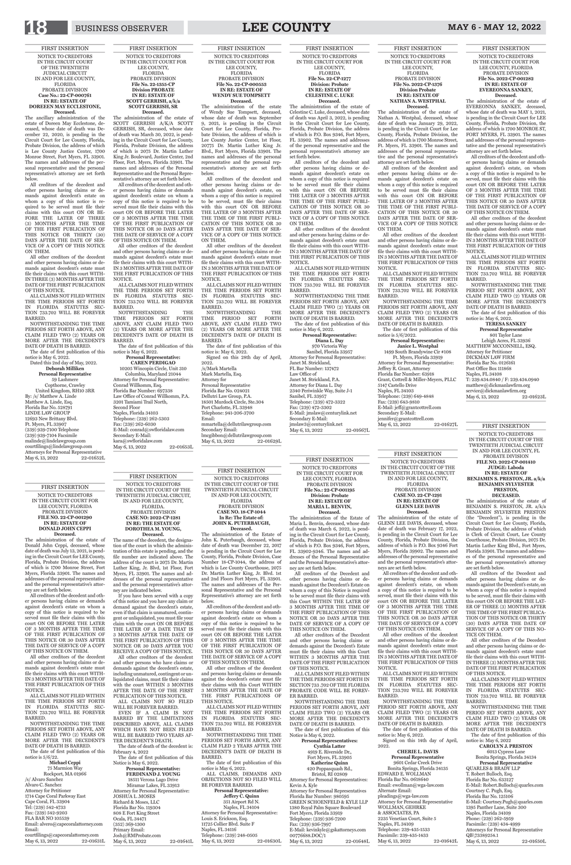# FIRST INSERTION NOTICE TO CREDITORS IN THE CIRCUIT COURT FOR LEE COUNTY, FLORIDA PROBATE DIVISION **File No. 2022-CP-001282 IN RE: ESTATE OF EVEREONNA SANKEY,**

**Deceased.**<br>The administration of the estate of EVEREONNA SANKEY, deceased, whose date of death was MAY 1, 2021, is pending in the Circuit Court for LEE County, Florida, Probate Division, the address of which is 1700 MONROE ST, FORT MYERS, FL 33901. The names and addresses of the personal representative and the personal representative's attorney are set forth below.

**Personal Representative** 801 Taylor Lane Lehigh Acres, FL 33936 MATTHEW MCCONNELL, ESQ. Attorney for Petitioner DICKMAN LAW FIRM Florida Bar No. 0126161 Post Office Box 111868 Naples, FL 34108 T: 239.434.0840 / F: 239.434.0940 matthew@dickmanlawfirm.org service@dickmanlawfirm.org May 6, 13, 2022 22-01623L

All creditors of the decedent and other persons having claims or demands against decedent's estate, on whom a copy of this notice is required to be served, must file their claims with this court ON OR BEFORE THE LATER OF 3 MONTHS AFTER THE TIME OF THE FIRST PUBLICATION OF THIS NOTICE OR 30 DAYS AFTER THE DATE OF SERVICE OF A COPY OF THIS NOTICE ON THEM.

All other creditors of the decedent and other persons having claims or demands against decedent's estate must file their claims with this court WITH-IN 3 MONTHS AFTER THE DATE OF THE FIRST PUBLICATION OF THIS NOTICE.

ALL CLAIMS NOT FILED WITHIN THE TIME PERIODS SET FORTH IN FLORIDA STATUTES SEC-TION 733.702 WILL BE FOREVER BARRED.

NOTWITHSTANDING THE TIME PERIOD SET FORTH ABOVE, ANY CLAIM FILED TWO (2) YEARS OR MORE AFTER THE DECEDENT'S DATE OF DEATH IS BARRED. The date of first publication of this

# notice is: May 6, 2022. **TERESA SANKEY**

**Janice L. Westphal** 1499 South Brandywine Cir #108 Ft. Myers, Florida 33919 Attorney for Personal Representative: Jeffrey R. Grant, Attorney Florida Bar Number: 63918 Grant, Cottrell & Miller-Meyers, PLLC 5147 Castello Drive Naples, FL 34103 Telephone: (239) 649-4848 Fax: (239) 643-9810 E-Mail: jeff@grantcottrell.com Secondary E-Mail: jennifer@grantcottrell.com<br>May 6, 13, 2022 22-01627L May 6, 13, 2022

FIRST INSERTION NOTICE TO CREDITORS IN THE CIRCUIT COURT FOR LEE COUNTY, FLORIDA PROBATE DIVISION **File No. 2022-CP-1376 Division Probate IN RE: ESTATE OF NATHAN A. WESTPHAL**

**Deceased.** The administration of the estate of Nathan A. Westphal, deceased, whose date of death was January 29, 2022, is pending in the Circuit Court for Lee County, Florida, Probate Division, the address of which is 1700 Monroe Street, Ft. Myers, FL 33901. The names and addresses of the personal representative and the personal representative's attorney are set forth below.

All creditors of the decedent and other persons having claims or demands against decedent's estate on whom a copy of this notice is required to be served must file their claims with this court ON OR BEFORE THE LATER OF 3 MONTHS AFTER THE TIME OF THE FIRST PUBLI-CATION OF THIS NOTICE OR 30 DAYS AFTER THE DATE OF SER-VICE OF A COPY OF THIS NOTICE ON THEM.

Signed on this 28th day of April, 2022. /s/Mark Martella Mark Martella, Esq. Attorney for Personal Representative Florida Bar No. 024021 Dellutri Law Group, P.A. 18501 Murdock Circle, Ste.304 Port Charlotte, FL 33948 Telephone: 941-206-3700 Email: mmartella@dellutrilawgroup.com Secondary Email: lmcgibbon@dellutrilawgroup.com<br>May 6, 13, 2022 22-01629L May 6, 13, 2022

All other creditors of the decedent and other persons having claims or demands against decedent's estate must file their claims with this court WITH-IN 3 MONTHS AFTER THE DATE OF THE FIRST PUBLICATION OF THIS NOTICE.

ALL CLAIMS NOT FILED WITHIN THE TIME PERIODS SET FORTH IN FLORIDA STATUTES SEC-TION 733.702 WILL BE FOREVER BARRED.

NOTWITHSTANDING THE TIME PERIODS SET FORTH ABOVE, ANY CLAIM FILED TWO (2) YEARS OR MORE AFTER THE DECEDENT'S DATE OF DEATH IS BARRED.

The date of first publication of this notice is 5/6/2022.

# **Personal Representative:**

**Jeffery C. Quinn**  351 Airport Rd N. Naples, FL 34104 Attorney for Personal Representative: Louis S. Erickson, Esq. 11725 Collier Blvd. Suite F Naples, FL 34116 Telephone: (239) 248-0505<br>May 6, 13, 2022 22-01630L May 6, 13, 2022

FIRST INSERTION

NOTICE TO CREDITORS IN THE CIRCUIT COURT FOR LEE COUNTY, FLORIDA PROBATE DIVISION **File No. 22-CP-000553 IN RE: ESTATE OF WENDY SUE TOMPSETT Deceased.**

**Deceased.**<br>The administration of the estate of Donald John Ceppi, deceased, whose date of death was July 13, 2021, is pending in the Circuit Court for LEE County, Florida, Probate Division, the address of which is 1700 Monroe Street, Fort Myers, Florida 33901. The names and addresses of the personal representative and the personal representative's attorney are set forth below.

The administration of the estate of Wendy Sue Tompsett, deceased, whose date of death was September 9, 2021, is pending in the Circuit Court for Lee County, Florida, Probate Division, the address of which is Lee County Justice Center, 1st Floor, 20775 Dr. Martin Luther King Jr. Blvd., Fort Myers, Florida 33901. The names and addresses of the personal representative and the personal representative's attorney are set forth below.

NOTWITHSTANDING THE TIME PERIODS SET FORTH ABOVE, ANY CLAIM FILED TWO (2) YEARS OR MORE AFTER THE DECEDENT'S DATE OF DEATH IS BARRED.

All creditors of the decedent and other persons having claims or demands against decedent's estate, on whom a copy of this notice is required to be served, must file their claims with this court ON OR BEFORE THE LATER OF 3 MONTHS AFTER THE TIME OF THE FIRST PUBLI-CATION OF THIS NOTICE OR 30 DAYS AFTER THE DATE OF SER-VICE OF A COPY OF THIS NOTICE ON THEM.

courtfilings@capecoralattorney.com May 6, 13, 2022 22-01631L

All other creditors of the decedent and other persons having claims or demands against decedent's estate must file their claims with this court WITH-IN 3 MONTHS AFTER THE DATE OF THE FIRST PUBLICATION OF THIS NOTICE.

ALL CLAIMS NOT FILED WITHIN THE TIME PERIODS SET FORTH IN FLORIDA STATUTES SEC-TION 733.702 WILL BE FOREVER BARRED.

NOTWITHSTANDING THE TIME PERIOD SET FORTH ABOVE, ANY CLAIM FILED TWO (2) YEARS OR MORE AFTER THE DECEDENT'S DATE OF DEATH IS BARRED.

The date of first publication of this notice is: May 6, 2022.

FIRST INSERTION NOTICE TO CREDITORS IN THE CIRCUIT COURT OF THE TWENTIETH JUDICIAL CIRCUIT IN AND FOR LEE COUNTY, FLORIDA PROBATE DIVISION **CASE NO. 18-CP-1044 In Re: The Estate of: JOHN K. PUTERBAUGH,**

**Deceased.** The administration of the Estate of John K. Puterbaugh, deceased, whose date of death was December 22, 2017 is pending in the Circuit Court for Lee County, Florida, Probate Division, Case Number 18-CP-1044, the address of which is Lee County Courthouse, 2075 Dr. Martin Luther King, Jr. Blvd. 1st and 2nd Floors Fort Myers, FL 33901. The names and addresses of the Personal Representative and the Personal Representative's attorney are set forth below.

> NOTWITHSTANDING THE TIME PERIOD SET FORTH ABOVE, ANY CLAIM FILED TWO (2) YEARS OR MORE AFTER THE DECEDENT'S DATE OF DEATH IS BARRED.

Signed on this 14th day of April, 2022.

All creditors of the decedent and other persons having claims or demands against decedent's estate on whom a copy of this notice is required to be

> 9601 Cedar Creek Drive Bonita Springs, Florida 34135 EDWARD E. WOLLMAN Florida Bar No. 0618640 Email: ewollman@wga-law.com Alternate Email: pleadings@wga-law.com Attorney for Personal Representative WOLLMAN, GEHRKE & ASSOCIATES, PA 2235 Venetian Court, Suite 5 Naples, FL 34109 Telephone: 239-435-1533 Facsimile: 239-435-1433 May 6, 13, 2022 22-01642L

served must file their claims with this court ON OR BEFORE THE LATER OF 3 MONTHS AFTER THE TIME OF THE FIRST PUBLICATION OF THIS NOTICE OR 30 DAYS AFTER THE DATE OF SERVICE OF A COPY OF THIS NOTICE ON THEM.

All other creditors of the decedent and persons having claims or demands against the decedent's estate must file their claims with this Court WITHIN 3 MONTHS AFTER THE DATE OF THE FIRST PUBLICATIONS OF THIS NOTICE.

ALL CLAIMS NOT FILED WITHIN THE TIME PERIODS SET FORTH IN FLORIDA STATUTES SEC-TION 733.702 WILL BE FOREEVER BARRED.

NOTWITHSTANDING THE TIME PERIODS SET FORTH ABOVE, ANY CLAIM FLED 2 YEARS AFTER THE DECEDENT'S DATE OF DEATH IS BARRED.

NOTWITHSTANDING THE TIME PERIODS SET FORTH ABOVE, ANY CLAIM FILED TWO (2) YEARS OR MORE AFTER THE DECEDENT'S DATE OF DEATH IS BARRED.

The date of first publication of this notice is May 6, 2022. ALL CLAIMS, DEMANDS AND OBJECTIONS NOT SO FILED WILL BE FOREVER BARRED. **Personal Representative:** 

The date of first publication of this Notice is May 6, 2022.

**Personal Representatives: Cynthia Latter** 4919 E. Riverside Dr., Fort Myers, FL 33905 **Katherine Quinn** 420 Poppasquash Rd., Bristol, RI 02809 Attorney for Personal Representatives: Kevin A. Kyle Attorney for Personal Representatives Florida Bar Number: 980595 GREEN SCHOENFELD & KYLE LLP 1380 Royal Palm Square Boulevard Fort Myers, Florida 33919 Telephone: (239) 936-7200 Fax: (239) 936-7997 E-Mail: kevinkyle@gskattorneys.com 00776688.DOC/1 May 6, 13, 2022 22-01648L

# FIRST INSERTION

NOTICE TO CREDITORS IN THE CIRCUIT COURT FOR LEE COUNTY, FLORIDA PROBATE DIVISION **FILE NO. 22-CP-001290 IN RE: ESTATE OF DONALD JOHN CEPPI**

All creditors of the decedent and other persons having claims or demands against decedent's estate on whom a copy of this notice is required to be served must file their claims with this court ON OR BEFORE THE LATER

> NOTWITHSTANDING THE TIME PERIOD SET FORTH ABOVE, ANY CLAIM FILED TWO (2) YEARS OR MORE AFTER THE DECEDENT'S DATE OF DEATH IS BARRED.

OF 3 MONTHS AFTER THE TIME OF THE FIRST PUBLICATION OF THIS NOTICE OR 30 DAYS AFTER THE DATE OF SERVICE OF A COPY OF THIS NOTICE ON THEM.

> QUARLES & BRADY LLP T. Robert Bulloch, Esq. Florida Bar No. 633127 E-Mail: Robert.Bulloch@quarles.com Courtney C. Pugh, Esq. Florida Bar No. 125106 E-Mail: Courtney.Pugh@quarles.com 1395 Panther Lane, Suite 300 Naples, Florida 34109 Phone: (239) 262-5959 Facsimile: (239) 434-4999 Attorneys for Personal Representative QB\73389254.1 May 6, 13, 2022 22-01650L

All other creditors of the decedent and other persons having claims or demands against decedent's estate must file their claims with this court WITH-IN 3 MONTHS AFTER THE DATE OF THE FIRST PUBLICATION OF THIS NOTICE.

ALL CLAIMS NOT FILED WITHIN THE TIME PERIODS SET FORTH IN FLORIDA STATUTES SEC-TION 733.702 WILL BE FOREVER BARRED.

**Deceased.**<br>The ancillary administration of the estate of Doreen May Ecclestone, deceased, whose date of death was December 22, 2020, is pending in the Circuit Court for Lee County, Florida, Probate Division, the address of which is Lee County Justice Center, 1700 Monroe Street, Fort Myers, FL 33901. The names and addresses of the personal representative and the personal representative's attorney are set forth below.

The date of first publication of this notice is 5/6/22.

**Michael Ceppi** 75 Marmion Way

Rockport, MA 01966 /s/ Alvaro Sanchez Alvaro C. Sanchez Attorney for Petitioner 1714 Cape Coral Parkway East Cape Coral, FL 33904 Tel: (239) 542-4733 Fax: (239) 542-9203 FLA BAR NO 105539 Email: alvero@capecoralattorney.com Email:

ALL CLAIMS NOT FILED WITHIN THE TIME PERIODS SET FORTH IN FLORIDA STATUTES SEC-TION 733.702 WILL BE FOREVER BARRED.

# FIRST INSERTION

Dated this 2nd day of May, 2022. **Deborah Milliken Personal Representative** 59 Lashmere Copthorne, Crawley United Kingdom, RH10 3RR By: /s/ Matthew A. Linde Matthew A. Linde, Esq. Florida Bar No. 528791 LINDE LAW GROUP 12693 New Brittany Blvd. Ft. Myers, FL 33907 (239) 939-7100 Telephone (239) 939-7104 Facsimile malinde@lindelawgroup.com courtfilings@lindelawgroup.com Attorneys for Personal Representative<br>May 6, 13, 2022 22-01652L May 6, 13, 2022

> NOTICE TO CREDITORS IN THE CIRCUIT COURT OF THE TWENTIETH JUDICIAL CIRCUIT, IN AND FOR LEE COUNTY, FLORIDA. PROBATE DIVISION **CASE NO: 2022-CP-1281 IN RE: THE ESTATE OF DOROTHEA M. YOUNG, Deceased.**

FIRST INSERTION NOTICE TO CREDITORS IN THE CIRCUIT COURT FOR LEE COUNTY, FLORIDA PROBATE DIVISION **File No. 22-1355-CP Division PROBATE IN RE: ESTATE OF SCOTT GERRISH, a/k/a SCOTT GERRISH, SR Deceased.**<br>The administration of the estate of

The name of the decedent, the designation of the court in which the administration of this estate is pending, and the file number are indicated above. The address of the court is 2075 Dr. Martin Luther King, Jr. Blvd, 1st Floor, Fort Myers, FL 33901. The names and addresses of the personal representative and the personal representative's attorney are indicated below.

If you have been served with a copy of this notice and you have any claim or demand against the decedent's estate, even if that claim is unmatured, contingent or unliquidated, you must file your claim with the court ON OR BEFORE THE LATER OF A DATE THAT IS 3 MONTHS AFTER THE DATE OF THE FIRST PUBLICATION OF THIS NOTICE OR 30 DAYS AFTER YOU RECEIVE A COPY OF THIS NOTICE. All other creditors of the decedent and other persons who have claims or demands against the decedent's estate, including unmatured, contingent or unliquidated claims, must file their claims with the court WITHIN 3 MONTHS AFTER THE DATE OF THE FIRST PUBLICATION OF THIS NOTICE. ALL CLAIMS NOT SO FILED WILL BE FOREVER BARRED. EVEN IF A CLAIM IS NOT BARRED BY THE LIMITATIONS DESCRIBED ABOVE, ALL CLAIMS WHICH HAVE NOT BEEN FILED WILL BE BARRED TWO YEARS AF-TER DECEDENT'S DEATH. The date of death of the decedent is: February 4, 2022 The date of first publication of this Notice is May 6, 2022. **Personal Representative: FERDINAND J. YOUNG** 18511 Verona Lago Drive

10205 Wincopin Circle, Unit 310 Columbia, Maryland 21044 Attorney for Personal Representative: Conrad Willkomm, Esq. Florida Bar Number: 697338 Law Office of Conrad Willkomm, P.A. 3201 Tamiami Trail North, Second Floor Naples, Florida 34103 Telephone: (239) 262-5303 Fax: (239) 262-6030 E-Mail: conrad@swfloridalaw.com Secondary E-Mail: kara@swfloridalaw.com May 6, 13, 2022 22-01653L

Miramar Lakes, FL 33913

May 6, 13, 2022 22-01641L

Attorney for Personal Representative: JOSHUA L .MOSES Richard & Moses, LLC Florida Bar No. 119304 808 E Fort King Street Ocala, FL 34471 (352) 369-1300 Primary Email: Josh@RMProbate.com

FIRST INSERTION NOTICE TO CREDITORS IN THE CIRCUIT COURT OF THE TWENTIETH JUDICIAL CIRCUIT IN AND FOR LEE COUNTY, FLORIDA

# PROBATE DIVISION **CASE NO. 22-CP-1291 IN RE: ESTATE OF GLENN LEE DAVIS Deceased.**

# 2340 Periwinkle Way, Suite J-1 Sanibel, FL 33957 Telephone: (239) 472-3322 Fax: (239) 472-3302 E-Mail: jmslaw@centurylink.net Secondary E-Mail: jmslaw3@centurylink.net May 6, 13, 2022 22-01667L

The administration of the estate of GLENN LEE DAVIS, deceased, whose date of death was February 17, 2022, is pending in the Circuit Court for Lee County, Florida, Probate Division, the address of which is P.O. Box 9346 Fort Myers, Florida 39902. The names and addresses of the personal representative and the personal representative's attorneys are set forth below.

All creditors of the decedent and other persons having claims or demands against decedent's estate, on whom a copy of this notice is required to be served, must file their claims with this court ON OR BEFORE THE LATER OF 3 MONTHS AFTER THE TIME OF THE FIRST PUBLICATION OF THIS NOTICE OR 30 DAYS AFTER THE DATE OF SERVICE OF A COPY

# OF THIS NOTICE ON THEM.

All other creditors of the decedent and other persons having claims or demands against decedent's estate must file their claims with this court WITH-IN 3 MONTHS AFTER THE DATE OF THE FIRST PUBLICATION OF THIS NOTICE.

ALL CLAIMS NOT FILED WITHIN THE TIME PERIODS SET FORTH IN FLORIDA STATUTES SEC-TION 733.702 WILL BE FOREVER BARRED.

The date of first publication of this notice is: May 6, 2022.

# **CHERIE L. DAVIS Personal Representative**

FIRST INSERTION NOTICE TO CREDITORS IN THE CIRCUIT COURT FOR LEE COUNTY, FLORIDA PROBATE DIVISION **File No.: 22-CP-001195 Division: Probate IN RE: ESTATE OF MARIA L. BENVIN,**

**Deceased.**

The administration of the Estate of Maria L. Benvin, deceased, whose date of death was March 6, 2022, is pending in the Circuit Court for Lee County, Florida, Probate Division, the address of which is P.O. Box 9346, Fort Myers, FL 33902-9346. The names and addresses of the Personal Representative and the Personal Representative's attorney are set forth below.

All creditors of the Decedent and other persons having claims or demands against the Decedent's Estate on whom a copy of this Notice is required to be served must file their claims with this Court WITHIN THE LATER OF 3 MONTHS AFTER THE TIME OF THE FIRST PUBLICATION OF THIS NOTICE OR 30 DAYS AFTER THE DATE OF SERVICE OF A COPY OF

THIS NOTICE ON THEM.

All other creditors of the Decedent and other persons having claims or demands against the Decedent's Estate must file their claims with this Court WITHIN 3 MONTHS AFTER THE DATE OF THE FIRST PUBLICATION OF THIS NOTICE.

ALL CLAIMS NOT FILED WITHIN THE TIME PERIODS SET FORTH IN SECTION 733 .702 OF THE FLORIDA PROBATE CODE WILL BE FOREV-ER BARRED.

# FIRST INSERTION

NOTICE TO CREDITORS IN THE CIRCUIT COURT OF THE TWENTIETH JUDICIAL CIRCUIT IN AND FOR LEE COUNTY, FL PROBATE DIVISION **FILE NO. 2022-CP-001410 JUDGE: Laboda IN RE: ESTATE OF BENJAMIN S. PRESTON, JR. a/k/a BENJAMIN SYLVESTER** 

# **PRESTON, DECEASED.**

The administration of the estate of BENJAMIN S. PRESTON, JR. a/k/a BENJAMIN SYLVESTER PRESTON (the "Decedent"), is pending in the Circuit Court for Lee County, Florida, Probate Division, the address of which is Clerk of Circuit Court, Lee County Courthouse, Probate Division, 2075 Dr. Martin Luther King Blvd., Fort Myers, Florida 33901. The names and addresses of the personal representative and the personal representative's attorney are set forth below.

All creditors of the Decedent and other persons having claims or demands against the Decedent's estate, on whom a copy of this notice is required to be served, must file their claims with this court ON OR BEFORE THE LAT-ER OF THREE (3) MONTHS AFTER THE TIME OF THE FIRST PUBLICA-TION OF THIS NOTICE OR THIRTY (30) DAYS AFTER THE DATE OF

SERVICE OF A COPY OF THIS NO-TICE ON THEM.

All other creditors of the Decedent and other persons having claims or demands against decedent's estate must file their claims with this court WITH-IN THREE (3) MONTHS AFTER THE DATE OF THE FIRST PUBLICATION OF THIS NOTICE.

ALL CLAIMS NOT FILED WITHIN THE TIME PERIODS SET FORTH IN FLORIDA STATUTES SEC-TION 733.702 WILL BE FOREVER BARRED.

The date of first publication of this notice is: May 6, 2022

# **CAROLYN J. PRESTON**

6013 Cypress Lane Bonita Springs, Florida 34134

## **Personal Representative**

FIRST INSERTION

NOTICE TO CREDITORS IN THE CIRCUIT COURT OF THE TWENTIETH JUDICIAL CIRCUIT IN AND FOR LEE COUNTY, FLORIDA PROBATE DIVISION **Case No.: 22-CP-000761 IN RE: ESTATE OF DOREEEN MAY ECCLESTONE,**

All creditors of the decedent and other persons having claims or demands against decedent's estate on whom a copy of this notice is required to be served must file their claims with this court ON OR BE-FORE THE LATER OF THREE (3) MONTHS AFTER THE TIME OF THE FIRST PUBLICATION OF THIS NOTICE OR THIRTY (30) DAYS AFTER THE DATE OF SER-VICE OF A COPY OF THIS NOTICE ON THEM.

All other creditors of the decedent and other persons having claims or demands against decedent's estate must file their claims with this court WITH-IN THREE (3) MONTHS AFTER THE DATE OF THE FIRST PUBLICATION OF THIS NOTICE.

NOTWITHSTANDING THE TIME PERIODS SET FORTH ABOVE, ANY CLAIM FILED TWO (2) YEARS OR MORE AFTER THE DECEDENT'S DATE OF DEATH IS BARRED.

The date of first publication of this notice is May 6, 2022.

SCOTT GERRISH A/K/A SCOTT GERRISH, SR, deceased, whose date of death was March 30, 2022, is pending in the Circuit Court for Lee County, Florida, Probate Division, the address of which is 2075 Dr. Martin Luther King Jr. Boulevard, Justice Center, 2nd Floor, Fort. Myers, Florida 33901. The names and addresses of the Personal Representative and the Personal Representative's attorney are set forth below.

All creditors of the decedent and other persons having claims or demands against decedent's estate on whom a copy of this notice is required to be served must file their claims with this court ON OR BEFORE THE LATER OF 3 MONTHS AFTER THE TIME OF THE FIRST PUBLICATION OF THIS NOTICE OR 30 DAYS AFTER THE DATE OF SERVICE OF A COPY OF THIS NOTICE ON THEM.

All other creditors of the decedent and other persons having claims or demands against decedent's estate must file their claims with this court WITH-IN 3 MONTHS AFTER THE DATE OF THE FIRST PUBLICATION OF THIS NOTICE.

ALL CLAIMS NOT FILED WITHIN THE TIME PERIODS SET FORTH IN FLORIDA STATUTES SEC-TION 733.702 WILL BE FOREVER BARRED.

NOTWITHSTANDING THE TIME PERIODS SET FORTH ABOVE, ANY CLAIM FILED TWO (2) YEARS OR MORE AFTER THE DECEDENT'S DATE OF DEATH IS BARRED.

The date of first publication of this notice is May 6, 2022.

# **Personal Representative: CAREN PERDIGAO**

FIRST INSERTION NOTICE TO CREDITORS IN THE CIRCUIT COURT FOR LEE COUNTY, FLORIDA **File No. 22-CP-1277 Division: Probate IN RE: ESTATE OF CELESTINE C. LUKE**

**Deceased.** The administration of the estate of Celestine C. Luke, deceased, whose date of death was April 3, 2022, is pending in the Circuit Court for Lee County, Florida, Probate Division, the address of which is P.O. Box 9346, Fort Myers, FL 33902. The names and addresses of the personal representative and the personal representative's attorney are set forth below.

All creditors of the decedent and other persons having claims or demands against decedent's estate on whom a copy of this notice is required to be served must file their claims with this court ON OR BEFORE THE LATER OF 3 MONTHS AFTER THE TIME OF THE FIRST PUBLI-CATION OF THIS NOTICE OR 30 DAYS AFTER THE DATE OF SER-VICE OF A COPY OF THIS NOTICE ON THEM.

All other creditors of the decedent and other persons having claims or demands against decedent's estate must file their claims with this court WITH-IN 3 MONTHS AFTER THE DATE OF THE FIRST PUBLICATION OF THIS NOTICE.

ALL CLAIMS NOT FILED WITHIN THE TIME PERIODS SET FORTH IN FLORIDA STATUTES SEC-TION 733.702 WILL BE FOREVER BARRED.

NOTWITHSTANDING THE TIME PERIODS SET FORTH ABOVE, ANY CLAIM FILED TWO (2) YEARS OR MORE AFTER THE DECEDENT'S DATE OF DEATH IS BARRED. The date of first publication of this

notice is May 6, 2022.

**Personal Representative: Diana L. Day** 970 Victoria Way Sanibel, Florida 33957 Attorney for Personal Representative: Janet M. Strickland, FL Bar Number: 137472 Law Office of Janet M. Strickland, P.A. Attorney for Diana L. Day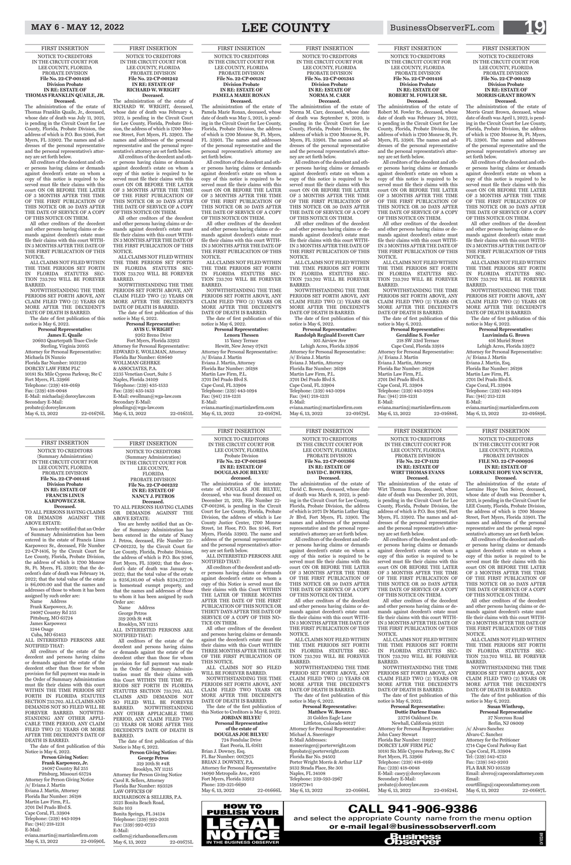FIRST INSERTION NOTICE TO CREDITORS IN THE CIRCUIT COURT FOR LEE COUNTY, FLORIDA PROBATE DIVISION **File No. 22-CP-1132 IN RE: ESTATE OF WIRT THOMAS EVANS Deceased.**

The administration of the estate of Wirt Thomas Evans, deceased, whose date of death was December 20, 2021, is pending in the Circuit Court for Lee County, Florida, Probate Division, the address of which is P.O. Box 9346, Fort Myers, FL 33902. The names and addresses of the personal representative and the personal representative's attorney are set forth below.

23716 Oakhurst Dr. Newhall, California 91321 Attorney for Personal Representative: John Casey Stewart Florida Bar Number: 118927 DORCEY LAW FIRM PLC 10181 Six Mile Cypress Parkway, Ste C Fort Myers, FL 33966 Telephone: (239) 418-0169 Fax: (239) 418-0048 E-Mail: casey@dorceylaw.com Secondary E-Mail· probate@dorceylaw.com May 6, 13, 2022 22-01624L

All creditors of the decedent and other persons having claims or demands against decedent's estate on whom a copy of this notice is required to be served must file their claims with this court ON OR BEFORE THE LATER OF 3 MONTHS AFTER THE TIME OF THE FIRST PUBLICATION OF THIS NOTICE OR 30 DAYS AFTER THE DATE OF SERVICE OF A COPY OF THIS NOTICE ON THEM.

All other creditors of the decedent and other persons having claims or demands against decedent's estate must file their claims with this court WITH-IN 3 MONTHS AFTER THE DATE OF

THE FIRST PUBLICATION OF THIS NOTICE.

**Deceased.**<br>The administration of the estate of RICHARD W. WRIGHT, deceased, whose date of death was February 4, 2022, is pending in the Circuit Court for Lee County, Florida, Probate Division, the address of which is 1700 Monroe Street, Fort Myers, FL 33902. The names and addresses of the personal representative and the personal representative's attorney are set forth below.

> ALL CLAIMS NOT FILED WITHIN THE TIME PERIODS SET FORTH IN FLORIDA STATUTES SEC-TION 733.702 WILL BE FOREVER BARRED.

NOTWITHSTANDING THE TIME PERIODS SET FORTH ABOVE, ANY CLAIM FILED TWO (2) YEARS OR MORE AFTER THE DECEDENT'S DATE OF DEATH IS BARRED. The date of first publication of this

## notice is May 6, 2022. **Personal Representative: Dottie Darlene Evans**

NOTWITHSTANDING THE TIME PERIODS SET FORTH ABOVE, ANY CLAIM FILED TWO (2) YEARS OR MORE AFTER THE DECEDENT'S DATE OF DEATH IS BARRED.

Fort Myers, Florida 33913 Attorney for Personal Representative: EDWARD E. WOLLMAN, Attorney Florida Bar Number: 618640 WOLLMAN GEHRKE & ASSOCIATES, P.A. 2235 Venetian Court, Suite 5 Naples, Florida 34109 Telephone: (239) 435-1533 Fax: (239) 435-1433 E-Mail: ewollman@wga-law.com Secondary E-Mail: pleadings@wga-law.com May 6, 13, 2022 22-01651L

FIRST INSERTION NOTICE TO CREDITORS IN THE CIRCUIT COURT FOR LEE COUNTY, FLORIDA PROBATE DIVISION **File No. 22-CP-001242 IN RE: ESTATE OF RICHARD W. WRIGHT**

> ALL CLAIMS NOT SO FILED WILL BE FOREVER BARRED.

All creditors of the decedent and other persons having claims or demands against decedent's estate on whom a copy of this notice is required to be served must file their claims with this court ON OR BEFORE THE LATER OF 3 MONTHS AFTER THE TIME OF THE FIRST PUBLICATION OF THIS NOTICE OR 30 DAYS AFTER THE DATE OF SERVICE OF A COPY OF THIS NOTICE ON THEM.

> **JORDAN BILYEU Personal Representative of the estate of DOUGLAS JOE BILYEU** 724 Fondulac Drive East Peoria, IL 61611 Brian J. Downey, Esq. FL Bar Number: 0017975 BRIAN J. DOWNEY, P.A. Attorney for Personal Representative 14090 Metropolis Ave., #205 Fort Myers, Florida 33912 Phone: 239-321-6690 May 6, 13, 2022 22-01666L

All other creditors of the decedent and other persons having claims or demands against decedent's estate must file their claims with this court WITH-IN 3 MONTHS AFTER THE DATE OF THE FIRST PUBLICATION OF THIS NOTICE.

ALL CLAIMS NOT FILED WITHIN THE TIME PERIODS SET FORTH IN FLORIDA STATUTES SEC-TION 733.702 WILL BE FOREVER BARRED.

The date of first publication of this notice is May 6, 2022. **Personal Representative: AVIS U. WRIGHT** 9262 Breno Drive

> NOTWITHSTANDING THE TIME PERIOD SET FORTH ABOVE, ANY CLAIM FILED TWO (2) YEARS OR MORE AFTER THE DECEDENT'S DATE OF DEATH IS BARRED.

**Personal Representative: Matthew W. Bowers** 31 Golden Eagle Lane Littleton, Colorado 80127 Attorney for Personal Representative: Michael A. Sneeringer E-Mail Addresses: msneeringer@porterwright.com flprobate@porterwright.com Florida Bar No. 94502 Porter Wright Morris & Arthur LLP 9132 Strada Place, Ste 301 Naples, FL 34108 Telephone: 239-593-2967 15958774v1 May 6, 13, 2022 22-01668L

FIRST INSERTION

LEE COUNTY, FLORIDA Probate Division **File No. 22-CP-001286 IN RE: ESTATE OF** 

You are hereby notified that an Order of Summary Administration has dent's date of death was January 4, homestead exempt property, and

NOTICE TO CREDITORS IN THE CIRCUIT COURT FOR **DOUGLAS JOE BILYEU** The administration of the intestate estate of DOUGLAS JOE BILYEU, deceased, who was found deceased on

**deceased.**

December 21, 2021, File Number 22- CP-001286, is pending in the Circuit Court for Lee County, Florida, Probate Division, the address of which is Lee County Justice Center, 1700 Monroe Street, 1st Floor, P.O. Box 9346, Fort Myers, Florida 33902. The name and address of the personal representative and the personal representative's attor-

ney are set forth below.

ALL INTERESTED PERSONS ARE

NOTIFIED THAT:

The date of first publication of this Notice is May 6, 2022. **Person Giving Notice: George Petros** 319 20th St #4R Brooklyn, NY 11215 Attorney for Person Giving Notice Carol R. Sellers, Attorney Florida Bar Number: 893528 LAW OFFICES OF RICHARDSON & SELLERS, P.A. 3525 Bonita Beach Road, Suite 103 Bonita Springs, FL 34134 Telephone: (239) 992-2031 Fax: (239) 992-0723 E-Mail: csellers@richardsonsellers.com May 6, 13, 2022 22-01675L

All creditors of the decedent and other persons having claims or demands against decedent's estate on whom a copy of this Notice is served must file their claims with this Court WITHIN THE LATER OF THREE MONTHS AFTER THE DATE OF THE FIRST PUBLICATION OF THIS NOTICE OR THIRTY DAYS AFTER THE DATE OF SERVICE OF A COPY OF THIS NO-

TICE ON THEM.

All other creditors of the decedent and persons having claims or demands against the decedent's estate must file their claims with this Court WITHIN THREE MONTHS AFTER THE DATE OF THE FIRST PUBLICATION OF THIS NOTICE.

NOTWITHSTANDING THE TIME PERIODS SET FORTH ABOVE, ANY CLAIM FILED TWO YEARS OR MORE AFTER THE DECEDENT'S DATE OF DEATH IS BARRED.

The date of the first publication of this Notice to Creditors is May 6, 2022.

20603 Quarterpath Trace Circle Sterling, Virginia 20165 Attorney for Personal Representative: Michaela Di Nunzio Florida Bar Number: 1031220 DORCEY LAW FIRM PLC 10181 Six Mile Cypress Parkway, Ste C Fort Myers, FL 33966 Telephone: (239) 418-0169 Fax: (239) 418-0048 E-Mail: michaela@dorceylaw.com Secondary E-Mail: probate@dorceylaw.com May 6, 13, 2022 22-01676L

> FIRST INSERTION NOTICE TO CREDITORS IN THE CIRCUIT COURT FOR LEE COUNTY, FLORIDA PROBATE DIVISION

**File No. 22-CP-001366 IN RE: ESTATE OF DAVID C. BOWERS, Deceased.**

The administration of the estate of David C. Bowers, deceased, whose date of death was March 8, 2022, is pending in the Circuit Court for Lee County, Florida, Probate Division, the address of which is 2075 Dr Martin Luther King Jr Blvd, Fort Myers, FL 33901. The names and addresses of the personal representative and the personal representative's attorney are set forth below.

All creditors of the decedent and other persons having claims or demands against decedent's estate on whom a copy of this notice is required to be served must file their claims with this court ON OR BEFORE THE LATER OF 3 MONTHS AFTER THE TIME OF THE FIRST PUBLICATION OF THIS NOTICE OR 30 DAYS AFTER THE DATE OF SERVICE OF A COPY OF THIS NOTICE ON THEM.

# Cape Coral, FL 33904 Telephone: (239) 443-1094 Fax: (941) 218-1231 E-Mail: eviana.martin@martinlawfirm.com May 6, 13, 2022 22-01678L

All other creditors of the decedent and other persons having claims or demands against decedent's estate must file their claims with this court WITH-IN 3 MONTHS AFTER THE DATE OF

THE FIRST PUBLICATION OF THIS NOTICE.

ALL CLAIMS NOT FILED WITHIN THE TIME PERIODS SET FORTH IN FLORIDA STATUTES SEC-TION 733.702 WILL BE FOREVER BARRED.

The date of first publication of this notice is May 6, 2022.

**Randolph Reginald Everett Carr** 105 Airview Ave Lehigh Acres, Florida 33936 Attorney for Personal Representative: /s/ Eviana J. Martin Eviana J. Martin, Attorney Florida Bar Number: 36198 Martin Law Firm, P.L. 3701 Del Prado Blvd S. Cape Coral, FL 33904 Telephone: (239) 443-1094 Fax: (941) 218-1231 E-Mail: eviana.martin@martinlawfirm.com May 6, 13, 2022 22-01679L

FIRST INSERTION

NOTICE TO CREDITORS (Summary Administration) IN THE CIRCUIT COURT FOR LEE COUNTY, FLORIDA PROBATE DIVISION **File No. 22-CP-001232 IN RE: ESTATE OF NANCY J. PETROS**

# **Deceased.**

TO ALL PERSONS HAVING CLAIMS OR DEMANDS AGAINST THE

ABOVE ESTATE:

been entered in the estate of Nancy J. Petros, deceased, File Number 22- CP-001232, by the Circuit Court for Lee County, Florida, Probate Division, the address of which is P.O. Box 9346, Fort Myers, FL 33902; that the dece-2022; that the total value of the estate is \$256,181.00 of which \$234,227.00 that the names and addresses of those to whom it has been assigned by such Order are:

**Person Giving Notice: Frank Karpowecz, Jr.** 24087 Country Rd 255 Pittsburg, Missouri 65724 Attorney for Person Giving Notice /s/ Eviana J. Martin Eviana J. Martin, Attorney Florida Bar Number: 36198 Martin Law Firm, P.L. 3701 Del Prado Blvd S. Cape Coral, FL 33904 Telephone: (239) 443-1094 Fax: (941) 218-1231 E-Mail: eviana.martin@martinlawfirm.com May 6, 13, 2022 22-01690L Name Address

George Petros 319 20th St #4R

# MAY 6 - MAY 12, 2022 **LEE COUNTY** BusinessObserverFL.com **19**

Brooklyn, NY 11215

ALL INTERESTED PERSONS ARE NOTIFIED THAT:

All creditors of the estate of the decedent and persons having claims or demands against the estate of the decedent other than those for whom provision for full payment was made in the Order of Summary Administration must file their claims with this Court WITHIN THE TIME PE-RIODS SET FORTH IN FLORIDA STATUTES SECTION 733.702. ALL CLAIMS AND DEMANDS NOT SO FILED WILL BE FOREVER BARRED. NOTWITHSTANDING ANY OTHER APPLICABLE TIME PERIOD, ANY CLAIM FILED TWO (2) YEARS OR MORE AFTER THE DECEDENT'S DATE OF DEATH IS BARRED.

FIRST INSERTION NOTICE TO CREDITORS IN THE CIRCUIT COURT FOR LEE COUNTY, FLORIDA PROBATE DIVISION **File No. 22-CP-001426 Division Probate IN RE: ESTATE OF THOMAS FRANKLIN QUAILE, JR. Deceased.**

The administration of the estate of Thomas Franklin Quaile, Jr., deceased, whose date of death was July 11, 2021, is pending in the Circuit Court for Lee County, Florida, Probate Division, the address of which is P.O. Box 9346, Fort Myers, FL 33902. The names and addresses of the personal representative and the personal representative's attorney are set forth below.

All creditors of the decedent and other persons having claims or demands against decedent's estate on whom a copy of this notice is required to be served must file their claims with this court ON OR BEFORE THE LATER OF 3 MONTHS AFTER THE TIME OF THE FIRST PUBLICATION OF THIS NOTICE OR 30 DAYS AFTER THE DATE OF SERVICE OF A COPY OF THIS NOTICE ON THEM.

All other creditors of the decedent and other persons having claims or demands against decedent's estate must file their claims with this court WITH-IN 3 MONTHS AFTER THE DATE OF THE FIRST PUBLICATION OF THIS NOTICE.

ALL CLAIMS NOT FILED WITHIN THE TIME PERIODS SET FORTH IN FLORIDA STATUTES SEC-TION 733.702 WILL BE FOREVER BARRED.

NOTWITHSTANDING THE TIME PERIODS SET FORTH ABOVE, ANY CLAIM FILED TWO (2) YEARS OR MORE AFTER THE DECEDENT'S DATE OF DEATH IS BARRED.

The date of first publication of this notice is May 6, 2022.

## **Personal Representative: James E. Quaile**

37 Norcross Road Berlin, NJ 08009 /s/ Alvaro Sanchez Alvaro C. Sanchez Attorney for the Petitioner 1714 Cape Coral Parkway East Cape Coral, FL 33904 Tel: (239) 542-4733 Fax: (239) 542-9203 FLA BAR NO 105539 Email: alvero@capecoralattorney.com Email: courtfilings@capecoralattorney.com May 6, 13, 2022 22-01687L

LEE COUNTY, FLORIDA PROBATE DIVISION **File No. 22-CP-001347 Division Probate IN RE: ESTATE OF PAMELA MARIE RONAN Deceased.** The administration of the estate of Pamela Marie Ronan, deceased, whose date of death was May 5, 2021, is pending in the Circuit Court for Lee County, Florida, Probate Division, the address of which is 1700 Monroe St, Ft. Myers, FL 33901. The names and addresses of the personal representative and the personal representative's attorney are

set forth below.

All creditors of the decedent and other persons having claims or demands against decedent's estate on whom a copy of this notice is required to be served must file their claims with this court ON OR BEFORE THE LATER OF 3 MONTHS AFTER THE TIME OF THE FIRST PUBLICATION OF THIS NOTICE OR 30 DAYS AFTER THE DATE OF SERVICE OF A COPY OF THIS NOTICE ON THEM. All other creditors of the decedent and other persons having claims or demands against decedent's estate must file their claims with this court WITH-IN 3 MONTHS AFTER THE DATE OF THE FIRST PUBLICATION OF THIS

FIRST INSERTION NOTICE TO CREDITORS FIRST INSERTION NOTICE TO CREDITORS

IN THE CIRCUIT COURT FOR IN THE CIRCUIT COURT FOR LEE COUNTY, FLORIDA PROBATE DIVISION **File No. 22-CP-001345 Division Probate IN RE: ESTATE OF NORMA M. CARR Deceased.**

NOTICE.

BARRED.

ALL CLAIMS NOT FILED WITHIN THE TIME PERIODS SET FORTH IN FLORIDA STATUTES SEC-TION 733.702 WILL BE FOREVER

NOTWITHSTANDING THE TIME PERIODS SET FORTH ABOVE, ANY CLAIM FILED TWO (2) YEARS OR MORE AFTER THE DECEDENT'S DATE OF DEATH IS BARRED. The date of first publication of this

notice is May 6, 2022.

**Personal Representative: Lenora Thessen** 15 Yancy Terrace Hewitt, New Jersey 07421 Attorney for Personal Representative:

/s/ Eviana J. Martin Eviana J. Martin, Attorney Florida Bar Number: 36198 Martin Law Firm, P.L. 3701 Del Prado Blvd S.

The administration of the estate of Norma M. Carr, deceased, whose date of death was September 8, 2020, is pending in the Circuit Court for Lee County, Florida, Probate Division, the address of which is 1700 Monroe St, Ft. Myers, FL 33901. The names and addresses of the personal representative and the personal representative's attorney are set forth below.

All creditors of the decedent and other persons having claims or demands against decedent's estate on whom a copy of this notice is required to be served must file their claims with this court ON OR BEFORE THE LATER OF 3 MONTHS AFTER THE TIME OF THE FIRST PUBLICATION OF THIS NOTICE OR 30 DAYS AFTER THE DATE OF SERVICE OF A COPY OF THIS NOTICE ON THEM.

All other creditors of the decedent and other persons having claims or demands against decedent's estate must file their claims with this court WITH-IN 3 MONTHS AFTER THE DATE OF THE FIRST PUBLICATION OF THIS NOTICE.

ALL CLAIMS NOT FILED WITHIN THE TIME PERIODS SET FORTH IN FLORIDA STATUTES SEC-TION 733.702 WILL BE FOREVER BARRED.

NOTWITHSTANDING THE TIME PERIODS SET FORTH ABOVE, ANY CLAIM FILED TWO (2) YEARS OR MORE AFTER THE DECEDENT'S DATE OF DEATH IS BARRED. The date of first publication of this

# notice is May 6, 2022. **Personal Representative:**

FIRST INSERTION NOTICE TO CREDITORS (Summary Administration) IN THE CIRCUIT COURT FOR LEE COUNTY, FLORIDA PROBATE DIVISION **File No. 22-CP-001416 Division Probate IN RE: ESTATE OF**

**FRANCIS LINUS KARPOWECZ SR. Deceased.**

TO ALL PERSONS HAVING CLAIMS OR DEMANDS AGAINST THE ABOVE ESTATE:

You are hereby notified that an Order of Summary Administration has been entered in the estate of Francis Linus Karpowecz Sr., deceased, File Number 22-CP-1416, by the Circuit Court for Lee County, Florida, Probate Division, the address of which is 1700 Monroe St, Ft. Myers, FL 33901; that the decedent's date of death was February 14, 2022; that the total value of the estate is \$6,000.00 and that the names and addresses of those to whom it has been assigned by such order are:

Name Address Frank Karpowecz, Jr. 24087 Country Rd 255 Pittsburg, MO 65724 James Karpowecz

# 1244 Osage Cuba, MO 65453 ALL INTERESTED PERSONS ARE NOTIFIED THAT:

All creditors of the estate of the decedent and persons having claims or demands against the estate of the decedent other than those for whom provision for full payment was made in the Order of Summary Administration must file their claims with this court WITHIN THE TIME PERIODS SET FORTH IN FLORIDA STATUTES SECTION 733.702. ALL CLAIMS AND DEMANDS NOT SO FILED WILL BE FOREVER BARRED. NOTWITH-STANDING ANY OTHER APPLI-CABLE TIME PERIOD, ANY CLAIM FILED TWO (2) YEARS OR MORE AFTER THE DECEDENT'S DATE OF DEATH IS BARRED.

The date of first publication of this Notice is May 6, 2022.

FIRST INSERTION NOTICE TO CREDITORS IN THE CIRCUIT COURT FOR LEE COUNTY, FLORIDA PROBATE DIVISION **File No. 22-CP-001416 Division Probate IN RE: ESTATE OF ROBERT M. FOWLER SR. Deceased.**

The administration of the estate of Robert M. Fowler Sr., deceased, whose date of death was February 24, 2022, is pending in the Circuit Court for Lee County, Florida, Probate Division, the address of which is 1700 Monroe St, Ft. Myers, FL 33901. The names and addresses of the personal representative and the personal representative's attorney are set forth below.

All creditors of the decedent and other persons having claims or demands against decedent's estate on whom a copy of this notice is required to be served must file their claims with this court ON OR BEFORE THE LATER OF 3 MONTHS AFTER THE TIME OF THE FIRST PUBLICATION OF THIS NOTICE OR 30 DAYS AFTER THE DATE OF SERVICE OF A COPY OF THIS NOTICE ON THEM.

All other creditors of the decedent and other persons having claims or demands against decedent's estate must file their claims with this court WITH-IN 3 MONTHS AFTER THE DATE OF THE FIRST PUBLICATION OF THIS NOTICE.

ALL CLAIMS NOT FILED WITHIN THE TIME PERIODS SET FORTH IN FLORIDA STATUTES SEC-TION 733.702 WILL BE FOREVER BARRED.

NOTWITHSTANDING THE TIME PERIODS SET FORTH ABOVE, ANY CLAIM FILED TWO (2) YEARS OR MORE AFTER THE DECEDENT'S DATE OF DEATH IS BARRED. The date of first publication of this

notice is May 6, 2022.

| <b>Personal Representative:</b>       |  |
|---------------------------------------|--|
| <b>Geraldine S. Fowler</b>            |  |
| 218 SW 33rd Terrace                   |  |
| Cape Coral, Florida 33914             |  |
| Attorney for Personal Representative: |  |
| /s/ Eviana J. Martin                  |  |
| Eviana J. Martin, Attorney            |  |
| Florida Bar Number: 36198             |  |
| Martin Law Firm, P.L.                 |  |
| 3701 Del Prado Blvd S.                |  |
| Cape Coral, FL 33904                  |  |
| Telephone: (239) 443-1094             |  |
| Fax: (941) 218-1231                   |  |
| E-Mail:                               |  |
| eviana.martin@martinlawfirm.com       |  |
| 22-01688L<br>May 6, 13, 2022          |  |
|                                       |  |

# FIRST INSERTION NOTICE TO CREDITORS IN THE CIRCUIT COURT FOR LEE COUNTY, FLORIDA PROBATE DIVISION **File No. 22-CP-001439 Division Probate IN RE: ESTATE OF MORRIS GRANT BROWN Deceased.**

The administration of the estate of Morris Grant Brown, deceased, whose date of death was April 1, 2022, is pending in the Circuit Court for Lee County, Florida, Probate Division, the address of which is 1700 Monroe St, Ft. Myers, FL 33901. The names and addresses of the personal representative and the personal representative's attorney are set forth below.

All creditors of the decedent and other persons having claims or demands against decedent's estate on whom a copy of this notice is required to be served must file their claims with this court ON OR BEFORE THE LATER OF 3 MONTHS AFTER THE TIME OF THE FIRST PUBLICATION OF THIS NOTICE OR 30 DAYS AFTER THE DATE OF SERVICE OF A COPY OF THIS NOTICE ON THEM.

All other creditors of the decedent and other persons having claims or demands against decedent's estate must file their claims with this court WITH-IN 3 MONTHS AFTER THE DATE OF THE FIRST PUBLICATION OF THIS NOTICE.

ALL CLAIMS NOT FILED WITHIN THE TIME PERIODS SET FORTH IN FLORIDA STATUTES SEC-TION 733.702 WILL BE FOREVER BARRED.

NOTWITHSTANDING THE TIME PERIODS SET FORTH ABOVE, ANY CLAIM FILED TWO (2) YEARS OR MORE AFTER THE DECEDENT'S DATE OF DEATH IS BARRED. The date of first publication of this

notice is May 6, 2022.

**Personal Representative: Luzviminda G. Brown** 416 Muriel Street Lehigh Acres, Florida 33972

| Attorney for Personal Representative: |
|---------------------------------------|
| /s/ Eviana J. Martin                  |
| Eviana J. Martin, Esq.                |
| Florida Bar Number: 36198             |
| Martin Law Firm, PL                   |
| 3701 Del Prado Blvd S.                |
| Cape Coral, FL 33904                  |
| Telephone: (239) 443-1094             |
| Fax: (941) 213-1231                   |
| E-Mail:                               |
| eviana.martin@martinlawfirm.com       |
| 22-01689L<br>May 6, 13, 2022          |
|                                       |

FIRST INSERTION NOTICE TO CREDITORS IN THE CIRCUIT COURT FOR LEE COUNTY, FLORIDA PROBATE DIVISION **FILE NO. 22-CP-000926 IN RE: ESTATE OF LORRAINE HOPE VAN SCIVER, Deceased.**

The administration of the estate of Lorraine Hope Van Seiver, deceased, whose date of death was December 4, 2021, is pending in the Circuit Court for LEE County, Florida, Probate Division, the address of which is 1700 Monroe Street, Fort Myers, Florida 33901. The names and addresses of the personal representative and the personal representative's attorney are set forth below.

All creditors of the decedent and other persons having claims or demands against decedent's estate on whom a copy of this notice is required to be served must file their claims with this court ON OR BEFORE THE LATER OF 3 MONTHS AFTER THE TIME OF THE FIRST PUBLICATION OF THIS NOTICE OR 30 DAYS AFTER THE DATE OF SERVICE OF A COPY OF THIS NOTICE ON THEM.

All other creditors of the decedent and other persons having claims or demands against decedent's estate must file their claims with this court WITH-IN 3 MONTHS AFTER THE DATE OF

THE FIRST PUBLICATION OF THIS NOTICE.

ALL CLAIMS NOT FILED WITHIN THE TIME PERIODS SET FORTH IN FLORIDA STATUTES SEC-TION 733.702 WILL BE FOREVER BARRED.

NOTWITHSTANDING THE TIME PERIODS SET FORTH ABOVE, ANY CLAIM FILED TWO (2) YEARS OR MORE AFTER THE DECEDENT'S DATE OF DEATH IS BARRED. The date of first publication of this

notice is May 6, 2022.

# **Susan Winthrop, Personal Representative**

# **CALL 941-906-9386**

and select the appropriate County name from the menu option **or e-mail legal@businessobserverfl.com**





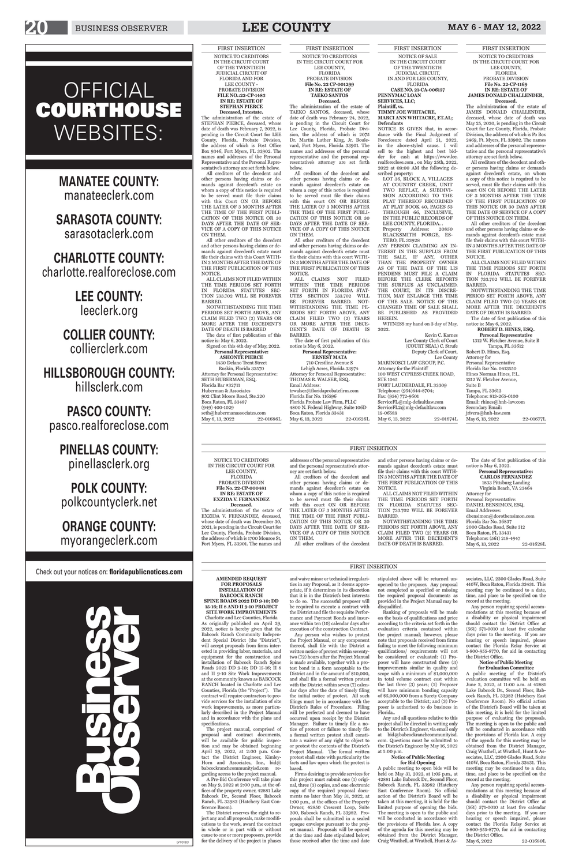**AMENDED REQUEST FOR PROPOSALS INSTALLATION OF BABCOCK RANCH SPINE ROADS 2022 DD 9-10; DD 15-16; II 8 AND II 9-10 PROJECT SITE WORK IMPROVEMENTS** Charlotte and Lee Counties, Florida

As originally published on April 29, 2022, notice is hereby given that the Babcock Ranch Community Independent Special District (the "District"), will accept proposals from firms interested in providing labor, materials, and equipment for the construction and installation of Babcock Ranch Spine Roads 2022 DD 9-10; DD 15-16; II 8 and II 9-10 Site Work Improvements at the community known as BABCOCK RANCH located in Charlotte and Lee Counties, Florida (the "Project"). The contract will require contractors to provide services for the installation of site work improvements, as more particularly described in the Project Manual and in accordance with the plans and specifications.

The project manual, comprised of proposal and contract documents, will be available for public inspection and may be obtained beginning April 29, 2022, at 2:00 p.m. Contact the District Engineer, Kimley-Horn and Associates, Inc., bid@ babcockranchcommunityisd.com regarding access to the project manual.

A Pre-Bid Conference will take place on May 9, 2022 at 2:00 p.m., at the offices of the property owner, 42881 Lake Babcock Dr., Second Floor, Babcock Ranch, FL 33982 (Hatchery East Conference Room).

The District reserves the right to reject any and all proposals, make modifications to the work, award the contract in whole or in part with or without cause to one or more proposers, provide for the delivery of the project in phases and waive minor or technical irregularities in any Proposal, as it deems appropriate, if it determines in its discretion that it is in the District's best interests to do so. The successful proposer will be required to execute a contract with the District and file the requisite Performance and Payment Bonds and insurance within ten (10) calendar days after

execution of the construction Contract.

Any person who wishes to protest the Project Manual, or any component thereof, shall file with the District a written notice of protest within seventytwo (72) hours after the Project Manual is made available, together with a protest bond in a form acceptable to the District and in the amount of \$10,000, and shall file a formal written protest with the District within seven (7) calendar days after the date of timely filing the initial notice of protest. All such filings must be in accordance with the District's Rules of Procedure. Filing will be perfected and deemed to have occurred upon receipt by the District Manager. Failure to timely file a notice of protest or failure to timely file a formal written protest shall constitute a waiver of any right to object to or protest the contents of the District's Project Manual. The formal written protest shall state with particularity the facts and law upon which the protest is

based. Firms desiring to provide services for this project must submit one (1) original, three (3) copies, and one electronic copy of the required proposal documents no later than May 31, 2022, at 1:00 p.m., at the offices of the Property Owner, 42850 Crescent Loop, Suite 200, Babcock Ranch, FL 33982. Proposals shall be submitted in a sealed opaque envelope pursuant to the project manual. Proposals will be opened at the time and date stipulated below; those received after the time and date

disqualified.

Ranking of proposals will be made on the basis of qualifications and price according to the criteria set forth in the

evaluation criteria contained within the project manual; however, please note that proposals received from firms failing to meet the following minimum qualifications/ requirements will not be considered or evaluated: (1) Proposer will have constructed three (3) improvements similar in quality and scope with a minimum of \$1,000,000 in total volume contract cost within the last three (3) years; (2) Proposer will have minimum bonding capacity of \$5,000,000 from a Surety Company acceptable to the District; and (3) Proposer is authorized to do business in Florida..

SETH HUBERMAN, ESQ. Florida Bar #32711 Huberman & Associates 902 Clint Moore Road, Ste.220 Boca Raton, FL 33487 (949) 400-1029 seth@hubermanassociates.com<br>Mav 6, 13, 2022 22-01686L May 6, 13, 2022

> stipulated above will be returned unopened to the proposer. Any proposal not completed as specified or missing the required proposal documents as provided in the Project Manual may be sociates, LLC, 2300 Glades Road, Suite 410W, Boca Raton, Florida 33431. This meeting may be continued to a date, time, and place to be specified on the record at the meeting.

Any and all questions relative to this project shall be directed in writing only to the District's Engineer, via email only at bid@babcockranchcommunityisd. com. Questions must be submitted to the District's Engineer by May 16, 2022 at 5:00 p.m.

# **Notice of Public Meeting for Bid Opening**

A public meeting to open bids will be held on May 31, 2022, at 1:05 p.m., at 42881 Lake Babcock Dr., Second Floor, Babcock Ranch, FL 33982 (Hatchery East Conference Room). No official action of the District's Board will be taken at this meeting, it is held for the limited purpose of opening the bids. The meeting is open to the public and will be conducted in accordance with the provisions of Florida law. A copy of the agenda for this meeting may be obtained from the District Manager, Craig Wrathell, at Wrathell, Hunt & As-

Boca Raton, FL 33431 Telephone: (561) 218-4947 May 6, 13, 2022 22-01628L

Any person requiring special accommodations at this meeting because of a disability or physical impairment should contact the District Office at  $(561)$  571-0010 at least five calendar days prior to the meeting. If you are hearing or speech impaired, please contact the Florida Relay Service at 1-800-955-8770, for aid in contacting the District Office.

# **Notice of Public Meeting for Evaluation Committee**

Lehigh Acres, Florida 33974 Attorney for Personal Representative: THOMAS R. WALSER, ESQ. Email Address: trwalser@floridaprobatefirm.com Florida Bar No. 116596 Florida Probate Law Firm, PLLC 4800 N. Federal Highway, Suite 106D Boca Raton, Florida 33431 May 6, 13, 2022

> A public meeting of the District's evaluation committee will be held on June 2, 2022, at 11:00 a.m. at 42881 Lake Babcock Dr., Second Floor, Babcock Ranch, FL 33982 (Hatchery East Conference Room). No official action of the District's Board will be taken at this meeting, it is held for the limited purpose of evaluating the proposals. The meeting is open to the public and will be conducted in accordance with the provisions of Florida law. A copy of the agenda for this meeting may be obtained from the District Manager, Craig Wrathell, at Wrathell, Hunt & Associates, LLC, 2300 Glades Road, Suite 410W, Boca Raton, Florida 33431. This meeting may be continued to a date, time, and place to be specified on the record at the meeting.

Any person requiring special accommodations at this meeting because of a disability or physical impairment should contact the District Office at (561) 571-0010 at least five calendar days prior to the meeting. If you are hearing or speech impaired, please contact the Florida Relay Service at 1-800-955-8770, for aid in contacting the District Office.

May 6, 2022 22-01680L

WITNESS my hand on 3 day of May, 2022.

Kevin C. Karnes Lee County Clerk of Court (COURT SEAL) C. Strufe Deputy Clerk of Court, Lee County MARINOSCI LAW GROUP, P.C. Attorney for the Plaintiff 100 WEST CYPRESS CREEK ROAD, STE 1045 FORT LAUDERDALE, FL 33309 Telephone: (954)644-8704; Fax: (954) 772-9601 ServiceFL@mlg-defaultlaw.com ServiceFL2@mlg-defaultlaw.com 19-06589 May 6, 13, 2022 22-01674L

FIRST INSERTION NOTICE TO CREDITORS IN THE CIRCUIT COURT OF THE TWENTIETH JUDICIAL CIRCUIT OF FLORIDA AND FOR LEE COUNTY -PROBATE DIVISION **FILE NO.:22-CP-1483 IN RE: ESTATE OF STEPHAN PIERCE**

**Deceased, Intestate.** The administration of the estate of STEPHAN PIERCE, deceased, whose date of death was February 7, 2022, is pending in the Circuit Court for LEE County, Florida, Probate Division, the address of which is Post Office Box 9346, Fort Myers, FL 33902. The names and addresses of the Personal Representative and the Personal Representative's attorney are set forth below.

All creditors of the decedent and other persons having claims or demands against decedent's estate on whom a copy of this notice is required to be served must file their claims with this Court ON OR BEFORE THE LATER OF 3 MONTHS AFTER THE TIME OF THE FIRST PUBLI-CATION OF THIS NOTICE OR 30 DAYS AFTER THE DATE OF SER-VICE OF A COPY OF THIS NOTICE ON THEM.

All other creditors of the decedent and other persons having claims or demands against decedent's estate must file their claims with this Court WITH-IN 3 MONTHS AFTER THE DATE OF THE FIRST PUBLICATION OF THIS NOTICE.

ALL CLAIMS NOT FILED WITHIN THE TIME PERIODS SET FORTH IN FLORIDA STATUTES SEC-TION 733.702 WILL BE FOREVER BARRED.

NOTWITHSTANDING THE TIME PERIODS SET FORTH ABOVE, ANY CLAIM FILED TWO (2) YEARS OR MORE AFTER THE DECEDENT'S DATE OF DEATH IS BARRED

The date of first publication of this notice is: May 6, 2022. Signed on this 4th day of May, 2022.

**Personal Representative: ASHONTE PIERCE**

1430 Delano Trent Street Ruskin, Florida 33570 Attorney for Personal Representative:

NOTICE TO CREDITORS IN THE CIRCUIT COURT FOR LEE COUNTY, FLORIDA PROBATE DIVISION **File No. 22-CP-000481 IN RE: ESTATE OF EXZIDA V. FERNANDEZ Deceased.** The administration of the estate of EXZIDA V. FERNANDEZ, deceased, whose date of death was December 30, 2021, is pending in the Circuit Court for Lee County, Florida, Probate Division, the address of which is 1700 Monroe St, Fort Myers, FL 33901. The names and

addresses of the personal representative and the personal representative's attor-

All creditors of the decedent and other persons having claims or demands against decedent's estate on whom a copy of this notice is required to be served must file their claims with this court ON OR BEFORE THE LATER OF 3 MONTHS AFTER THE TIME OF THE FIRST PUBLI-CATION OF THIS NOTICE OR 30 DAYS AFTER THE DATE OF SER-VICE OF A COPY OF THIS NOTICE

ney are set forth below.

ON THEM.

All other creditors of the decedent

and other persons having claims or demands against decedent's estate must file their claims with this court WITH-IN 3 MONTHS AFTER THE DATE OF THE FIRST PUBLICATION OF THIS

NOTICE. ALL CLAIMS NOT FILED WITHIN THE TIME PERIODS SET FORTH IN FLORIDA STATUTES SEC-TION 733.702 WILL BE FOREVER BARRED. NOTWITHSTANDING THE TIME

PERIODS SET FORTH ABOVE, ANY CLAIM FILED TWO (2) YEARS OR MORE AFTER THE DECEDENT'S DATE OF DEATH IS BARRED.

The date of first publication of this notice is May 6, 2022. **Personal Representative: CARLOS FERNANDEZ** 1833 Pittsburg Landing Virginia Beach, VA 23464 Attorney for Personal Representative: DANIEL BENSIMON, ESQ. Email Addresses: dbensimon@dorotbensimon.com Florida Bar No. 36837 2000 Glades Road, Suite 312

# FIRST INSERTION NOTICE TO CREDITORS IN THE CIRCUIT COURT FOR LEE COUNTY, FLORIDA PROBATE DIVISION **File No. 22 CP-001299 IN RE: ESTATE OF TAEKO SANTOS Deceased.**

The administration of the estate of TAEKO SANTOS, deceased, whose date of death was February 24, 2022, is pending in the Circuit Court for Lee County, Florida, Probate Division, the address of which is 2075 Dr. Martin Luther King, Jr. Boulevard, Fort Myers, Florida 33901. The names and addresses of the personal representative and the personal representative's attorney are set forth below.

All creditors of the decedent and other persons having claims or demands against decedent's estate on whom a copy of this notice is required to be served must file their claims with this court ON OR BEFORE THE LATER OF 3 MONTHS AFTER THE TIME OF THE FIRST PUBLI-CATION OF THIS NOTICE OR 30 DAYS AFTER THE DATE OF SER-VICE OF A COPY OF THIS NOTICE ON THEM.

All other creditors of the decedent and other persons having claims or demands against decedent's estate must file their claims with this court WITH-IN 3 MONTHS AFTER THE DATE OF THE FIRST PUBLICATION OF THIS NOTICE.

ALL CLAIMS NOT FILED WITHIN THE TIME PERIODS SET FORTH IN FLORIDA STAT-UTES SECTION 733.702 WILL BE FOREVER BARRED. NOT-WITHSTANDING THE TIME PE-RIODS SET FORTH ABOVE, ANY CLAIM FILED TWO (2) YEARS OR MORE AFTER THE DECE-DENT'S DATE OF DEATH IS BARRED.

The date of first publication of this notice is May 6, 2022. **Personal Representative:**

**ERNEST MATA**  710 Crestline Avenue S

FIRST INSERTION NOTICE OF SALE IN THE CIRCUIT COURT OF THE TWENTIETH JUDICIAL CIRCUIT, IN AND FOR LEE COUNTY,

FLORIDA

# **CASE NO. 21-CA-006157 PENNYMAC LOAN SERVICES, LLC; Plaintiff, vs.**

**TIMMY JOE WHITACRE, MARCI ANN WHITACRE, ET.AL; Defendants** NOTICE IS GIVEN that, in accor-

dance with the Final Judgment of Foreclosure dated April 21, 2022, in the above-styled cause. I will sell to the highest and best bidder for cash at https://www.lee. realforeclose.com , on May 25th, 2022, 2022 at 09:00 AM the following described property:

LOT 36, BLOCK A, VILLAGES AT COUNTRY CREEK, UNIT TWO REPLAT, A SUBDIVI-SION ACCORDING TO THE PLAT THEREOF RECORDED AT PLAT BOOK 40, PAGES 53 THROUGH 66, INCLUSIVE, IN THE PUBLIC RECORDS OF LEE COUNTY, FLORIDA. . Property Address: 20850

BLACKSMITH FORGE, ES-TERO, FL 33928 ANY PERSON CLAIMING AN IN-TEREST IN THE SURPLUS FROM THE SALE, IF ANY, OTHER THAN THE PROPERTY OWNER AS OF THE DATE OF THE LIS PENDENS MUST FILE A CLAIM BEFORE THE CLERK REPORTS THE SURPLUS AS UNCLAIMED. THE COURT, IN ITS DISCRE-TION, MAY ENLARGE THE TIME OF THE SALE. NOTICE OF THE CHANGED TIME OF SALE SHALL BE PUBLISHED AS PROVIDED HEREIN.

FIRST INSERTION NOTICE TO CREDITORS IN THE CIRCUIT COURT FOR LEE COUNTY, FLORIDA PROBATE DIVISION **File No. 22-CP-1169 IN RE: ESTATE OF JAMES DONALD CHALLENDER,**

**Deceased.** The administration of the estate of JAMES DONALD CHALLENDER, deceased, whose date of death was May 25, 2020, is pending in the Circuit Court for Lee County, Florida, Probate Division, the address of which is Po Box 2469, Ft. Myers, FL 33902. The names and addresses of the personal representative and the personal representative's attorney are set forth below.

All creditors of the decedent and other persons having claims or demands against decedent's estate, on whom a copy of this notice is required to be served, must file their claims with this court ON OR BEFORE THE LATER OF 3 MONTHS AFTER THE TIME OF THE FIRST PUBLICATION OF THIS NOTICE OR 30 DAYS AFTER THE DATE OF SERVICE OF A COPY OF THIS NOTICE ON THEM.

All other creditors of the decedent and other persons having claims or demands against decedent's estate must file their claims with this court WITH-IN 3 MONTHS AFTER THE DATE OF THE FIRST PUBLICATION OF THIS NOTICE.

ALL CLAIMS NOT FILED WITHIN THE TIME PERIODS SET FORTH IN FLORIDA STATUTES SEC-TION 733.702 WILL BE FOREVER BARRED.

NOTWITHSTANDING THE TIME PERIOD SET FORTH ABOVE, ANY CLAIM FILED TWO (2) YEARS OR MORE AFTER THE DECEDENT'S DATE OF DEATH IS BARRED. The date of first publication of this

notice is: May 6, 2022.

**ROBERT D. HINES, ESQ. Personal Representative** 1312 W. Fletcher Avenue, Suite B Tampa, FL 33612 Robert D. Hines, Esq. Attorney for Personal Representative Florida Bar No. 0413550 Hines Norman Hines, P.L. 1312 W. Fletcher Avenue, Suite B Tampa, FL 33612 Telephone: 813-265-0100 Email: rhines@hnh-law.com Secondary Email: jrivera@hnh-law.com

May 6, 13, 2022 22-01677L

# FIRST INSERTION

# FIRST INSERTION

# 20 BUSINESS OBSERVER **LEE COUNTY** MAY 6 - MAY 12, 2022

# OFFICIAL COURTHOUSE WEBSITES:

**MANATEE COUNTY:**  manateeclerk.com

**SARASOTA COUNTY:**  sarasotaclerk.com

**CHARLOTTE COUNTY:** charlotte.realforeclose.com

> **LEE COUNTY:** leeclerk.org

**COLLIER COUNTY:** collierclerk.com

**HILLSBOROUGH COUNTY:**  hillsclerk.com

**PASCO COUNTY:**  pasco.realforeclose.com

**PINELLAS COUNTY:** pinellasclerk.org

**POLK COUNTY:** polkcountyclerk.net

**ORANGE COUNTY:** myorangeclerk.com

Check out your notices on: **floridapublicnotices.com**

# $J_{\ell}$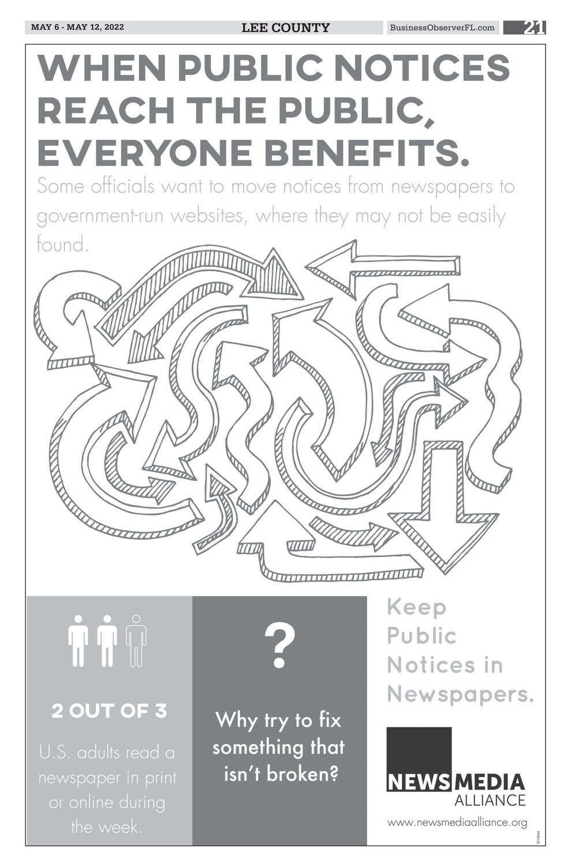# **WHEN PUBLIC NOTICES** REACH THE PUBLIC, EVERYONE BENEFITS.

Some officials want to move notices from newspapers to government-run websites, where they may not be easily found.



# 2 OUT OF 3

U.S. adults read a newspaper in print or online during the week.

Why try to fix something that isn't broken?

Notices in Newspapers.

# **NEWSMEDIA ALLIANCE**

www.newsmediaalliance.org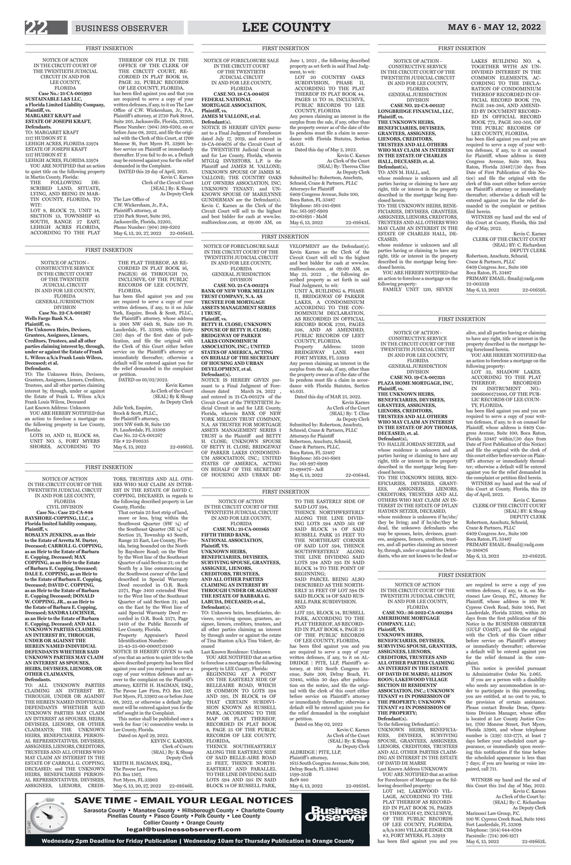# NOTICE OF ACTION - CONSTRUCTIVE SERVICE IN THE CIRCUIT COURT OF THE TWENTIETH JUDICIAL CIRCUIT IN AND FOR LEE COUNTY, FLORIDA GENERAL JURISDICTION

DIVISION **CASE NO. 19-CA-007325 PLAZA HOME MORTGAGE, INC, THE UNKNOWN HEIRS,** 

**Plaintiff, vs.** 

**BENEFICIARIES, DEVISEES, GRANTEES, ASSIGNEES, LIENORS, CREDITORS, TRUSTEES AND ALL OTHERS WHO MAY CLAIM AN INTEREST IN THE ESTATE OF JOY THOMAS, DECEASED, et. al. Defendant(s),** 

TO: HALLIE JORDAN SETZER, and whose residence is unknown and all parties having or claiming to have any right, title or interest in the property described in the mortgage being foreclosed herein.

TO: THE UNKNOWN HEIRS, BEN-EFICIARIES, DEVISEES, GRANT-<br>EES, ASSIGNEES, LIENORS, EES, ASSIGNEES, LIENORS, CREDITORS, TRUSTEES AND ALL OTHERS WHO MAY CLAIM AN IN-TEREST IN THE ESTATE OF DYLAN HAYDEN SETZER, DECEASED, whose residence is unknown if he/she/ they be living; and if he/she/they be dead, the unknown defendants who may be spouses, heirs, devisees, grantees, assignees, lienors, creditors, trustees, and all parties claiming an interest by, through, under or against the Defendants, who are not known to be dead or

Robertson, Anschutz, Schneid, Crane & Partners, PLLC 6409 Congress Ave., Suite 100 Boca Raton, FL 33487 PRIMARY EMAIL: flmail@raslg.com 19-380876 May 6, 13, 2022 22-01622L

alive, and all parties having or claiming to have any right, title or interest in the property described in the mortgage being foreclosed herein.

YOU ARE HEREBY NOTIFIED that an action to foreclose a mortgage on the

following property: LOT 32, SHADOW LAKES, ACCORDING TO THE PLAT THEREOF, RECORDED IN INSTRUMENT NO.: 2006000171800, OF THE PUB-LIC RECORDS OF LEE COUN-TY, FLORIDA.

has been filed against you and you are required to serve a copy of your written defenses, if any, to it on counsel for Plaintiff, whose address is 6409 Congress Avenue, Suite 100, Boca Raton, Florida 33487 within/(30 days from Date of First Publication of this Notice) and file the original with the clerk of this court either before service on Plaintiff 's attorney or immediately thereafter; otherwise a default will be entered against you for the relief demanded in the complaint or petition filed herein.

UNIT A, BUILDING 4, PHASE II, BRIDGEWAY OF PARKER LAKES, A CONDOMINIUM ACCORDING TO THE CON-DOMINIUM DECLARATION, AS RECORDED IN OFFICIAL RECORD BOOK 2701, PAGES 598, AND AS AMENDED, PUBLIC RECORDS OF LEET COUNTY, FLORIDA. Property Address: 15020 BRIDGEWAY LANE #401 FORT MYERS, FL 33919

> WITNESS my hand and the seal of this Court at County, Florida, this 29 day of April, 2022.

Kevin C. Karnes CLERK OF THE CIRCUIT COURT (SEAL) BY: K Shoap DEPUTY CLERK

NOTICE OF FORECLOSURE SALE IN THE CIRCUIT COURT OF THE TWENTIETH JUDICIAL CIRCUIT IN AND FOR LEE COUNTY, FLORIDA GENERAL JURISDICTION DIVISION **CASE NO. 21-CA-005274 BANK OF NEW YORK MELLON TRUST COMPANY, N.A. AS TRUSTEE FOR MORTGAGE ASSETS MANAGEMENT SERIES I TRUST, Plaintiff, vs. BETTY H. CLOSE; UNKNOWN SPOUSE OF BETTY H. CLOSE; BRIDGEWAY OF PARKER LAKES CONDOMINIUM ASSOCIATION, INC.; UNITED STATES OF AMERICA, ACTING ON BEHALF OF THE SECRETARY** 

**OF HOUSING AND URBAN** 

That certain 25 foot strip of land, more or less, lying within the Southwest Quarter (SW ¼) of the Southeast Quarter (SE ¼) of Section 21, Township 43 South, Range 25 East, Lee County, Florida, being bounded on the North by Bayshore Road; on the West by the West line of the Southeast Quarter of said Section 21; on the South by a line commencing at the Southwest corner of the land described in Special Warranty Deed recorded in O.R. Book 2571, Page 3410 extended West to the West line of the Southeast Quarter of said Section 21; and on the East by the West line of said Special Warranty Deed recorded in O.R. Book 2571, Page 3410 of the Public Records of Lee County, Florida. Property Appraiser's Parcel Identification Number: 21-43-25-00-00007.0100 NOTICE IS HEREBY GIVEN to each of you that an action to quiet title to the above described property has been filed against you and you required to serve a copy of your written defenses and answer to the complaint on the Plaintiff 's attorney, KEITH H. HAGMAN, ESQ., The Pavese Law Firm, P.O. Box 1507, Fort Myers, FL 33902 on or before June 08, 2022, or otherwise a default judgment will be entered against you for the relief sought in the Complaint. This notice shall be published once a week for four (4) consecutive weeks in Lee County, Florida.

**DEVELOPMENT, et al. Defendant(s).** NOTICE IS HEREBY GIVEN pursuant to a Final Judgment of Foreclosure dated March 24, 2022 , and entered in 21-CA-005274 of the Circuit Court of the TWENTIETH Judicial Circuit in and for LEE County, Florida, wherein BANK OF NEW YORK MELLON TRUST COMPANY, N.A. AS TRUSTEE FOR MORTGAGE ASSETS MANAGEMENT SERIES I TRUST is the Plaintiff and BETTY H. CLOSE; UNKNOWN SPOUSE OF BETTY H. CLOSE; BRIDGEWAY OF PARKER LAKES CONDOMINI-UM ASSOCIATION, INC.; UNITED STATES OF AMERICA, ACTING ON BEHALF OF THE SECRETARY OF HOUSING AND URBAN DE-

VELOPMENT are the Defendant(s). Kevin Karnes as the Clerk of the Circuit Court will sell to the highest and best bidder for cash at www.lee. realforeclose.com, at 09:00 AM, on May 25, 2022 , the following described property as set forth in said Final Judgment, to wit:

Any person claiming an interest in the surplus from the sale, if any, other than the property owner as of the date of the lis pendens must file a claim in accordance with Florida Statutes, Section 45.031.

Dated this day of MAR 25, 2022. Kevin Karnes

As Clerk of the Court (SEAL) By: T. Cline As Deputy Clerk Submitted by: Robertson, Anschutz, Schneid, Crane & Partners, PLLC

THENCE SOUTHEASTERLY ALONG THE EASTERLY SIDE OF SAID BELLE-AIRE ROAD 25 FEET, THENCE NORTH-EASTERLY AND PARALLEL TO THE LINE DIVIDING SAID LOTS 594 AND 595 IN SAID BLOCK 14 OF RUSSELL PARK,

NOTICE OF ACTION

LOT 595, BLOCK 14, RUSSELL PARK, ACCORDING TO THE PLAT THEREOF, AS RECORD-

IN THE CIRCUIT COURT OF THE TWENTIETH JUDICIAL CIRCUIT IN AND FOR LEE COUNTY, FLORIDA CIVIL DIVISION **Case No.: Case 22-CA-848 BAYSHORE-COPPING, LLC, a Florida limited liability company, Plaintiff, v. ROSALYN JENKINS, as an Heir to the Estate of Arretta M. Darter, Deceased; CARROLL G. COPPING, as an Heir to the Estate of Barbara E. Copping, Deceased; MAX COPPING, as an Heir to the Estate of Barbara E. Copping, Deceased; DALE E. COPPING, as an Heir to to the Estate of Barbara E. Copping, Deceased; DAVID C. COPPING, as an Heir to the Estate of Barbara E. Copping Deceased; DONALD W. COPPING, JR., as an Heir to the Estate of Barbara E. Copping, Deceased; SANDRA LOCHNER, as an Heir to the Estate of Barbara E. Copping, Deceased; AND ALL** 

## **UNKNOWN PARTIES CLAIMING AN INTEREST BY, THROUGH, UNDER OR AGAINST THE HEREIN NAMED INDIVIDUAL DEFENDANTS WHETHER SAID UNKNOWN PARTIES MAY CLAIM AN INTEREST AS SPOUSES, HEIRS, DEVISEES, LIENORS, OR OTHER CLAIMANTS, Defendants.**

for Foreclosure of Mortgage on the following described property

TO: ALL UNKNOWN PARTIES CLAIMING AN INTEREST BY, THROUGH, UNDER OR AGAINST THE HEREIN NAMED INDIVIDUAL DEFENDANTS WHETHER SAID UNKNOWN PARTIES MAY CLAIM AN INTEREST AS SPOUSES, HEIRS, DEVISEES, LIENORS, OR OTHER CLAIMANTS; THE UNKNOWN HEIRS, BENEFICIARIES, PERSON-AL REPRESENTATIVES, DEVISEES, ASSIGNEES, LIENORS, CREDITORS, TRUSTEES AND ALL OTHERS WHO MAY CLAIM AN INTEREST IN THE ESTATE OF CARROLL G. COPPING, DECEASED; and THE UNKNOWN HEIRS, BENEFICIARIES PERSON-AL REPRESENTATIVES, DEVISEES, ASSIGNEES, LIENORS, CREDI-

TORS, TRUSTEES AND ALL OTH-ERS WHO MAY CLAIM AN INTER-EST IN THE ESTATE OF DAVID C. COPPING, DECEASED, in regards to the following described property in Lee County, Florida:

> WITNESS my hand and the seal of this Court this 2nd day of May, 2022. Kevin C. Karnes As Clerk of the Court by: (SEAL) By: C. Richardson As Deputy Clerk Marinosci Law Group, P.C. 100 W. Cypress Creek Road, Suite 1045 Fort Lauderdale, FL 33309 Telephone: (954) 644-8704 Facsimile: (754) 206-1971 May 6, 13, 2022 22-01663L

Sarasota County • Manatee County • Hillsborough County • Charlotte County<br>Pinellas County • Pasco County • Polk County • Lee County

# Attorneys for Plaintiff Robertson, Anschutz, Schneid, Crane & Partners, PLLC, Boca Raton, FL 33487 Telephone: 561-241-6901 Fax: 561-997-6909 21-098876 - AsB May 6, 13, 2022 22-01644L TO THE EASTERLY SIDE OF THENCE NORTHWESTERLY ALONG THE LINE DIVID-ING LOTS 594 AND 561 OF SAID BLOCK 14 OF SAID

whose residence is unknown and all parties having or claiming to have any right, title or interest in the property described in the mortgage being foreclosed herein.

> Robertson, Anschutz, Schneid, Crane & Partners, PLLC 6409 Congress Ave., Suite 100 Boca Raton, FL 33487 PRIMARY EMAIL: flmail@raslg.com 22-003339 May 6, 13, 2022 22-01659L

Dated on April 29, 2022. KEVIN C. KARNES, Clerk of Courts (SEAL) By: K Shoap Deputy Clerk KEITH H. HAGMAN, ESQ., The Pavese Law Firm, P.O. Box 1507, Fort Myers, FL 33902

May 6, 13, 20, 27, 2022 22-01646L

NOTICE OF ACTION IN THE CIRCUIT COURT OF THE TWENTIETH JUDICIAL CIRCUIT IN AND FOR LEE COUNTY, FLORIDA **CASE NO.: 21-CA-001865 FIFTH THIRD BANK, NATIONAL ASSOCIATION, Plaintiff, VS. UNKNOWN HEIRS, BENEFICIARIES, DEVISEES, SURVIVING SPOUSE, GRANTEES, ASSIGNEE, LIENORS, CREDITORS, TRUSTEES, AND ALL OTHER PARTIES CLAIMING AN INTEREST BY THROUGH UNDER OR AGAINST** 

**THE ESTATE OF BARBARA G. LABUDA, DECEASED; et al., Defendant(s).** TO: Unknown heirs, beneficiaries, de-

visees, surviving spouse, grantees, assignee, lienors, creditors, trustees, and

all other parties claiming an interest by through under or against the estate of Tina Stanton a/k/a Tina Vokert, deceased

Last Known Residence: Unknown YOU ARE NOTIFIED that an action to foreclose a mortgage on the following property in LEE County, Florida: BEGINNING AT A POINT ON THE EASTERLY SIDE OF BELLEAIRE ROAD, WHICH IS COMMON TO LOTS 594 AND 595, IN BLOCK 14 OF THAT CERTAIN SUBDIVI-SION KNOWN AS RUSSELL PARK, ACCORDING TO THE MAP OR PLAT THEREOF, RECORDED IN PLAT BOOK 8, PAGE 25 OF THE PUBLIC RECORDS OF LEE COUNTY, FLORIDA,

SAID LOT 594, BEGINNING;

RUSSELL PARK 25 FEET TO THE NORTHEAST CORNER OF SAID LOT 594, THENCE SOUTHWESTERLY ALONG THE LINE DIVIDING SAID LOTS 594 AND 595 IN SAID BLOCK 14 TO THE POINT OF

Plaintiff 's attorney, at 2720 Park Street, Suite 205, Jacksonville, Florida, 32205, Phone Number: (904) 389-6202 May 6, 13, 20, 27, 2022 22-01645L

> DESCRIBED AS THE NORTH-ERLY 25 FEET OF LOT 594 IN SAID BLOCK 14 OF SAID RUS-

SAID PARCEL BEING ALSO SELL PARK SUBDIVISION. AND

ED IN PLAT BOOK 8, PAGE 25 OF THE PUBLIC RECORDS OF LEE COUNTY, FLORIDA.

has been filed against you and you are required to serve a copy of your written defenses, if any, to it on AL-DRIDGE | PITE, LLP, Plaintiff's attorney, at 1615 South Congress Avenue, Suite 200, Delray Beach, FL 33445, within 30 days after publication on the notice, and file the original with the clerk of this court either before service on Plaintiff's attorney or immediately thereafter; otherwise a default will be entered against you for the relief demanded in the complaint or petition.

Dated on May 02, 2022

Schneid, Crane & Partners, PLLC Attorneys for Plaintiff 6409 Congress Avenue, Suite 100, Boca Raton, FL 33487 Telephone: 561-241-6901 Fax: 561-997-6909 20-061695 - MaM May 6, 13, 2022 22-01643L

> Kevin C. Karnes As Clerk of the Court (SEAL) By: K Shoap As Deputy Clerk

ALDRIDGE | PITE, LLP, Plaintiff's attorney, 1615 South Congress Avenue, Suite 200, Delray Beach, FL 33445

1599-352B Ref# 880

May 6, 13, 2022 22-01658L

NOTICE OF ACTION IN THE CIRCUIT COURT OF THE TWENTIETH JUDICIAL CIRCUIT, IN AND FOR LEE COUNTY, FLORIDA **CASE NO.: 36-2022-CA-001394 AMERIHOME MORTGAGE** 

**COMPANY, LLC; Plaintiff, VS. UNKNOWN HEIRS, BENEFICIARIES, DEVISEES, SURVIVING SPOUSE, GRANTEES, ASSIGNEES, LIENORS, CREDITORS, TRUSTEES AND ALL OTHER PARTIES CLAIMING AN INTEREST IN THE ESTATE OF DAVID DE MARSE; ALLISON ROON; LAKEWOOD VILLAGE SECTION III RESIDENTS' ASSOCIATION, INC.; UNKNOWN TENANT #1 IN POSSESSION OF THE PROPERTY; UNKNOWN TENANT #2 IN POSSESSION OF** 

**THE PROPERTY; Defendant(s).**

To the following Defendant(s): UNKNOWN HEIRS, BENEFICIA-<br>RIES, DEVISEES, SURVIVING RIES, DEVISEES, SURVIVING SPOUSE, GRANTEES, ASSIGNEES, LIENORS, CREDITORS, TRUSTEES AND ALL OTHER PARTIES CLAIM-ING AN INTEREST IN THE ESTATE OF DAVID DE MARSE Last Known Address UNKNOWN YOU ARE NOTIFIED that an action

LOT 147, LAKEWOOD VIL-LAGE, ACCORDING TO THE PLAT THEREOF AS RECORD-ED IN PLAT BOOK 76, PAGES 63 THROUGH 67, INCLUSIVE, OF THE PUBLIC RECORDS OF LEE COUNTY, FLORIDA. a/k/a 8381 VILLAGE EDGE CIR #3, FORT MYERS, FL 33919 has been filed against you and you

are required to serve a copy of you written defenses, if any, to it, on Marinosci Law Group, P.C., Attorney for Plaintiff, whose address is 100 W. Cypress Creek Road, Suite 1045, Fort Lauderdale, Florida 33309, within 30 days from the first publication of this Notice in the BUSINESS OBSERVER (GULF COAST), and file the original with the Clerk of this Court either before service on Plaintiff's attorney or immediately thereafter; otherwise a default will be entered against you for the relief demand in the complaint.

This notice is provided pursuant to Administrative Order No. 2.065.

If you are a person with a disability who needs any accommodation in order to participate in this proceeding, you are entitled, at no cost to you, to the provision of certain assistance. Please contact Brooke Dean, Operations Division Manager, whose office is located at Lee County Justice Center, 1700 Monroe Street, Fort Myers, Florida 33901, and whose telephone number is (239) 533-1771, at least 7 days before your scheduled court appearance, or immediately upon receiving this notification if the time before the scheduled appearance is less than 7 days; if you are hearing or voice impaired, call 711.

# FIRST INSERTION

# FIRST INSERTION

FIRST INSERTION

# FIRST INSERTION

NOTICE OF ACTION - CONSTRUCTIVE SERVICE IN THE CIRCUIT COURT OF THE TWENTIETH JUDICIAL CIRCUIT IN AND FOR LEE COUNTY,

FLORIDA GENERAL JURISDICTION DIVISION

**CASE NO. 22-CA-001137 LONGBRIDGE FINANCIAL, LLC, Plaintiff, vs.**

**THE UNKNOWN HEIRS, BENEFICIARIES, DEVISEES, GRANTEES, ASSIGNEES, LIENORS, CREDITORS, TRUSTEES AND ALL OTHERS WHO MAY CLAIM AN INTEREST IN THE ESTATE OF CHARLES HALL, DECEASED, et. al. Defendant(s),** TO: ANN M. HALL, and,

TO: THE UNKNOWN HEIRS, BENE-FICIARIES, DEVISEES, GRANTEES, ASSIGNEES, LIENORS, CREDITORS, TRUSTEES AND ALL OTHERS WHO MAY CLAIM AN INTEREST IN THE ESTATE OF CHARLES HALL, DE-CEASED,

whose residence is unknown and all parties having or claiming to have any right, title or interest in the property described in the mortgage being foreclosed herein.

YOU ARE HEREBY NOTIFIED that an action to foreclose a mortgage on the following property: FAMILY UNIT 120, SEVEN

LAKES BUILDING NO. 4, TOGETHER WITH AN UN-DIVIDED INTEREST IN THE COMMON ELEMENTS, AC-CORDING TO THE DECLA-RATION OF CONDOMINIUM THEREOF RECORDED IN OF-FICIAL RECORD BOOK 770, PAGE 348-386, AND AMEND-ED BY DOCUMENT RECORD-ED IN OFFICIAL RECORD BOOK 772, PAGE 502-505, OF THE PUBLIC RECORDS OF LEE COUNTY, FLORIDA.

has been filed against you and you are required to serve a copy of your written defenses, if any, to it on counsel for Plaintiff, whose address is 6409 Congress Avenue, Suite 100, Boca Raton, Florida 33487/(30 days from Date of First Publication of this Notice) and file the original with the clerk of this court either before service on Plaintiff 's attorney or immediately thereafter; otherwise a default will be entered against you for the relief demanded in the complaint or petition filed herein.

WITNESS my hand and the seal of this Court at County, Florida, this 2nd day of May, 2022.

Kevin C. Karnes CLERK OF THE CIRCUIT COURT (SEAL) BY: C. Richardson DEPUTY CLERK

FIRST INSERTION

# FIRST INSERTION

NOTICE OF ACTION - CONSTRUCTIVE SERVICE IN THE CIRCUIT COURT OF THE TWENTIETH JUDICIAL CIRCUIT IN AND FOR LEE COUNTY, FLORIDA GENERAL JURISDICTION DIVISION **Case No. 22-CA-001267 Wells Fargo Bank N.A. Plaintiff, vs. The Unknown Heirs, Devisees, Grantees, Assignees, Lienors, Creditors, Trustees, and all other parties claiming interest by, through, under or against the Estate of Frank L. Wilcox a/k/a Frank Louis Wilcox, Deceased; et al.**

## **Defendants.**

TO: The Unknown Heirs, Devisees, Grantees, Assignees, Lienors, Creditors, Trustees, and all other parties claiming interest by, through, under or against the Estate of Frank L. Wilcox a/k/a Frank Louis Wilcox, Deceased Last Known Address: Unknown

YOU ARE HEREBY NOTIFIED that an action to foreclose a mortgage on the following property in Lee County, Florida:

LOTS 10, AND 11, BLOCK 88, UNIT NO. 5, FORT MYERS SHORES, ACCORDING TO

THE PLAT THEREOF, AS RE-CORDED IN PLAT BOOK 16, PAGE(S) 66 THROUGH 70, INCLUSIVE, OF THE PUBLIC RECORDS OF LEE COUNTY, FLORIDA. has been filed against you and you are required to serve a copy of your written defenses, if any, to it on Julie York, Esquire, Brock & Scott, PLLC., the Plaintiff 's attorney, whose address is 2001 NW 64th St, Suite 130 Ft. Lauderdale, FL 33309, within thirty (30) days of the first date of pubthe Clerk of this Court either before

lication, and file the original with service on the Plaintiff's attorney or immediately thereafter; otherwise a default will be entered against you for the relief demanded in the complaint or petition. DATED on 05/02/2022.

Kevin Karnes As Clerk of the Court (SEAL) By K Shoap As Deputy Clerk Julie York, Esquire, Brock & Scott, PLLC., the Plaintiff's attorney. 2001 NW 64th St, Suite 130 Ft. Lauderdale, FL 33309 Case No. 22-CA-001267 File # 22-F00535

May 6, 13, 2022 22-01661L

NOTICE OF ACTION IN THE CIRCUIT COURT OF THE TWENTIETH JUDICIAL CIRCUIT IN AND FOR LEE COUNTY, FLORIDA **Case No.: 21-CA-005993 SUSTAINABLE L&S LLC, a Florida Limited Liability Company, Plaintiff, vs. MARGARET KRAFT and ESTATE OF JOSEPH KRAFT, Defendants.**  TO: MARGARET KRAFT 1117 HUDSON ST E LEHIGH ACRES, FLORIDA 33974 ESTATE OF JOSEPH KRAFT 1117 HUDSON ST E LEHIGH ACRES, FLORIDA 33974 YOU ARE NOTIFIED that an action to quiet title on the following property in Martin County, Florida: THE FOLLOWING DE-SCRIBED LAND, SITUATE, LYING, AND BEING IN MAR-TIN COUNTY, FLORIDA, TO WIT: LOT 8, BLOCK 72, UNIT 14, SECTION 13, TOWNSHIP 45 SOUTH, RANGE 27 EAST, LEHIGH ACRES FLORIDA, ACCORDING TO THE PLAT FIRST INSERTION

THEREOF ON FILE IN THE OFFICE OF THE CLERK OF THE CIRCUIT COURT, RE-CORDED IN PLAT BOOK 18, PAGE 32, PUBLIC RECORDS OF LEE COUNTY, FLORIDA. has been filed against you and that you are required to serve a copy of your written defenses, if any, to it on The Law Office of C.W. Wickersham, Jr., P.A., Plaintiff 's attorney, at 2720 Park Street, Suite 205, Jacksonville, Florida, 32205, Phone Number: (904) 389-6202, on or before June 08, 2022, and file the original with the Clerk of this Court, at 1700 Monroe St, Fort Myers FL 33901 before service on Plaintiff or immediately thereafter. If you fail to do so, a Default may be entered against you for the relief demanded in the Complaint. DATED this 29 day of April, 2021.

Kevin C. Karnes Clerk of the Circuit Court [SEAL] By: K Shoap As Deputy Clerk The Law Office of C.W. Wickersham, Jr., P.A.,

NOTICE OF FORECLOSURE SALE IN THE CIRCUIT COURT OF THE TWENTIETH JUDICIAL CIRCUIT IN AND FOR LEE COUNTY,

FLORIDA **CASE NO. 18-CA-004676 FEDERAL NATIONAL MORTGAGE ASSOCIATION, Plaintiff, vs.**

**JAMES M VALLONE, et al.**

**Defendant(s).** NOTICE IS HEREBY GIVEN pursuant to a Final Judgment of Foreclosure dated July 17, 2019, and entered in 18-CA-004676 of the Circuit Court of the TWENTIETH Judicial Circuit in and for Lee County, Florida, wherein MTGLQ INVESTORS, L.P. is the Plaintiff and JAMES M. VALLONE; UNKNOWN SPOUSE OF JAMES M. VALLONE; THE COUNTRY OAKS LOT OWNERS ASSOCIATION, INC; UNKNOWN TENANT; and UN-KNOWN SPOUSE OF MARILYNNE GUNDERMAN are the Defendant(s). Kevin C. Karnes as the Clerk of the Circuit Court will sell to the highest and best bidder for cash at www.lee. realforeclose.com, at 09:00 AM, on June 1, 2022 , the following described property as set forth in said Final Judgment, to wit:

LOT 20 COUNTRY OAKS SUBDIVISION, PHASE II, ACCORDING TO THE PLAT THEREOF IN PLAT BOOK 44, PAGES 15 TO 18, INCLUSIVE, PUBLIC RECORDS TO LEE COUNTY, FLORIDA Any person claiming an interest in the

surplus from the sale, if any, other than the property owner as of the date of the lis pendens must file a claim in accordance with Florida Statutes, Section 45.031.

Dated this day of May 2, 2022. Kevin C. Karnes As Clerk of the Court (SEAL) By: Theresa Cline As Deputy Clerk Submitted by: Robertson, Anschutz,

# FIRST INSERTION

# FIRST INSERTION

LV12481

SAVE TIME - EMAIL YOUR LEGAL NOTICES



Collier County • Orange County legal@businessobserverfl.com

Wednesday 2pm Deadline for Friday Publication | Wednesday 10am for Thursday Publication in Orange County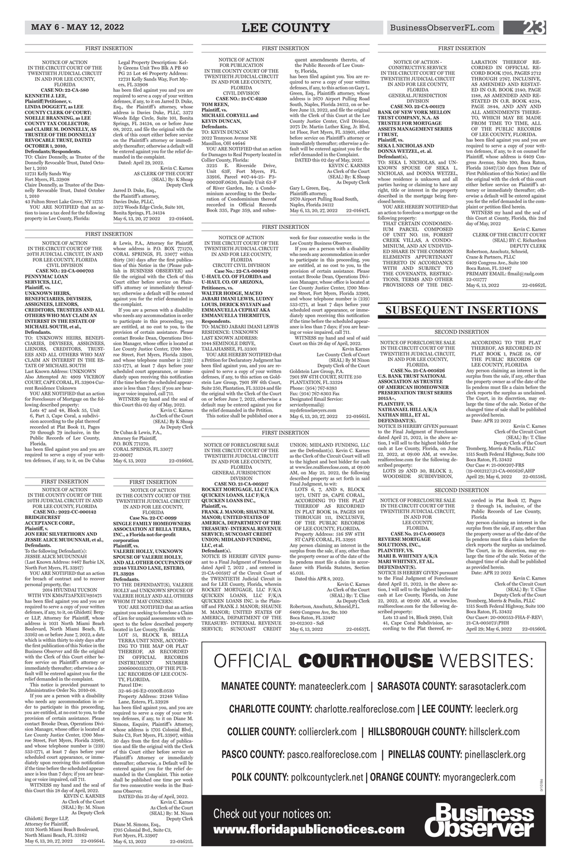# MAY 6 - MAY 12, 2022 **LEE COUNTY** BusinessObserverFL.com **23**

# **SUBSEQUENT INSERTIONS**

NOTICE OF FORECLOSURE SALE IN THE CIRCUIT COURT OF THE TWENTIETH JUDICIAL CIRCUIT, IN AND FOR LEE COUNTY, **FLORIDA CASE No. 21-CA-005073 REVERSE MORTGAGE SOLUTIONS, INC., PLAINTIFF, VS. MARI B. WHITNEY A/K/A MARI WHITNEY, ET AL. DEFENDANT(S).**

NOTICE IS HEREBY GIVEN pursuant to the Final Judgment of Foreclosure dated April 21, 2022, in the above action, I will sell to the highest bidder for cash at Lee County, Florida, on June 22, 2022, at 09:00 AM, at www.lee. realforeclose.com for the following de-

scribed property:

April 29; May 6, 2022 22-01560L

Lots 13 and 14, Block 2890, Unit 41, Cape Coral Subdivision, ac-

cording to the Plat thereof, re-

corded in Plat Book 17, Pages 2 through 14, inclusive, of the Public Records of Lee County, Florida

Any person claiming an interest in the surplus from the sale, if any, other than the property owner as of the date of the lis pendens must file a claim before the clerk reports the surplus as unclaimed. The Court, in its discretion, may enlarge the time of the sale. Notice of the changed time of sale shall be published as provided herein.

Date: APR 22 2022

Kevin C. Karnes Clerk of the Circuit Court (SEAL) By: T. Cline

Deputy Clerk of the Court Tromberg, Morris & Poulin, PLLC 1515 South Federal Highway, Suite 100 Boca Raton, FL 33432

Our Case#: 20-000553-FHA-F-REV\ 21-CA-005073\PHH

(19-001212)\21-CA-005626\AHP April 29; May 6, 2022 22-01558L

**2015A+,**

scribed property: LOTS 29 AND 30, BLOCK 2, WOODSIDE SUBDIVISION,

NOTICE OF FORECLOSURE SALE IN THE CIRCUIT COURT OF THE TWENTIETH JUDICIAL CIRCUIT, IN AND FOR LEE COUNTY, FLORIDA. **CASE No. 21-CA-005626 U.S. BANK TRUST NATIONAL ASSOCIATION AS TRUSTEE OF AMERICAN HOMEOWNER PRESERVATION TRUST SERIES PLAINTIFF, VS. NATHANAEL HILL A/K/A NATHAN HILL, ET AL. DEFENDANT(S).** NOTICE IS HEREBY GIVEN pursuant to the Final Judgment of Foreclosure dated April 21, 2022, in the above action, I will sell to the highest bidder for cash at Lee County, Florida, on June 22, 2022, at 09:00 AM, at www.lee. realforeclose.com for the following de-ACCORDING TO THE PLAT THEREOF, AS RECORDED IN PLAT BOOK 1, PAGE 58, OF THE PUBLIC RECORDS OF LEE COUNTY, FLORIDA Any person claiming an interest in the surplus from the sale, if any, other than the property owner as of the date of the lis pendens must file a claim before the clerk reports the surplus as unclaimed. The Court, in its discretion, may enlarge the time of the sale. Notice of the changed time of sale shall be published as provided herein. Date: APR 22 2022 Tromberg, Morris & Poulin, PLLC 1515 South Federal Highway, Suite 100 Boca Raton, FL 33432 Our Case #: 21-000207-FRS

DATED this 25 day of April, 2022. Kevin C. Karnes As Clerk of the Court (SEAL) By: M. Nixon Deputy Clerk Diane M. Simons, Esq., 1705 Colonial Bvd., Suite C3, Fort Myers, FL 33907 May 6, 13, 2022 22-01621L

NOTICE OF FORECLOSURE SALE IN THE CIRCUIT COURT OF THE TWENTIETH JUDICIAL CIRCUIT IN AND FOR LEE COUNTY, FLORIDA GENERAL JURISDICTION DIVISION **CASE NO. 21-CA-005917 ROCKET MORTGAGE, LLC F/K/A QUICKEN LOANS, LLC F/K/A QUICKEN LOANS INC., Plaintiff, vs. FRANK J. MANOR; SHAUNE M. MANOR; UNITED STATES OF AMERICA, DEPARTMENT OF THE TREASURY- INTERNAL REVENUE SERVICE; SUNCOAST CREDIT UNION; MIDLAND FUNDING, LLC, et al. Defendant(s).** NOTICE IS HEREBY GIVEN pursu-

Kevin C. Karnes Clerk of the Circuit Court (SEAL) By: T. Cline Deputy Clerk of the Court

# SECOND INSERTION

# SECOND INSERTION

# FIRST INSERTION

# NOTICE OF ACTION IN THE COUNTY COURT OF THE

TWENTIETH JUDICIAL CIRCUIT IN AND FOR LEE COUNTY, FLORIDA **Case No. 22-CC-0099 SINGLE FAMILY HOMEOWNERS ASSOCIATION AT BELLA TERRA, INC., a Florida not-for-profit corporation**

> surplus from the sale, if any other than the property owner as of the date of the lis pendens must file a claim in accordance with Florida Statutes, Section 45.031.

**Plaintiff, vs. VALERIE HOLLY, UNKNOWN SPOUSE OF VALERIE HOLLY, AND ALL OTHER OCCUPANTS OF** 

**21248 VELINO LANE, ESTERO, FL 33928 Defendants.**

TO THE DEFENDANT(S), VALERIE HOLLY and UNKNOWN SPOUSE OF VALERIE HOLLY AND ALL OTHERS WHOM IT MAY CONCERN:

YOU ARE NOTIFIED that an action against you seeking to foreclose a Claim of Lien for unpaid assessments with respect to the below described property

located in Lee County, Florida: LOT 51, BLOCK B, BELLA TERRA UNIT NINE, ACCORD-ING TO THE MAP OR PLAT THEREOF, AS RECORDED IN OFFICIAL RECORDS INSTRUMENT NUMBER INSTRUMENT 2006000315370, OF THE PUB-LIC RECORDS OF LEE COUN-TY, FLORIDA. Parcel ID#: 32-46-26-E2-0100B.0510 Property Address: 21248 Velino

Lane, Estero, FL 33928 has been filed against you, and you are required to serve a copy of your written defenses, if any, to it on Diane M. Simons, Esquire, Plaintiff's Attorney, whose address is 1705 Colonial Blvd., Suite C3, Fort Myers, FL 33907, within 30 days from the first day of publication and file the original with the Clerk of this Court either before service on Plaintiff's Attorney or immediately thereafter; otherwise, a Default will be entered against you for the relief demanded in the Complaint. This notice shall be published one time per week for two consecutive weeks in the Business Observer.

Kevin C. Karnes CLERK OF THE CIRCUIT COURT (SEAL) BY: C. Richardson DEPUTY CLERK Robertson, Anschutz, Schneid, Crane & Partners, PLLC 6409 Congress Ave., Suite 100 Boca Raton, FL 33487 PRIMARY EMAIL: flmail@raslg.com 22-011777 May 6, 13, 2022 22-01662L

ant to a Final Judgment of Foreclosure dated April 7, 2022 , and entered in 21-CA-005917 of the Circuit Court of the TWENTIETH Judicial Circuit in and for LEE County, Florida, wherein ROCKET MORTGAGE, LLC F/K/A QUICKEN LOANS, LLC F/K/A QUICKEN LOANS INC. is the Plaintiff and FRANK J. MANOR; SHAUNE M. MANOR; UNITED STATES OF AMERICA, DEPARTMENT OF THE TREASURY- INTERNAL REVENUE

22-00017 May 6, 13, 2022 22-01660L UNION; MIDLAND FUNDING, LLC are the Defendant(s). Kevin C. Karnes as the Clerk of the Circuit Court will sell to the highest and best bidder for cash at www.lee.realforeclose.com, at 09:00 AM, on May 25, 2022, the following described property as set forth in said

Final Judgment, to wit: LOTS 6, 7, AND 8, BLOCK 1971, UNIT 28, CAPE CORAL, ACCORDING TO THE PLAT THEREOF AS RECORDED IN PLAT BOOK 14, PAGES 101 THROUGH 111, INCLUSIVE, OF THE PUBLIC RECORDS OF LEE COUNTY, FLORIDA. Property Address: 516 SW 8TH ST CAPE CORAL, FL 33991 Any person claiming an interest in the

Kevin C. Karnes AS CLERK OF THE COURT (SEAL) By: K Shoap Deputy Clerk Jarred D. Duke, Esq., the Plaintiff's attorney, Davies Duke, PLLC, 3372 Woods Edge Circle, Suite 101, Bonita Springs, FL 34134 May 6, 13, 20, 27 2022 22-01640L

> Dated this APR 8, 2022. Kevin C. Karnes

As Clerk of the Court (SEAL) By: T. Cline As Deputy Clerk Robertson, Anschutz, Schneid,P.L. 6409 Congress Ave, Ste. 100 Boca Raton, FL 33487 20-012303 - SaS

NOTICE OF ACTION - CONSTRUCTIVE SERVICE IN THE CIRCUIT COURT OF THE TWENTIETH JUDICIAL CIRCUIT

IN AND FOR LEE COUNTY, FLORIDA GENERAL JURISDICTION DIVISION

**CASE NO. 22-CA-001172 BANK OF NEW YORK MELLON TRUST COMPANY, N.A. AS TRUSTEE FOR MORTGAGE ASSETS MANAGEMENT SERIES I TRUST, Plaintiff, vs.** 

**SEKA L NICHOLAS AND DONNA WETZEL, et. al. Defendant(s),**

TO: SEKA L NICHOLAS, and UN-KNOWN SPOUSE OF SEKA L. NICHOLAS, and DONNA WETZEL, whose residence is unknown and all parties having or claiming to have any right, title or interest in the property described in the mortgage being foreclosed herein.

YOU ARE HEREBY NOTIFIED that an action to foreclose a mortgage on the

following property: THAT CERTAIN CONDOMIN-IUM PARCEL COMPOSED OF UNIT NO. 118, FOREST CREEK VILLAS, A CONDO-MINIUM, AND AN UNDIVID-ED SHARE IN THE COMMON ELEMENTS APPURTENANT THERETO IN ACCORDANCE WITH AND SUBJECT TO THE COVENANTS, RESTRIC-TIONS, TERMS AND OTHER PROVISIONS OF THE DEC-

LARATION THEREOF RE-CORDED IN OFFICIAL RE-CORD BOOK 1705, PAGES 2712 THROUGH 2767, INCLUSIVE, AS AMENDED AND RESTAT-ED IN O.R. BOOK 2140, PAGE 1188, AS AMENDED AND RE-STATED IN O.R. BOOK 4234, PAGE 3844, AND ANY AND ALL AMENDMENTS THERE-TO, WHICH MAY BE MADE FROM TIME TO TIME, ALL OF THE PUBLIC RECORDS

OF LEE COUNTY, FLORIDA. has been filed against you and you are required to serve a copy of your written defenses, if any, to it on counsel for Plaintiff, whose address is 6409 Congress Avenue, Suite 100, Boca Raton, Florida 33487/(30 days from Date of First Publication of this Notice) and file the original with the clerk of this court either before service on Plaintiff 's attorney or immediately thereafter; otherwise a default will be entered against you for the relief demanded in the complaint or petition filed herein.

Lee County Clerk of Court (SEAL) By M Nixon Deputy Clerk of the Court Goldstein Law Group, P.A. 7901 SW 6TH COURT, SUITE 250 PLANTATION, FL 33324 Phone: (954) 767-8393 Fax: (954) 767-8303 Fax Designated Email Service: servicebyemail@ mydefenselawyers.com May 6, 13, 20, 27, 2022 22-01665L

WITNESS my hand and the seal of this Court at County, Florida, this 2nd day of May, 2022

FIRST INSERTION

# FIRST INSERTION FIRST INSERTION

NOTICE OF ACTION IN THE CIRCUIT COURT OF THE 20TH JUDICIAL CIRCUIT, IN AND FOR LEE COUNTY, FLORIDA CIVIL DIVISION **CASE NO.: 22-CA-000703 PENNYMAC LOAN SERVICES, LLC, Plaintiff, vs. UNKNOWN HEIRS, BENEFICIARIES, DEVISEES, ASSIGNEES, LIENORS, CREDITORS, TRUSTEES AND ALL OTHERS WHO MAY CLAIM AN INTEREST IN THE ESTATE OF MICHAEL SOUTH, et al., Defendants.**

TO: UNKNOWN HEIRS, BENEFI-CIARIES, DEVISEES, ASSIGNEES, LIENORS, CREDITORS, TRUST-EES AND ALL OTHERS WHO MAY CLAIM AN INTEREST IN THE ES-TATE OF MICHAEL SOUTH Last Known Address: UNKNOWN Also Attempted At: 4909 VICEROY COURT, CAPE CORAL, FL 33904 Current Residence Unknown

YOU ARE NOTIFIED that an action for Foreclosure of Mortgage on the following described property: Lots 47 and 48, Block 55, Unit

6, Part 3, Cape Coral, a subdivision according to the plat thereof recorded at Plat Book 11, Pages 70 through 79 inclusive, in the Public Records of Lee County, Florida.

has been filed against you and you are required to serve a copy of your written defenses, if any, to it, on De Cubas

& Lewis, P.A., Attorney for Plaintiff, whose address is P.O. BOX 771270, CORAL SPRINGS, FL 33077 within thirty (30) days after the first publication of this Notice in the (Please publish in BUSINESS OBSERVER) and file the original with the Clerk of this Court either before service on Plaintiff 's attorney or immediately thereafter; otherwise a default will be entered against you for the relief demanded in the complaint. If you are a person with a disability who needs any accommodation in order

to participate in this proceeding, you are entitled, at no cost to you, to the provision of certain assistance. Please contact Brooke Dean, Operations Division Manager, whose office is located at Lee County Justice Center, 1700 Monroe Street, Fort Myers, Florida 33901, and whose telephone number is (239) 533-1771, at least 7 days before your scheduled court appearance, or immediately upon receiving this notification if the time before the scheduled appearance is less than 7 days; if you are hearing or voice impaired, call 711.

WITNESS my hand and the seal of this Court this 02 day of May, 2022. Kevin C. Karnes

As Clerk of the Court (SEAL) By K Shoap As Deputy Clerk De Cubas & Lewis, P.A., Attorney for Plaintiff, P.O. BOX 771270, CORAL SPRINGS, FL 33077

NOTICE OF ACTION IN THE CIRCUIT COURT OF THE TWENTIETH JUDICIAL CIRCUIT IN AND FOR LEE COUNTY, FLORIDA **CASE NO: 22-CA-580 KENNETH J. LEE, Plaintiff/Petitioner, v. LINDA DOGGETT, as LEE COUNTY CLERK OF COURT; NOELLE BRANNING, as LEE COUNTY TAX COLLECTOR; and CLAIRE M. DONNELLY, AS TRUSTEE OF THE DONNELLY REVOCABLE TRUST, DATED OCTOBER 1, 2010, Defendants/Respondents.**  TO: Claire Donnelly, as Trustee of the Donnelly Revocable Trust, Dated Octo-

ber 1, 2010 12731 Kelly Sands Way Fort Myers, FL 33908 Claire Donnelly, as Trustee of the Donnelly Revocable Trust, Dated October 1, 2010 43 Fulton Street Lake Grove, NY 11755

YOU ARE NOTIFIED that an action to issue a tax deed for the following property in Lee County, Florida:

Legal Property Description: Kelly Greens Unit Two Blk A PB 40 PG 25 Lot 46 Property Address: 12731 Kelly Sands Way, Fort Myers, FL 33908

has been filed against you and you are required to serve a copy of your written defenses, if any, to it on Jarred D. Duke, Esq., the Plaintiff's attorney, whose address is Davies Duke, PLLC, 3372 Woods Edge Circle, Suite 101, Bonita Springs, FL 34134, on or before June 08, 2022, and file the original with the clerk of this court either before service on the Plaintiff's attorney or immediately thereafter; otherwise a default will be entered against you for the relief demanded in the complaint. Dated: April 29, 2022.

FIRST INSERTION

NOTICE OF ACTION IN THE COUNTY COURT OF THE 20TH JUDICIAL CIRCUIT IN AND

FOR LEE COUNTY, FLORIDA **CASE NO.: 2022-CC-000142 BRIDGECREST** 

**ACCEPTANCE CORP.,**

# **Plaintiff, v. JON ERIC SILVERTHORN AND**

**JESSIE ALICE MUDUNNAH, et al., Defendants.** To the following Defendant(s): JESSIE ALICE MUDUNNAH

(Last Known Address: 8467 Barbie LN, North Fort Myers, FL 33917) YOU ARE NOTIFIED that an action

for breach of contract and to recover personal property, the:

 2014 HYUNDAI TUCSON WITH VIN KM8JT3AFXEU895475 has been filed against you and you are required to serve a copy of your written defenses, if any, to it, on Ghidotti| Berger LLP, Attorney for Plaintiff, whose address is 1031 North Miami Beach

Boulevard, North Miami Beach, FL 33162 on or before June 7, 2022, a date which is within thirty to sixty days after the first publication of this Notice in the Business Observer and file the original with the Clerk of this Court either before service on Plaintiff's attorney or immediately thereafter; otherwise a default will be entered against you for the relief demanded in the complaint.

This notice is provided pursuant to Administrative Order No. 2010-08.

If you are a person with a disability who needs any accommodation in order to participate in this proceeding, you are entitled, at no cost to you, to the provision of certain assistance. Please contact Brooke Dean, Operations Division Manager, whose office is located at Lee County Justice Center, 1700 Monroe Street, Fort Myers, Florida 33901, and whose telephone number is (239) 533-1771, at least 7 days before your scheduled court appearance, or immediately upon receiving this notification if the time before the scheduled appearance is less than 7 days; if you are hearing or voice impaired, call 711.

WITNESS my hand and the seal of this Court this 28 day of April, 2022.

KEVIN C. KARNES As Clerk of the Court (SEAL) By: M. Nixon As Deputy Clerk

Ghidotti| Berger LLP, Attorney for Plaintiff, 1031 North Miami Beach Boulevard, North Miami Beach, FL 33162 May 6, 13, 20, 27, 2022 22-01664L

NOTICE OF ACTION IN THE CIRCUIT COURT OF THE TWENTIETH JUDICIAL CIRCUIT IN AND FOR LEE COUNTY, FLORIDA CIRCUIT CIVIL DIVISION **Case No.: 22-CA-000419 U-HAUL CO. OF FLORIDA and U-HAUL CO. OF ARIZONA,**

**Petitioners, vs.**

**WALTER HODGE, MACEO JABARI IMANI LEWIS, LUDNY LOUIS, DERICK SYLVAIN and EMMANUELLA CEPHAT AKA EMMANUELLA THERMITUS,**

**Respondents.**

TO: MACEO JABARI IMANI LEWIS RESIDENCE: UNKNOWN LAST KNOWN ADDRESS: 1044 SEMINOLE DRIVE, TALLAHASSEE, FL 32301

YOU ARE HEREBY NOTIFIED that a Petition for Declaratory Judgment has been filed against you, and you are required to serve a copy of your written defenses, if any, to this action on Goldstein Law Group, 7901 SW 6th Court, Suite 250, Plantation, FL 33324 and file the original with the Clerk of the Court on or before June 7, 2022, otherwise a default may be entered against you for the relief demanded in the Petition. This notice shall be published once a

week for four consecutive weeks in the Lee County Business Observer.

If you are a person with a disability who needs any accommodation in order to participate in this proceeding, you are entitled, at no cost to you, to the provision of certain assistance. Please contact Brooke Dean, Operations Division Manager, whose office is located at Lee County Justice Center, 1700 Monroe Street, Fort Myers, Florida 33901, and whose telephone number is (239) 533-1771, at least 7 days before your scheduled court appearance, or immediately upon receiving this notification if the time before the scheduled appearance is less than 7 days; if you are hearing or voice impaired, call 711.

WITNESS my hand and seal of said Court on this 28 day of April, 2022. Kevin Karnes

# FIRST INSERTION

NOTICE OF ACTION

FOR PUBLICATION IN THE COUNTY COURT OF THE TWENTIETH JUDICIAL CIRCUIT IN AND FOR LEE COUNTY, FLORIDA CIVIL DIVISION **CASE NO.: 21-CC-6230 TOM REEN, Plaintiff, vs. MICHAEL CORYELL and KEVIN DUNCAN, Defendants.** TO: KEVIN DUNCAN 2022 Tennyson Avenue NE Massillon, OH 44646 YOU ARE NOTIFIED that an action for Damages to Real Property located in Collier County, Florida: 3225 E. Riverside Drive, Unit 63F, Fort Myers, FL 33916, Parcel #07-44-25- P3- 00020F.0630, Family Unit 63-F

of River Garden, Inc. a Condominium according to the Declaration of Condominium thereof recorded in Official Records Book 335, Page 359, and subsequent amendments thereto, of the Public Records of Lee Coun-

ty, Florida,

has been filed against you. You are required to serve a copy of your written defenses, if any, to this action on Gary L. Green, Esq., Plaintiffs attorney, whose address is 2670 Airport Pulling Road South, Naples, Florida 34112, on or before June 13, 2022, and file the original with the Clerk of this Court at the Lee County Justice Center, Civil Division, 2075 Dr. Martin Luther King, Jr. Blvd, 1st Floor, Fort Myers, FL 33901, either before service on Plaintiff 's attorney or immediately thereafter; otherwise a default will be entered against you for the relief demanded in the Complaint. DATED this 02 day of May, 2022.

> KEVIN C. KARNES As Clerk of the Court (SEAL) By: K Shoap As Deputy Clerk

Gary L. Green, Esq., Plaintiffs attorney,

2670 Airport Pulling Road South, Naples, Florida 34112

May 6, 13, 20, 27, 2022 22-01647L

# FIRST INSERTION

FIRST INSERTION

**MANATEE COUNTY:** manateeclerk.com **| SARASOTA COUNTY:** sarasotaclerk.com

**CHARLOTTE COUNTY:** charlotte.realforeclose.com **| LEE COUNTY:** leeclerk.org

**COLLIER COUNTY:** collierclerk.com **| HILLSBOROUGH COUNTY:** hillsclerk.com

**PASCO COUNTY:** pasco.realforeclose.com **| PINELLAS COUNTY:** pinellasclerk.org

**POLK COUNTY:** polkcountyclerk.net **| ORANGE COUNTY:** myorangeclerk.com

# OFFICIAL COURTHOUSE WEBSITES:

# Check out your notices on: www.floridapublicnotices.com

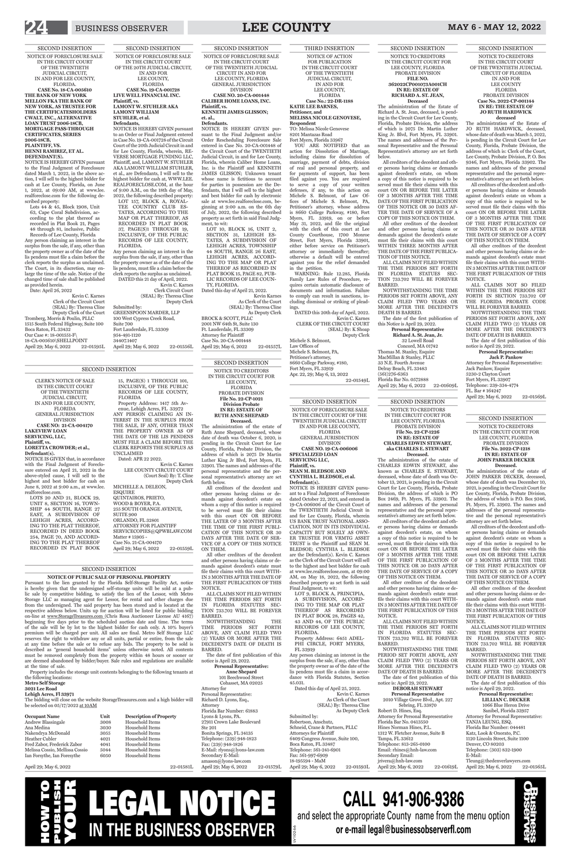# SECOND INSERTION

NOTICE TO CREDITORS IN THE CIRCUIT COURT FOR LEE COUNTY, FLORIDA PROBATE DIVISION **File No. 22-CP-1226 IN RE: ESTATE OF CHARLES EDWIN STEWART, aka CHARLES E. STEWART Deceased.**

The administration of the estate of CHARLES EDWIN STEWART, also known as CHARLES E. STEWART, deceased, whose date of death was October 13, 2021, is pending in the Circuit Court for Lee County, Florida, Probate Division, the address of which is PO Box 2469, Ft. Myers, FL 33902. The names and addresses of the personal representative and the personal representative's attorney are set forth below. All creditors of the decedent and other persons having claims or demands against decedent's estate, on whom a copy of this notice is required to be served, must file their claims with this court ON OR BEFORE THE LATER

2010 Village Grove Blvd., Apt. 227 Sebring, FL 33870 Robert D. Hines, Esq. Attorney for Personal Representative Florida Bar No. 0413550 Hines Norman Hines, P.L. 1312 W. Fletcher Avenue, Suite B Tampa, FL 33612 Telephone: 813-265-0100 Email: rhines@hnh-law.com Secondary Email: jrivera@hnh-law.com April 29; May 6, 2022 22-01619L

OF 3 MONTHS AFTER THE TIME OF THE FIRST PUBLICATION OF THIS NOTICE OR 30 DAYS AFTER THE DATE OF SERVICE OF A COPY OF THIS NOTICE ON THEM. All other creditors of the decedent and other persons having claims or demands against decedent's estate must

file their claims with this court WITH-IN 3 MONTHS AFTER THE DATE OF THE FIRST PUBLICATION OF THIS NOTICE.

ALL CLAIMS NOT FILED WITHIN

THE TIME PERIODS SET FORTH IN FLORIDA STATUTES SEC-TION 733.702 WILL BE FOREVER BARRED.

NOTWITHSTANDING THE TIME PERIOD SET FORTH ABOVE, ANY CLAIM FILED TWO (2) YEARS OR MORE AFTER THE DECEDENT'S DATE OF DEATH IS BARRED. The date of first publication of this notice is: April 29, 2022.

# **DEBORAH STEWART Personal Representative**

NOTWITHSTANDING THE TIME PERIODS SET FORTH ABOVE, ANY CLAIM FILED TWO (2) YEARS OR MORE AFTER THE DECEDENT'S DATE OF DEATH IS BARRED.

Personal Representative: Richard D. Lyons, Esq., Attorney Florida Bar Number: 61883 Lyons & Lyons, PA. 27911 Crown Lake Boulevard Ste 201 Bonita Springs, FL 34135 Telephone: (239) 948-1823 Fax: (239) 948-1826 E-Mail: rlyons@lyons-law.com Secondary E-Mail: amason@lyons-law.com April 29; May 6, 2022 22-01579L

SECOND INSERTION NOTICE TO CREDITORS IN THE CIRCUIT COURT FOR LEE COUNTY, FLORIDA PROBATE DIVISION **File No. 22-CP-1021 Division Probate IN RE: ESTATE OF**

**RUTH ANNE SHEPARD Deceased.** The administration of the estate of

Ruth Anne Shepard, deceased, whose date of death was October 6, 2020, is pending in the Circuit Court for Lee County, Florida, Probate Division, the address of which is 2075 Dr Martin Luther King Jr Blvd, Fort Myers, FL 33901. The names and addresses of the personal representative and the personal representative's attorney are set forth below.

All creditors of the decedent and other persons having claims or demands against decedent's estate on whom a copy of this notice is required to be served must file their claims with this court ON OR BEFORE THE LATER OF 3 MONTHS AFTER THE TIME OF THE FIRST PUBLI-CATION OF THIS NOTICE OR 30 DAYS AFTER THE DATE OF SER-VICE OF A COPY OF THIS NOTICE ON THEM.

**occupation of Property** old Items  $old$  Items old Items old Items old Items old Items Ian Forsythe, Ian Foresythe 6050 Household Items

All other creditors of the decedent and other persons having claims or demands against decedent's estate must file their claims with this court WITH-IN 3 MONTHS AFTER THE DATE OF THE FIRST PUBLICATION OF THIS NOTICE.

ALL CLAIMS NOT FILED WITHIN THE TIME PERIODS SET FORTH IN FLORIDA STATUTES SEC-TION 733.702 WILL BE FOREVER BARRED.

The date of first publication of this notice is April 29, 2022.

## **Personal Representative: Anne Shepard**

101 Beechwood Street Cohasset, MA 02025 Attorney for

> As Clerk of the Court (SEAL) By: Theresa Cline As Deputy Clerk Submitted by: Robertson, Anschutz, Schneid, Crane & Partners, PLLC Attorneys for Plaintiff 6409 Congress Avenue, Suite 100, Boca Raton, FL 33487 Telephone: 561-241-6901 Fax: 561-997-6909 18-195594 - MaM April 29; May 6, 2022 22-01593L

# SECOND INSERTION

**NOTICE OF PUBLIC SALE OF PERSONAL PROPERTY** Pursuant to the lien granted by the Florida Self-Storage Facility Act, notice is hereby given that the undersigned self-storage units will be sold at a public sale by competitive bidding, to satisfy the lien of the Lessor, with Metro Storage LLC as managing agent for Lessor, for rental and other charges due from the undersigned. The said property has been stored and is located at the respective address below. Units up for auction will be listed for public bidding on-line at www.StorageTreasures.com (Chris Rosa Auctioneer License AU 4167) beginning five days prior to the scheduled auction date and time. The terms

> ALL CLAIMS NOT FILED WITHI THE TIME PERIODS SET FORTH IN FLORIDA STATUTES SEC-TION 733.702 WILL BE FOREVER BARRED.

1066 Blue Heron Drive Sanibel, Florida 33957 Attorney for Personal Representative: TANJA LEUNG, ESQ. Florida Bar Number: 044481 Katz, Look & Onorato, P.C. 1120 Lincoln Street, Suite 1100 Denver, CO 80203 Telephone: (303) 832-1900 E-Mail: Tleung@thedenverlawyers.com April 29; May 6, 2022 22-01565L

of the sale will be by lot to the highest bidder for cash only. A 10% buyer's premium will be charged per unit. All sales are final. Metro Self Storage LLC reserves the right to withdraw any or all units, partial or entire, from the sale at any time before the sale or to refuse any bids. The property to be sold is described as "general household items" unless otherwise noted. All contents must be removed completely from the property within 48 hours or sooner or are deemed abandoned by bidder/buyer. Sale rules and regulations are available at the time of sale.

Property includes the storage unit contents belonging to the following tenants at the following locations:

# **Metro Self Storage**

### **3021 Lee Road**

# **Lehigh Acres, Fl 33971**

The bidding will close on the website StorageTreasures.com and a high bidder will be selected on 05/17/2022 at 10AM

| <b>Occupant Name</b>            | Unit | Descrip |
|---------------------------------|------|---------|
| Andrew Blassingale              | 3008 | Househ  |
| Ana Medina                      | 3030 | Househ  |
| Nakendrya McDonald              | 3055 | Househ  |
| Heather Cubler                  | 4021 | Househ  |
| Fred Zabor, Frederick Zabor     | 4041 | Househ  |
| Melissa Cossio, Mellissa Cossio | 5044 | Househ  |
| Ian Forsythe, Ian Foresythe     | 6050 | Househ  |
|                                 |      |         |

SERVICECOPIES@QPWBLAW.COM Matter # 15905 - Case No. 21-CA-004170 April 29; May 6, 2022 22-01559L

# April 29; May 6, 2022 22-01581L

# SECOND INSERTION NOTICE OF FORECLOSURE SALE IN THE CIRCUIT COURT OF THE

TWENTIETH JUDICIAL CIRCUIT IN AND FOR LEE COUNTY, FLORIDA GENERAL JURISDICTION

DIVISION **CASE NO. 19-CA-006006 SPECIALIZED LOAN SERVICING LLC,**

**Plaintiff, vs. SEAN M. BLEDSOE AND CYNTHIA L. BLEDSOE, et al.**

ALL CLAIMS NOT SO FILED WITHIN THE TIME PERIODS SET FORTH IN SECTION 733.702 OF THE FLORIDA PROBATE CODE WILL BE FOREVER BARRED.

Attorney for Personal Representative: Jack Pankow, Esquire 5230-2 Clayton Court Fort Myers, FL 33907 Telephone: 239-334-4774 FL. Bar # 164247 April 29; May 6, 2022 22-01569L

**Defendant(s).** NOTICE IS HEREBY GIVEN pursuant to a Final Judgment of Foreclosure dated October 22, 2021, and entered in 19-CA-006006 of the Circuit Court of the TWENTIETH Judicial Circuit in and for Lee County, Florida, wherein US BANK TRUST NATIONAL ASSO-CIATION, NOT IN ITS INDIVIDUAL CAPACITY BUT SOLELY AS OWN-ER TRUSTEE FOR VRMTG ASSET TRUST is the Plaintiff and SEAN M. BLEDSOE; CYNTHIA L. BLEDSOE are the Defendant(s). Kevin C. Karnes as the Clerk of the Circuit Court will sell to the highest and best bidder for cash at www.lee.realforeclose.com, at 09:00 AM, on May 18, 2022, the following described property as set forth in said

Final Judgment, to wit: LOT 9, BLOCK A, PRINCIPIA, A SUBDIVISION, ACCORD-ING TO THE MAP OR PLAT THEREOF AS RECORDED IN PLAT BOOK 28, PAGES 42, 43 AND 44, OF THE PUBLIC RECORDS OF LEE COUNTY,

FLORIDA. Property Address: 6451 ADEL-PHI CIRCLE, FORT MYERS, FL 33919

Any person claiming an interest in the surplus from the sale, if any, other than the property owner as of the date of the lis pendens must file a claim in accordance with Florida Statutes, Section 45.031.

Dated this day of April 25, 2022. Kevin C. Karnes SECOND INSERTION

# NOTICE TO CREDITORS IN THE CIRCUIT COURT FOR LEE COUNTY, FLORIDA PROBATE DIVISION **File No. 2022-CP-1218 IN RE: ESTATE OF JOHN PARKER DECKER Deceased.**

The administration of the estate of JOHN PARKER DECKER, deceased, whose date of death was December 10, 2021, is pending in the Circuit Court for Lee County, Florida, Probate Division, the address of which is P.O. Box 9346, Ft. Myers, FL 33902. The names and addresses of the personal representative and the personal representative's attorney are set forth below.

MacMillan & Stanley, PLLC 33 N.E. Fourth Avenue Delray Beach, FL 33483 (561)276-6363 Florida Bar No. 0572888 April 29; May 6, 2022 22-01609L

> All creditors of the decedent and other persons having claims or demands against decedent's estate on whom a copy of this notice is required to be served must file their claims with this court ON OR BEFORE THE LATER OF 3 MONTHS AFTER THE TIME OF THE FIRST PUBLICATION OF THIS NOTICE OR 30 DAYS AFTER THE DATE OF SERVICE OF A COPY OF THIS NOTICE ON THEM.

All other creditors of the decedent and other persons having claims or demands against decedent's estate must file their claims with this court WITH-IN 3 MONTHS AFTER THE DATE OF THE FIRST PUBLICATION OF THIS

(SEAL) By: Theresa Cline As Deputy Clerk BROCK & SCOTT, PLLC 2001 NW 64th St, Suite 130 Ft. Lauderdale, FL 33309 Attorney for Plaintiff Case No. 20-CA-001448 April 29; May 6, 2022 22-01557L

NOTICE.

NOTWITHSTANDING THE TIME PERIODS SET FORTH ABOVE, ANY CLAIM FILED TWO (2) YEARS OR MORE AFTER THE DECEDENT'S DATE OF DEATH IS BARRED.

The date of first publication of this notice is April 29, 2022.

## **Personal Representative: LILLIAN C. DECKER**

NOTICE IS HEREBY GIVEN pursuant to the Final Judgment of Foreclosure dated March 1, 2022, in the above action, I will sell to the highest bidder for cash at Lee County, Florida, on June 1, 2022, at 09:00 AM, at www.lee. realforeclose.com for the following de-

Date: April 26, 2022 Kevin C. Karnes Clerk of the Circuit Court (SEAL) By: Theresa Cline Deputy Clerk of the Court Tromberg, Morris & Poulin, PLLC 1515 South Federal Highway, Suite 100 Boca Raton, FL 33432 Our Case #: 18-001551-F\ 18-CA-005610\SHELLPOINT April 29; May 6, 2022 22-01595L

CLERK'S NOTICE OF SALE IN THE CIRCUIT COURT OF THE TWENTIETH JUDICIAL CIRCUIT, IN AND FOR LEE COUNTY, FLORIDA GENERAL JURISDICTION DIVISION **CASE NO: 21-CA-004170 LAKEVIEW LOAN SERVICING, LLC, Plaintiff, vs. LORETTA CROWDER; et al.,**

**Defendant(s).** NOTICE IS GIVEN that, in accordance with the Final Judgment of Foreclosure entered on April 21, 2022 in the above-styled cause, I will sell to the highest and best bidder for cash on June 8, 2022 at 9:00 a.m., at www.lee. realforeclose.com.

LOTS 20 AND 21, BLOCK 29, UNIT 8, SECTION 16, TOWN-SHIP 44 SOUTH, RANGE 27 EAST, A SUBDIVISION OF LEHIGH ACRES, ACCORD-ING TO THE PLAT THEREOF, RECORDED IN DEED BOOK 254, PAGE 70, AND ACCORD-ING TO THE PLAT THEREOF RECORDED IN PLAT BOOK

GREENSPOON MARDER, LLP 100 West Cypress Creek Road, Suite 700 Fort Lauderdale, FL 33309 954-491-1120 34407.1407 April 29: May 6, 2022 22-01556L

15, PAGE(S) 1 THROUGH 101, INCLUSIVE, OF THE PUBLIC RECORDS OF LEE COUNTY,

FLORIDA

and select the appropriate County name from the menu option **or e-mail legal@businessobserverfl.com** V10266



Property Address: 1417 5th Avenue, Lehigh Acres, FL 33972 ANY PERSON CLAIMING AN IN-TEREST IN THE SURPLUS FROM THE SALE, IF ANY, OTHER THAN THE PROPERTY OWNER AS OF THE DATE OF THE LIS PENDENS MUST FILE A CLAIM BEFORE THE CLERK REPORTS THE SURPLUS AS

UNCLAIMED Dated: APR 22 2022.

Kevin C. Karnes

LEE COUNTY CIRCUIT COURT (Court Seal) By: T. Cline Deputy Clerk MICHELLE A. DELEON, **ESQUIRE** QUINTAIROS, PRIETO, WOOD & BOYER, P.A. 255 SOUTH ORANGE AVENUE, SUITE 900 ORLANDO, FL 32801 ATTORNEY FOR PLAINTIFF

# SECOND INSERTION

# SECOND INSERTION NOTICE TO CREDITORS IN THE CIRCUIT COURT OF THE TWENTIETH JUDICIAL CIRCUIT OF FLORIDA IN AND FOR LEE COUNTY FLORIDA PROBATE DIVISION **Case No. 2022-CP-001144 IN RE: THE ESTATE OF JO RUTH HARDWICK deceased**

The administration of the Estate of JO RUTH HARDWICK, deceased, whose date of death was March 5, 2022, is pending in the Circuit Court for Lee County, Florida, Probate Division, the address of which is: Clerk of the Court, Lee County, Probate Division, P. O. Box 9346, Fort Myers, Florida 33902. The names and addresses of the personal representative and the personal representative's attorney are set forth below.

All creditors of the decedent and other persons having claims or demands against decedent's estate on whom a copy of this notice is required to be served must file their claims with this court ON OR BEFORE THE LATER OF 3 MONTHS AFTER THE TIME OF THE FIRST PUBLICATION OF THIS NOTICE OR 30 DAYS AFTER THE DATE OF SERVICE OF A COPY OF THIS NOTICE ON THEM.

All other creditors of the decedent and other persons having claims or demands against decedent's estate must file their claims with this court WITH-IN 3 MONTHS AFTER THE DATE OF THE FIRST PUBLICATION OF THIS NOTICE.

NOTWITHSTANDING THE TIME PERIODS SET FORTH ABOVE, ANY CLAIM FILED TWO (2) YEARS OR MORE AFTER THE DECEDENT'S DATE OF DEATH IS BARRED. The date of first publication of this

notice is April 29, 2022.

## **Personal Representative: Jack P. Pankow**

THIRD INSERTION NOTICE OF ACTION FOR PUBLICATION IN THE CIRCUIT COURT OF THE TWENTIETH JUDICIAL CIRCUIT, IN AND FOR LEE COUNTY, FLORIDA **Case No.: 22-DR-1188 KATIE LEE BARNES, Petitioner, and MELISSA NICOLE GENOVESE, Respondent** 

TO: Melissa Nicole Genovese 8201 Mantazas Road Fort Myers, Florida 33967 YOU ARE NOTIFIED that an

action for Dissolution of Marriage, including claims for dissolution of marriage, payment of debts, division of real and personal property, and for payments of support, has been filed against you. You are required to serve a copy of your written defenses, if any, to this action on Michele S. Belmont, of Law Offices of Michele S. Belmont, PA, Petitioner's attorney, whose address is 8660 College Parkway, #180, Fort Myers, FL 33919, on or before May 31, 2022, and file the original with the clerk of this court at Lee County Courthouse, 1700 Monroe Street, Fort Myers, Florida 33901, either before service on Petitioner's attorney or immediately thereafter; otherwise a default will be entered against you for the relief demanded in the petition.

WARNING: Rule 12.285, Florida Family Law Rules of Procedure, requires certain automatic disclosure of documents and information. Failure to comply can result in sanctions, including dismissal or striking of pleadings.

DATED this 20th day of April, 2022. Kevin C. Karnes CLERK OF THE CIRCUIT COURT (SEAL) By: K Shoap Deputy Clerk

Michele S. Belmont, Law Offices of Michele S. Belmont, PA, Petitioner's attorney, 8660 College Parkway, #180, Fort Myers, FL 33919 Apr. 22, 29; May 6, 13, 2022 22-01549L

SECOND INSERTION NOTICE TO CREDITORS IN THE CIRCUIT COURT FOR LEE COUNTY, FLORIDA PROBATE DIVISION **FILE NO. 362022CP001073A001CH IN RE: ESTATE OF RICHARD A. ST. JEAN,**

**Deceased**

The administration of the Estate of Richard A. St. Jean, deceased, is pending in the Circuit Court for Lee County, Florida, Probate Division, the address of which is 2075 Dr. Martin Luther King Jr. Blvd, Fort Myers, FL 33901. The names and addresses of the Personal Representative and the Personal Representative's attorney are set forth below.

All creditors of the decedent and other persons having claims or demands against decedent's estate, on whom a copy of this notice is required to be served must file their claims with this court ON OR BEFORE THE LATER OF 3 MONTHS AFTER THE TIME DATE OF THE FIRST PUBLICATION OF THIS NOTICE OR 30 DAYS AF-TER THE DATE OF SERVICE OF A COPY OF THIS NOTICE ON THEM.

All other creditors of the decedent and other persons having claims or demands against the decedent's estate must file their claims with this court WITHIN THREE MONTHS AFTER THE DATE OF THE FIRST PUBLICA-TION OF THIS NOTICE.

ALL CLAIMS NOT FILED WITHIN THE TIME PERIODS SET FORTH IN FLORIDA STATUES SEC-TION 733.702 WILL BE FOREVER BARRED.

NOTWITHSTANDING THE TIME PERIODS SET FORTH ABOVE, ANY CLAIM FILED TWO YEARS OR MORE AFTER THE DECEDENT'S DEATH IS BARRED. The date of the first publication of this Notice is April 29, 2022.

**Personal Representative Richard A. St. Jean, Jr.** 32 Lowell Road Concord, MA 01742 Thomas M. Stanley, Esquire

SECOND INSERTION

# NOTICE OF FORECLOSURE SALE IN THE CIRCUIT COURT OF THE TWENTIETH JUDICIAL CIRCUIT IN AND FOR LEE COUNTY, FLORIDA GENERAL JURISDICTION DIVISION **CASE NO. 20-CA-001448**

**CALIBER HOME LOANS, INC. Plaintiff, vs. KENNETH JAMES GLISSON; et. al., Defendants.**

NOTICE IS HEREBY GIVEN pursuant to the Final Judgment and/or Order Rescheduling Foreclosure Sale entered in Case No. 20-CA-001448 of the Circuit Court of the TWENTIETH Judicial Circuit, in and for Lee County, Florida, wherein Caliber Home Loans, Inc. is the Plaintiff and KENNETH JAMES GLISSON; Unknown tenant whose name is fictitious to account for parties in possession are the Defendants, that  $\overline{I}$  will sell to the highest and best bidder for cash by electronic sale at www.lee.realforeclose.com, beginning at 9:00 a.m. on the 6th day of July, 2022, the following described property as set forth in said Final Judgment, to wit:

LOT 10, BLOCK 16, UNIT 2, SECTION 31, LEHIGH ES-TATES, A SUBDIVISION OF LEHIGH ACRES, TOWNSHIP 44 SOUTH, RANGE 26 EAST, LEHIGH ACRES, ACCORD-ING TO THE MAP OR PLAT THEREOF AS RECORDED IN PLAT BOOK 15, PAGE 82, PUB-LIC RECORDS OF LEE COUN-TY, FLORIDA.

Dated this day of April 21, 2022. Kevin Karnes As Clerk of the Court

SECOND INSERTION NOTICE OF FORECLOSURE SALE IN THE CIRCUIT COURT OF THE TWENTIETH JUDICIAL CIRCUIT, IN AND FOR LEE COUNTY, FLORIDA. **CASE No. 18-CA-005610**

**THE BANK OF NEW YORK MELLON FKA THE BANK OF NEW YORK, AS TRUSTEE FOR THE CERTIFICATESHOLDERS CWALT, INC., ALTERNATIVE LOAN TRUST 2006-18CB, MORTGAGE PASS-THROUGH CERTIFICATES, SERIES 2006-18CB, PLAINTIFF, VS.**

# **HENNI RAMIREZ, ET AL. DEFENDANT(S).**

scribed property: Lots 44 & 45, Block 1908, Unit 63, Cape Coral Subdivision, according to the plat thereof as recorded in Plat Book 21, Pages 48 through 81, inclusive, Public Records of Lee County, Florida

Any person claiming an interest in the surplus from the sale, if any, other than the property owner as of the date of the lis pendens must file a claim before the clerk reports the surplus as unclaimed. The Court, in its discretion, may enlarge the time of the sale. Notice of the changed time of sale shall be published as provided herein.

SECOND INSERTION

NOTICE OF FORECLOSURE SALE IN THE CIRCUIT COURT OF THE 20TH JUDICIAL CIRCUIT, IN AND FOR LEE COUNTY, FLORIDA **CASE No. 19-CA-001728 LIVE WELL FINANCIAL INC. Plaintiff, vs. LAMONT W. STUHLER AKA LAMONT WILLIAM STUHLER, et al. Defendants,**

NOTICE IS HEREBY GIVEN pursuant to an Order or Final Judgment entered in Case No. 19-CA-001728 of the Circuit Court of the 20th Judicial Circuit in and for Lee County, Florida, wherein, RE-VERSE MORTGAGE FUNDING LLC, Plaintiff, and, LAMONT W. STUHLER AKA LAMONT WILLIAM STUHLER, et al., are Defendants, I will sell to the highest bidder for cash at, WWW.LEE. REALFORECLOSE.COM, at the hour of 9:00 A.M., on the 18th day of May, 2022, the following described property: LOT 157, BLOCK A, ROYAL-

TEE COUNTRY CLUB ES-TATES, ACCORDING TO THE MAP OR PLAT THEREOF, AS RECORDED IN PLAT BOOK 37, PAGE(S)1 THROUGH 19, INCLUSIVE, OF THE PUBLIC RECORDS OF LEE COUNTY, FLORIDA.

Any person claiming an interest in the surplus from the sale, if any, other than the property owner as of the date of the lis pendens, must file a claim before the clerk reports the surplus as unclaimed. DATED this 21 day of April, 2022. Kevin C. Karnes

Clerk Circuit Court (SEAL) By: Theresa Cline Deputy Clerk Submitted by:

LV10266

# **CALL 941-906-9386**

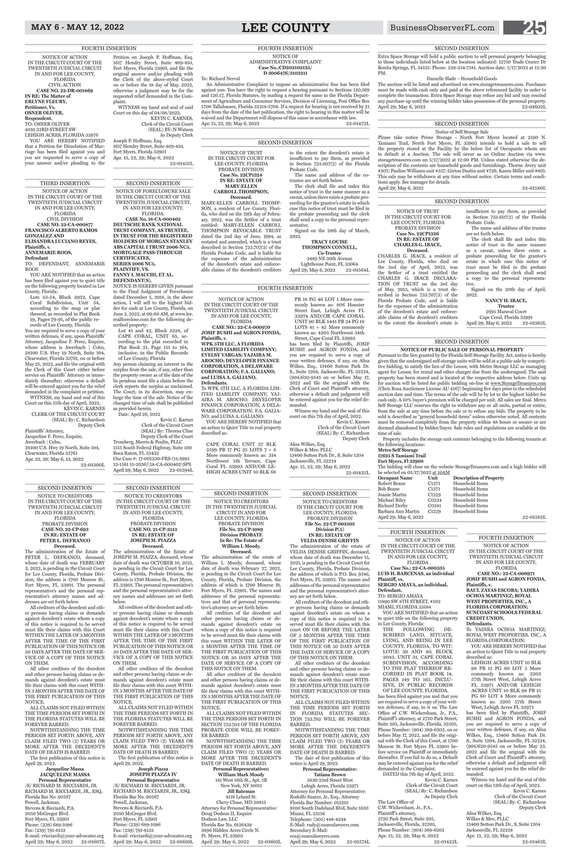# MAY 6 - MAY 12, 2022 **LEE COUNTY** BusinessObserverFL.com **25**

An Administrative Complaint to impose an administrative fine has been filed against you. You have the right to request a hearing pursuant to Sections 120.569 and 120.57, Florida Statutes, by mailing a request for same to the Florida Department of Agriculture and Consumer Services, Division of Licensing, Post Office Box 5708 Tallahassee, Florida 32314-5708. If a request for hearing is not received by 21 days from the date of the last publication, the right to hearing in this matter will be waived and the Department will dispose of this cause in accordance with law. Apr. 15, 22, 29; May 6, 2022 22-01472L

# FOURTH INSERTION NOTICE OF ADMINISTRATIVE COMPLAINT **Case No.:CD202102125/ D 3006476/3103211**

To: Richard Nerval

# THIRD INSERTION

NOTICE OF ACTION IN THE CIRCUIT COURT OF THE TWENTIETH JUDICIAL CIRCUIT IN AND FOR LEE COUNTY, FLORIDA CIVIL DIVISION **CASE NO. 22-CA-000877 FRANCISCO ALBERTO RAMOS GONZALEZ AND ELISANDRA LUCIANO REYES,** 

# **Plaintiffs, v.**

- **ANNEMARIE ROOS,**
- **Defendant**

TO: DEFENDANT, ANNEMARIE ROOS

YOU ARE NOTIFIED that an action has been filed against you to quiet title on the following property located in Lee County, Florida:

Lots 53-54, Block 3932, Cape Coral Subdivision, Unit 54, according to the map or plat thereof, as recorded in Plat Book 19, Pages 79-91, of the public records of Lee County, Florida

You are required to serve a copy of your written defenses, if any, upon Plaintiffs' Attorney, Jacqueline F. Perez, Esquire, whose address is Awerbach | Cohn, 28100 U.S. Hwy 19 North, Suite 104, Clearwater, Florida 33761, on or before May 25, 2022, and file the original with the Clerk of this Court either before service on Plaintiffs' Attorney or immediately thereafter; otherwise a default will be entered against you for the relief demanded in the complaint or petition. WITNESS, my hand and seal of this

> 3830 23rd Street West Lehigh Acres, Florida 33971 Attorney for Personal Representative: Rodolfo Suarez, Jr., Esq., Attorney Florida Bar Number: 013201 9100 South Dadeland Blvd, Suite 1620 Miami, FL 33156 Telephone: (305) 448-4244 E-Mail: rudy@suarezlawyers.com Secondary E-Mail: eca@suarezlawyers.com April 29; May 6, 2022 22-01574L

Court on this 15th day of April, 2022. KEVIN C. KARNES CLERK OF THE CIRCUIT COURT (SEAL) By: C. Richardson Deputy Clerk

Plaintiffs' Attorney, Jacqueline F. Perez, Esquire, Awerbach | Cohn, 28100 U.S. Hwy 19 North, Suite 104, Clearwater, Florida 33761 Apr. 22, 29; May 6, 13, 2022 22-01500L

> SECOND INSERTION NOTICE TO CREDITORS IN THE CIRCUIT COURT FOR LEE COUNTY, FLORIDA PROBATE DIVISION **File No. 22-CP-001303 Division P(5) IN RE: ESTATE OF VELDA DENISE GRIFFIN** The administration of the estate of VELDA DENISE GRIFFIN, deceased, whose date of death was December 15, 2021, is pending in the Circuit Court for Lee County, Florida, Probate Division, the address of which is P.O. Box 9346, Fort Myers, FL 33902. The names and addresses of the personal representative and the personal representative's attor-

**Personal Representatives: William Mark Moody** 141 West 16th St., Apt. 5B New York, NY 10011 **Jill Bateman** 4116 Leland St. Chevy Chase, MD 20815 Attorney for Personal Representative: Doug Dodson II, Esquire Dodson Law, LLC Florida Bar No. 0126439 3896 Hidden Acres Circle N. Ft. Myers, FL 33903 April 29; May 6, 2022 22-01601L ney are set forth below. All creditors of the decedent and other persons having claims or demands against decedent's estate on whom a copy of this notice is required to be served must file their claims with this court ON OR BEFORE THE LATER OF 3 MONTHS AFTER THE TIME OF THE FIRST PUBLICATION OF THIS NOTICE OR 30 DAYS AFTER THE DATE OF SERVICE OF A COPY OF THIS NOTICE ON THEM. All other creditors of the decedent and other persons having claims or demands against decedent's estate must file their claims with this court WITH-IN 3 MONTHS AFTER THE DATE OF THE FIRST PUBLICATION OF THIS NOTICE.

ALL CLAIMS NOT FILED WITHIN THE TIME PERIODS SET FORTH IN FLORIDA STATUTES SEC-TION 733.702 WILL BE FOREVER BARRED.

NOTWITHSTANDING THE TIME PERIODS SET FORTH ABOVE, ANY CLAIM FILED TWO (2) YEARS OR MORE AFTER THE DECEDENT'S DATE OF DEATH IS BARRED.

# **Jacqueline Massa JACQUELINE MASSA Personal Representative** /S/ RICHARD M. RICCIARDI, JR. RICHARD M. RICCIARDI, JR., ESQ. Florida Bar No. 90567 Powell, Jackman, Stevens & Ricciardi, P.A. 2050 McGregor Blvd. Fort Myers, FL 33901 Phone: (239) 689-1096 Fax: (239) 791-8132 E-mail: rricciardi@your-advocates.org April 29; May 6, 2022 22-01607L

The date of first publication of this notice is April 29, 2022.

**Personal Representative: Tatiana Brown**

SECOND INSERTION

NOTICE TO CREDITORS IN THE TWENTIETH JUDICIAL CIRCUIT IN AND FOR LEE COUNTY, FLORIDA PROBATE DIVISION **File No. 22-CP-1089 Division PROBATE In Re: The Estate of William L Moody,**

# **Deceased.**

The administration of the estate of William L Moody, deceased, whose date of death was February 27, 2022, is pending in the Circuit Court for Lee County, Florida, Probate Division, the address of which is 1700 Monroe St, Fort Myers, FL 33901. The names and addresses of the personal representatives and that of personal representa-

/S/ RICHARD M. RICCIARDI, JR. RICHARD M. RICCIARDI, JR., ESQ. Florida Bar No. 90567 Powell, Jackman, Stevens & Ricciardi, P.A. 2050 McGregor Blvd. Fort Myers, FL 33901 Phone: (239) 689-1096 Fax: (239) 791-8132 E-mail: rricciardi@your-advocates.org April 29; May 6, 2022 22-01610L

tive's attorney are set forth below. All creditors of the decedent and other persons having claims or demands against decedent's estate on

whom a copy of this notice is required to be served must file their claims with this court WITHIN THE LATER OF 3 MONTHS AFTER THE TIME OF THE FIRST PUBLICATION OF THIS NOTICE OR 30 DAYS AFTER THE DATE OF SERVICE OF A COPY OF THIS NOTICE ON THEM.

YOU ARE HEREBY NOTIFIED that an action to Quiet Title to real property described as:

All other creditors of the decedent and other persons having claims or demands against decedent's estate must file their claims with this court WITH-IN 3 MONTHS AFTER THE DATE OF THE FIRST PUBLICATION OF THIS NOTICE.

ALL CLAIMS NOT FILED WITHIN THE TIME PERIODS SET FORTH IN SECTION 733.702 OF THE FLORIDA PROBATE CODE WILL BE FOREV-ER BARRED.

NOTWITHSTANDING THE TIME PERIODS SET FORTH ABOVE, ANY CLAIM FILED TWO (2) YEARS OR MORE AFTER THE DECEDENT'S DATE OF DEATH IS BARRED.

# SECOND INSERTION

NOTICE TO CREDITORS IN THE CIRCUIT COURT OF THE TWENTIETH JUDICIAL CIRCUIT IN AND FOR LEE COUNTY, FLORIDA PROBATE DIVISION **CASE NO. 22-CP-693 IN RE: ESTATE OF PETER L. DEFRANCO Deceased.**

The administration of the Estate of PETER L. DEFRANCO, deceased, whose date of death was FEBRUARY 3, 2022, is pending in the Circuit Court for Lee County, Florida, Probate Division, the address is 1700 Monroe St., Fort Myers, FL 33901. The personal representative's and the personal representative's attorney names and addresses are set forth below.

All creditors of the decedent and other persons having claims or demands against decedent's estate whom a copy of this notice is required to be served

must file their claims with this Court WITHIN THE LATER OF 3 MONTHS AFTER THE TIME OF THE FIRST PUBLICATION OF THIS NOTICE OR 30 DAYS AFTER THE DATE OF SER-VICE OF A COPY OF THIS NOTICE ON THEM.

All other creditors of the decedent and other persons having claims or demands against decedent's estate must<br>file their claims with this court WITHclaims with this court WITH-IN 3 MONTHS AFTER THE DATE OF THE FIRST PUBLICATION OF THIS NOTICE.

Kevin C. Karnes Clerk of the Circuit Court (SEAL) By: Theresa Cline Deputy Clerk of the Court Tromberg, Morris & Poulin, PLLC 1515 South Federal Highway, Suite 100 Boca Raton, FL 33432 Our Case #: 17-001230-FRS-(11-3995 13-1561 15-2036)\18-CA-000402\SPS April 29; May 6, 2022 22-01594L

ALL CLAIMS NOT FILED WITHIN THE TIME PERIODS SET FORTH IN THE FLORIDA STATUTES WILL BE FOREVER BARRED.

NOTWITHSTANDING THE TIME PERIODS SET FORTH ABOVE, ANY CLAIM FILED TWO (2) YEARS OR MORE AFTER THE DECEDENT'S DATE OF DEATH IS BARRED.

The first publication of this notice is April 29, 2022.

# SECOND INSERTION

NOTICE TO CREDITORS IN THE CIRCUIT COURT OF THE TWENTIETH JUDICIAL CIRCUIT IN AND FOR LEE COUNTY, FLORIDA PROBATE DIVISION **CASE NO. 21-CP-3513 IN RE: ESTATE OF JOSEPH M. PIAZZA Deceased.**

The administration of the Estate of JOSEPH M. PIAZZA, deceased, whose date of death was OCTOBER 10, 2021, is pending in the Circuit Court for Lee County, Florida, Probate Division, the address is 1700 Monroe St., Fort Myers, FL 33901. The personal representative's and the personal representative's attorney names and addresses are set forth below.

3489 NE 30th Avenue Lighthouse Point, FL 33064<br>29: May 6, 2022 22-01564L April 29; May 6, 2022

All creditors of the decedent and other persons having claims or demands against decedent's estate whom a copy of this notice is required to be served must file their claims with this Court WITHIN THE LATER OF 3 MONTHS AFTER THE TIME OF THE FIRST PUBLICATION OF THIS NOTICE OR 30 DAYS AFTER THE DATE OF SER-VICE OF A COPY OF THIS NOTICE ON THEM. All other creditors of the decedent and other persons having claims or demands against decedent's estate must file their claims with this court WITH-IN 3 MONTHS AFTER THE DATE OF THE FIRST PUBLICATION OF THIS NOTICE. ALL CLAIMS NOT FILED WITHIN THE TIME PERIODS SET FORTH IN THE FLORIDA STATUTES WILL BE FOREVER BARRED. NOTWITHSTANDING THE TIME PERIODS SET FORTH ABOVE, ANY CLAIM FILED TWO (2) YEARS OR MORE AFTER THE DECEDENT'S DATE OF DEATH IS BARRED.

Signed on the 20th day of April, 2022.

Cape Coral, Florida 33991 April 29; May 6, 2022 22-01563L

The first publication of this notice is April 29, 2022.

# **Joseph Piazza JOSEPH PIAZZA IV Personal Representative**

FOURTH INSERTION NOTICE OF ACTION IN THE CIRCUIT COURT OF THE TWENTIETH JUDICIAL CIRCUIT IN AND FOR LEE COUNTY, FLORIDA **CASE NO.: 22-CA-000971 JOSIF BUSHI and AGRON FONDA, Plaintiffs, v. RAUL ZAYAS ESCOBA; YADIRA** 

**OCHOA MARTINEZ; ROYAL WEST PROPERTIES, INC., A FLORIDA CORPORATION; SUNCOAST SCHOOLS FEDERAL CREDIT UNION, Defendants.** 

To YADIRA OCHOA MARTINEZ; ROYAL WEST PROPERTIES, INC., A FLORIDA CORPORATION:

LEHIGH ACRES UNIT 10 BLK 98 PB 15 PG 60 LOT 5 More commonly known as: 3203 57th Street West, Lehigh Acres FL 33971 AND/OR LEHIGH ACRES UNIT 10 BLK 98 PB 15 PG 60 LOT 4 More commonly known as: 3205 57th Street West, Lehigh Acres FL 33971

The bidding will close on the website StorageTreasures.com and a high bidder will be selected on  $05/17/2022$  at  $10AM$ <br>Occupant Name Unit  $Description of Property$ 

> has been filed by Plaintiffs, JOSIF BUSHI and AGRON FONDA, and you are required to serve a copy of your written defenses, if any, on Alisa Wilkes, Esq., 13400 Sutton Park Dr. S., Suite 1204, Jacksonville, FL 32224, (904)620-9545 on or before May 23, 2022 and file the original with the Clerk of Court and Plaintiff's attorney, otherwise a default and judgment will be entered against you for the relief demanded.

> Witness my hand and the seal of this court on this 12th day of April, 2022.

Kevin C. Karnes Clerk of the Circuit Court (SEAL) By: C. Richardson Deputy Clerk

Alisa Wilkes, Esq. Wilkes & Mee, PLLC 13400 Sutton Park Dr., S, Suite 1204 Jacksonville, FL 32224 Apr. 15, 22, 29; May 6, 2022 22-01463L

# FOURTH INSERTION

| NOTICE OF ACTION            |
|-----------------------------|
| IN THE CIRCUIT COURT OF THE |
| TWENTIETH JUDICIAL CIRCUIT  |
| IN AND FOR LEE COUNTY,      |
| <b>FLORIDA</b>              |

**Case No.: 22-CA-000335 LUIS H. BARCENAS, an individual Plaintiff, vs.** 

The auction will be listed and advertised on www.storagetreasures.com. Purchases must be made with cash only and paid at the above referenced facility in order to complete the transaction. Extra Space Storage may refuse any bid and may rescind any purchase up until the winning bidder takes possession of the personal property. April 29; May 6, 2022 22-01602L

**SERGIO AMAYA, an individual, Defendant.** 

TO: SERGIO AMAYA 11890 SW 8TH STREET, #502

MIAMI, FLORIDA 33184 YOU ARE NOTIFIED that an action to quiet title on the following property

in Lee County, Florida: FOLLOWING DE-SCRIBED LAND, SITUATE, LYING, AND BEING IN LEE COUNTY, FLORIDA, TO WIT: LOT(S) 39 AND 40, BLOCK 2043, UNIT 31, CAPE CORAL SUBDIVISION, ACCORDING TO THE PLAT THEREOF RE-CORDED IN PLAT BOOK 14, PAGES 149 TO 165, INCLU-SIVE, IN PUBLIC RECORDS OF LEE COUNTY, FLORIDA.

has been filed against you and that you are required to serve a copy of your written defenses, if any, to it on The Law Office of C.W. Wickersham, Jr., P.A., Plaintiff 's attorney, at 2720 Park Street, Suite 205, Jacksonville, Florida, 32205, Phone Number: (904) 389-6202, on or before May 17, 2022, and file the original with the Clerk of this Court, at 1700 Monroe St. Fort Myers FL 33901 before service on Plaintiff or immediately thereafter. If you fail to do so, a Default may be entered against you for the relief demanded in the Complaint. DATED this 7th day of April, 2022. Kevin C. Karnes Clerk of the Circuit Court

(SEAL) By: C. Richardson As Deputy Clerk The Law Office of

C.W. Wickersham, Jr., P.A., Plaintiff's attorney, 2720 Park Street, Suite 205, Jacksonville, Florida, 32205, Phone Number: (904) 389-6202 Apr. 15, 22, 29; May 6, 2022 22-01422L

# SECOND INSERTION

NOTICE OF FORECLOSURE SALE IN THE CIRCUIT COURT OF THE TWENTIETH JUDICIAL CIRCUIT, IN AND FOR LEE COUNTY,

FLORIDA. **CASE No. 18-CA-000402 DEUTSCHE BANK NATIONAL TRUST COMPANY, AS TRUSTEE, IN TRUST FOR THE REGISTERED HOLDERS OF MORGAN STANLEY ABS CAPITAL I TRUST 2006-NC5, MORTGAGE PASS-THROUGH CERTIFICATES, SERIES 2006 NC5,**

**PLAINTIFF, VS. FANNY I. MACCHI, ET AL. DEFENDANT(S).**

NOTICE IS HEREBY GIVEN pursuant to the Final Judgment of Foreclosure dated December 5, 2018, in the above action, I will sell to the highest bidder for cash at Lee County, Florida, on June 3, 2022, at 09:00 AM, at www.lee. realforeclose.com for the following described property:

Lot 41 and 42, Block 3328, of CAPE CORAL, UNIT 65, according to the plat recorded in Plat Book 21, Page 151 to 164, inclusive, in the Public Records of Lee County, Florida

Any person claiming an interest in the surplus from the sale, if any, other than the property owner as of the date of the lis pendens must file a claim before the clerk reports the surplus as unclaimed. The Court, in its discretion, may enlarge the time of the sale. Notice of the changed time of sale shall be published as provided herein. Date: April 26, 2022

NOTICE OF ACTION IN THE CIRCUIT COURT OF THE TWENTIETH JUDICIAL CIRCUIT IN AND FOR LEE COUNTY, FLORIDA CIVIL ACTION **CASE NO. 22-DR-001869 IN RE: The Matter of ERLYNE FLEURY, Petitioner, Vs. OSNER OLIVER, Respondent.** TO: OSNER OLIVER 4010 33RD STREET SW

LEHIGH ACRES, FLORIDA 33976 YOU ARE HEREBY NOTIFIED that a Petition for Dissolution of Marriage has been filed against you and you are requested to serve a copy of your answer and/or pleading to the

Petition on Joseph P. Hoffman, Esq. 1617 Hendry Street, Suite 409-410, Fort Myers, Florida 33901, and file the original answer and/or pleading with the Clerk of the above-styled Court on or before the 18 day of May, 2022, otherwise a judgment may be for the requested relief demanded in the Complaint. WITNESS my hand and seal of said Court on this day of 04/08/2022.

KEVIN C. KARNES, Clerk of the Circuit Court (SEAL) BY: N Watson

As Deputy Clerk Joseph P. Hoffman, Esq. 1617 Hendry Street, Suite 409-410, Fort Myers, Florida 33901 Apr. 15, 22, 29; May 6, 2022 22-01431L

# FOURTH INSERTION

NOTICE OF TRUST IN THE CIRCUIT COURT FOR LEE COUNTY, FLORIDA PROBATE DIVISION **Case No. 22CP1324 IN RE: ESTATE OF MARY-ELLEN** 

**CARROLL THOMPSON, Deceased.** MARY-ELLEN CARROLL THOMP-

SON, a resident of Lee County, Florida, who died on the 19th day of February, 2022, was the Settlor of a trust entitled: MARY-ELLEN CARROLL THOMPSON REVOCABLE TRUST dated the 2nd day of June, 1994, as restated and amended, which is a trust described in Section 733.707(3) of the Florida Probate Code, and is liable for the expenses of the administration of the decedent's estate and enforceable claims of the decedent's creditors

to the extent the decedent's estate is insufficient to pay them, as provided in Section 733.607(2) of the Florida Probate Code. The name and address of the co-

trustee are set forth below. The clerk shall file and index this

notice of trust in the same manner as a caveat, unless there exists a probate proceeding for the grantor's estate in which case this notice of trust must be filed in the probate proceeding and the clerk shall send a copy to the personal representative.

Signed on the 28th day of March, 2022. **TRACY LOUISE** 

> **THOMPSON CONNELL, Co-Trustee**

# SECOND INSERTION

NOTICE OF TRUST IN THE CIRCUIT COURT FOR LEE COUNTY, FLORIDA PROBATE DIVISION **Case No. 22CP1326 IN RE: ESTATE OF CHARLES G. IRACE, Deceased.** CHARLES G. IRACE, a resident of Lee County, Florida, who died on the 2nd day of April, 2022, was the Settlor of a trust entitled the CHARLES G. IRACE DECLARA-TION OF TRUST on the 3rd day of May, 2013, which is a trust described in Section 733.707(3) of the Florida Probate Code, and is liable for the expenses of the administration of the decedent's estate and enforceable claims of the decedent's creditors to the extent the decedent's estate is

insufficient to pay them, as provided in Section 733.607(2) of the Florida Probate Code.

The name and address of the trustee are set forth below.

The clerk shall file and index this notice of trust in the same manner as a caveat, unless there exists a probate proceeding for the grantor's estate in which case this notice of trust must be filed in the probate proceeding and the clerk shall send a copy to the personal representative.

# **NANCY H. IRACE,**

## **Trustee** 2695 Maraval Court

# SECOND INSERTION

NOTICE OF ACTION IN THE CIRCUIT COURT OF THE TWENTIETH JUDICIAL CIRCUIT IN AND FOR LEE COUNTY, FLORIDA

**CASE NO.: 22-CA-000970 JOSIF BUSHI and AGRON FONDA, Plaintiffs, v.** 

**WPK 5TH LLC, A FLORIDA LIMITED LIABILITY COMPANY; EVELSY VARGAS; YAJAIRA M. AROCHO; DEVELOPER FINANCE CORPORATION, A DELAWARE CORPORATION; F.A. GALIANO; and LUISA A. GALIANO, Defendants.** 

To WPK 5TH LLC, A FLORIDA LIM-ITED LIABILITY COMPANY: YAL-AIRA M. AROCHO; DEVELOPER FINANCE CORPORATION, A DELA-WARE CORPORATION; F.A. GALIA-NO; and LUISA A. GALIANO: YOU ARE HEREBY NOTIFIED that

an action to Quiet Title to real property described as:

CAPE CORAL UNIT 37 BLK 2599 PB 17 PG 25 LOTS 7 + 8 More commonly known as: 314 Northwest 5th Terrace, Cape Coral FL 33993 AND/OR LE-HIGH ACRES UNIT 10 BLK 68

PB 18 PG 46 LOT 1 More commonly known as: 806 Hoosier Street East, Lehigh Acres FL 33974 AND/OR CAPE CORAL UNIT 90 BLK 5441 PB 24 PG 18 LOTS 41 + 42 More commonly known as: 4205 Northwest 34th

Street, Cape Coral FL 33993 has been filed by Plaintiffs, JOSIF BUSHI and AGRON FONDA, and you are required to serve a copy of your written defenses, if any, on Alisa Wilkes, Esq., 13400 Sutton Park Dr. S., Suite 1204, Jacksonville, FL 32224, (904)620-9545 on or before May 17,  $2022$  and file the original with the Clerk of Court and Plaintiff's attorney, otherwise a default and judgment will be entered against you for the relief demanded.

Witness my hand and the seal of this court on this 7th day of April, 2022.

Kevin C. Karnes Clerk of the Circuit Court (SEAL) By: C. Richardson Deputy Clerk Alisa Wilkes, Esq.

Wilkes & Mee, PLLC 13400 Sutton Park Dr., S, Suite 1204 Jacksonville, FL 32224 Apr. 15, 22, 29; May 6, 2022 22-01425L

# FOURTH INSERTION

# SECOND INSERTION

**NOTICE OF PUBLIC SALE OF PERSONAL PROPERTY** Pursuant to the lien granted by the Florida Self-Storage Facility Act, notice is hereby given that the undersigned self-storage units will be sold at a public sale by competitive bidding, to satisfy the lien of the Lessor, with Metro Storage LLC as managing agent for Lessor, for rental and other charges due from the undersigned. The said property has been stored and is located at the respective address below. Units up for auction will be listed for public bidding on-line at www.StorageTreasures.com (Chris Rosa Auctioneer License AU 4167) beginning five days prior to the scheduled auction date and time. The terms of the sale will be by lot to the highest bidder for cash only. A 10% buyer's premium will be charged per unit. All sales are final. Metro Self Storage LLC reserves the right to withdraw any or all units, partial or entire, from the sale at any time before the sale or to refuse any bids. The property to be sold is described as "general household items" unless otherwise noted. All contents must be removed completely from the property within 48 hours or sooner or are deemed abandoned by bidder/buyer. Sale rules and regulations are available at the time of sale.

Property includes the storage unit contents belonging to the following tenants at the following locations:

**Metro Self Storage**

# **17625 S Tamiami Trail Fort Myers, Fl 33908**

| Robert Beane          | C <sub>1371</sub> | Household Items |           |
|-----------------------|-------------------|-----------------|-----------|
| Bob Beane             | C <sub>1371</sub> | Household Items |           |
| Joanie Martin         | C <sub>1229</sub> | Household Items |           |
| Michael Riley         | C0224             | Household Items |           |
| Richard Derby         | C0341             | Household Items |           |
| Barbara Ann Martin    | C <sub>1229</sub> | Household Items |           |
| April 29; May 6, 2022 |                   |                 | 22-01582L |
|                       |                   |                 |           |

# SECOND INSERTION

Notice of Self Storage Sale Please take notice Prime Storage - North Fort Myers located at 2590 N. Tamiami Trail, North Fort Myers, FL 33903 intends to hold a sale to sell the property stored at the Facility by the below list of Occupants whom are in default at a Auction. The sale will occur as an Online Auction via www. storagetreasures.com on 5/17/2022 at 12:00 PM. Unless stated otherwise the description of the contents are household goods and furnishings. Thorne Avery unit #307; Pauline Williams unit #557; Girton Dustin unit #726; Karen Miller unit #801. This sale may be withdrawn at any time without notice. Certain terms and condi-

April 29; May 6, 2022 22-01580L

tions apply. See manager for details.

# SECOND INSERTION

Extra Space Storage will hold a public auction to sell personal property belonging to those individuals listed below at the location indicated: 12750 Trade Center Dr Bonita Springs, FL 34135. Phone: 239-354-7181. Auction date: 5/17/2022 at 12:30 PM.

## Danielle Slade – Household Goods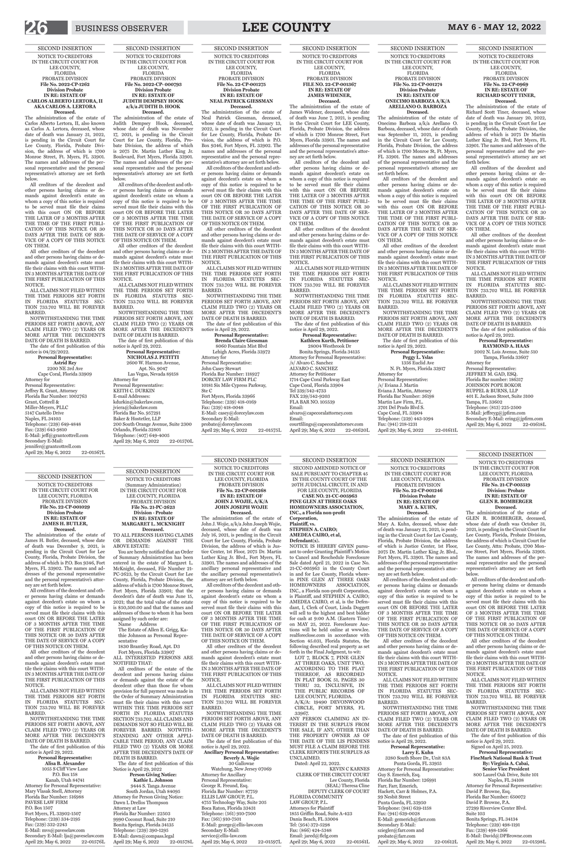SECOND INSERTION NOTICE TO CREDITORS IN THE CIRCUIT COURT FOR LEE COUNTY, FLORIDA PROBATE DIVISION **File No. 22-CP-001246 Division Probate IN RE: ESTATE OF MARY A. KUHN, Deceased.**

The administration of the estate of Mary A. Kuhn, deceased, whose date of death was January 21, 2021, is pending in the Circuit Court for Lee County, Florida, Probate Division, the address of which is Justice Center, 1st Floor, 2075 Dr. Martin Luther King Jr. Blvd., Fort Myers, FL 33901. The names and addresses of the personal representative and the personal representative's attorney are set forth below.

3280 South Shore Dr., Unit 83A Punta Gorda, FL 33955 Attorney for Personal Representative: Guy S. Emerich, Esq. Florida Bar Number: 126991 Farr, Farr, Emerich, Hackett, Carr & Holmes, P.A. 99 Nesbit Street Punta Gorda, FL 33950 Telephone: (941) 639-1158 Fax: (941) 639-0028 E-Mail: gemerich@farr.com Secondary E-Mail: sziegler@farr.com and probate@farr.com April 29; May 6, 2022 22-01612L

All creditors of the decedent and other persons having claims or demands against decedent's estate on whom a copy of this notice is required to be served must file their claims with this court ON OR BEFORE THE LATER OF 3 MONTHS AFTER THE TIME OF THE FIRST PUBLICATION OF THIS NOTICE OR 30 DAYS AFTER

## THE DATE OF SERVICE OF A COPY OF THIS NOTICE ON THEM.

All other creditors of the decedent and other persons having claims or demands against decedent's estate must file their claims with this court WITH-IN 3 MONTHS AFTER THE DATE OF THE FIRST PUBLICATION OF THIS NOTICE.

ALL CLAIMS NOT FILED WITHIN THE TIME PERIODS SET FORTH IN FLORIDA STATUTES SEC-TION 733.702 WILL BE FOREVER BARRED.

**Deceased.**<br>The administration of the estate of GLEN R. BOMBERGER, deceased, whose date of death was October 31, 2021, is pending in the Circuit Court for Lee County, Florida, Probate Division, the address of which is Circuit Court for Lee County, Attn: Probate, 1700 Monroe Street, Fort Myers, Florida 33901. The names and addresses of the personal representative and the personal representative's attorney are set forth below.

NOTWITHSTANDING THE TIME PERIODS SET FORTH ABOVE, ANY CLAIM FILED TWO (2) YEARS OR MORE AFTER THE DECEDENT'S DATE OF DEATH IS BARRED. The date of first publication of this notice is April 29, 2022.

# **Personal Representative: Larry E. Kuhn**

E-Mail: David@DPBrowne.com April 29; May 6, 2022 22-01598L

SECOND INSERTION NOTICE TO CREDITORS IN THE CIRCUIT COURT FOR LEE COUNTY, FLORIDA PROBATE DIVISION **File No. 21-CP-003519 Division: Probate IN RE: ESTATE OF GLEN R. BOMBERGER**

tions will be held online at www.lee. realforeclose.com in accordance with Section 45.031, Florida Statutes, the following described real property as set forth in the Final Judgment, to wit:

All creditors of the decedent and other persons having claims or demands against decedent's estate on whom a copy of this notice is required to be served must file their claims with this court ON OR BEFORE THE LATER OF 3 MONTHS AFTER THE TIME OF THE FIRST PUBLICATION OF THIS NOTICE OR 30 DAYS AFTER

KEVIN C KARNES CLERK OF THE CIRCUIT COURT Lee County, Florida (SEAL) Theresa Cline DEPUTY CLERK OF COURT FLORIDA COMMUNITY LAW GROUP, P.L. Attorneys for Plaintiff 1855 Griffin Road, Suite A-423 Dania Beach, FL 33004 Tel: (954) 372-5298 Fax: (866) 424-5348 Email: jared@flclg.com April 29; May 6, 2022 22-01561L

## THE DATE OF SERVICE OF A COPY OF THIS NOTICE ON THEM.

All other creditors of the decedent and other persons having claims or demands against decedent's estate must file their claims with this court WITH-IN 3 MONTHS AFTER THE DATE OF THE FIRST PUBLICATION OF THIS NOTICE.

**Deceased.**<br>The administration of the estate of Onecimo Barboza a/k/a Arellano O. Barboza, deceased, whose date of death was September 11, 2021, is pending in the Circuit Court for Lee County, Florida, Probate Division, the address of which is 1700 Monroe St, Ft. Myers, FL 33901. The names and addresses of the personal representative and the personal representative's attorney are set forth below.

> ALL CLAIMS NOT FILED WITHIN THE TIME PERIODS SET FORTH IN FLORIDA STATUTES SEC-TION 733.702 WILL BE FOREVER BARRED.

NOTWITHSTANDING THE TIME PERIODS SET FORTH ABOVE, ANY CLAIM FILED TWO (2) YEARS OR MORE AFTER THE DECEDENT'S DATE OF DEATH IS BARRED.

The date of first publication of this notice is April 29, 2022.

Signed on April 25, 2022.

NOTWITHSTANDING THE TIME PERIODS SET FORTH ABOVE, ANY CLAIM FILED TWO (2) YEARS OR MORE AFTER THE DECEDENT'S DATE OF DEATH IS BARRED.

# **Personal Representative: FineMark National Bank & Trust By: Virginia A. Cabai, Senior Vice President** 800 Laurel Oak Drive, Suite 101 Naples, FL 34108 Attorney for Personal Representative: David P. Browne, Esq. Florida Bar Number: 650072 David P. Browne, P.A. 27299 Riverview Center Blvd. Suite 103 Bonita Springs, FL 34134 Telephone: (239) 498-1191 Fax: (239) 498-1366

SECOND INSERTION SECOND AMENDED NOTICE OF SALE PURSUANT TO CHAPTER 45 IN THE COUNTY COURT OF THE 20TH JUDICIAL CIRCUIT, IN AND FOR LEE COUNTY, FLORIDA **CASE NO. 21-CC-005963 PINE GLEN AT THREE OAKS HOMEOWNERS ASSOCIATION, INC., a Florida non-profit** 

**Corporation, Plaintiff, vs. STEPHEN A. CAIRO; AMEDEA CAIRO, et al,**

NOTWITHSTANDING THE TIME PERIODS SET FORTH ABOVE, ANY CLAIM FILED TWO (2) YEARS OR MORE AFTER THE DECEDENT'S DATE OF DEATH IS BARRED.

**Defendant(s).** NOTICE IS HEREBY GIVEN pursuant to order Granting Plaintiff 's Motion to Cancel and Reschedule Foreclosure Sale dated April 21, 2022 in Case No. 21-CC-005963 in the County Court in and for Lee County, Florida wherein PINE GLEN AT THREE OAKS HOMEOWNERS ASSOCIATION, INC., a Florida non-profit Corporation, is Plaintiff, and STEPHEN A. CAIRO; AMEDEA CAIRO, et al, is the Defendant, I, Clerk of Court, Linda Doggett will sell to the highest and best bidder for cash at 9:00 A.M. (Eastern Time) on MAY 25, 2022. Foreclosure Auc-

Tampa, Florida 33607 Attorney for Personal Representative: JEFFREY M. GAD, ESQ. Florida Bar number: 186317 JOHNSON POPE BOKOR RUPPEL & BURNS, LLP 401 E. Jackson Street, Suite 3100 Tampa, FL 33602 Telephone: (813) 225-2500 E-Mail: jeffreyg@jpfirm.com Secondary E-Mail: ering@jpfirm.com April 29; May 6, 2022 22-01618L

LOT 7, BLOCK 7, PINE GLEN AT THREE OAKS, UNIT TWO, ACCORDING TO THE PLAT THEREOF, AS RECORDED IN PLAT BOOK 51, PAGES 30 THRU 32, INCLUSIVE, IN THE PUBLIC RECORDS OF LEE COUNTY, FLORIDA.

A/K/A: 19490 DEVONWOOD CIRCLE, FORT MYERS, FL 33967.

ANY PERSON CLAIMING AN IN-TEREST IN THE SURPLUS FROM THE SALE, IF ANY, OTHER THAN THE PROPERTY OWNER AS OF THE DATE OF THE LIS PENDENS MUST FILE A CLAIM BEFORE THE CLERK REPORTS THE SURPLUS AS UNCLAIMED.

NOTWITHSTANDING THE TIME PERIODS SET FORTH ABOVE, ANY CLAIM FILED TWO (2) YEARS OR MORE AFTER THE DECEDENT'S DATE OF DEATH IS BARRED.

Dated: April 22, 2022.

Attorney for Personal Representative: /s/ Alvaro C. Sanchez ALVARO C. SANCHEZ Attorney for Petitioner 1714 Cape Coral Parkway East Cape Coral, Florida 33904 Tel 239/542-4733 FAX 239/542-9203 FLA BAR NO. 105539 alvaro@capecoralattorney.com courtfilings@capecoralattornev.com April 29; May 6, 2022 22-01620L

SECOND INSERTION NOTICE TO CREDITORS IN THE CIRCUIT COURT FOR LEE COUNTY, FLORIDA PROBATE DIVISION **File No. 22-CP-001274 Division Probate IN RE: ESTATE OF ONECIMO BARBOZA A/K/A ARELLANO O. BARBOZA**

Telephone: (239) 334-2195 Fax: (239) 332-2243 E-Mail: mvs@paveselaw.com Secondary E-Mail: lja@paveselaw.com April 29; May 6, 2022 22-01576L

All creditors of the decedent and other persons having claims or demands against decedent's estate on whom a copy of this notice is required to be served must file their claims with this court ON OR BEFORE THE LATER OF 3 MONTHS AFTER THE TIME OF THE FIRST PUBLI-CATION OF THIS NOTICE OR 30 DAYS AFTER THE DATE OF SER-VICE OF A COPY OF THIS NOTICE ON THEM.

All other creditors of the decedent and other persons having claims or demands against decedent's estate must file their claims with this court WITH-IN 3 MONTHS AFTER THE DATE OF THE FIRST PUBLICATION OF THIS NOTICE.

ALL CLAIMS NOT FILED WITHIN THE TIME PERIODS SET FORTH IN FLORIDA STATUTES SEC-TION 733.702 WILL BE FOREVER BARRED.

The date of first publication of this notice is April 29, 2022. **Personal Representative: Peggy L. Yslas**

1356 Euclid Ave N. Ft. Myers, Florida 33917

9444 S. Tanga Avenue South Jordan, Utah 84095 Attorney for Person Giving Notice: Dawn L Drellos Thompson Attorney at Law Florida Bar Number: 22503 9990 Coconut Road, Suite 210 Bonita Springs, Florida 34135 Telephone: (239) 390-1295 E-Mail: dawn@compass.legal April 29; May 6, 2022 22-01578L

Attorney for Personal Representative: /s/ Eviana J. Martin Eviana J. Martin, Attorney Florida Bar Number: 36198 Martin Law Firm, P.L. 3701 Del Prado Blvd S. Cape Coral, FL 33904 Telephone: (239) 443-1094 Fax: (941) 218-1231

April 29; May 6, 2022 22-01611L

SECOND INSERTION NOTICE TO CREDITORS IN THE CIRCUIT COURT FOR LEE COUNTY, FLORIDA PROBATE DIVISION **File No. 22-CP-0969 IN RE: ESTATE OF RICHARD SCOTT TINER, Deceased.**

The administration of the estate of Richard Scott Tiner, deceased, whose date of death was January 20, 2022, is pending in the Circuit Court for Lee County, Florida, Probate Division, the address of which is 2075 Dr Martin Luther King Jr. Blvd, Fort Myers, FL 33901. The names and addresses of the personal representative and the personal representative's attorney are set forth below.

30 Gallowae Watchung, New Jersey 07069 Attorney for Ancillary Personal Representative: George R. Freund, Esq. Florida Bar Number: 87759 ELLIS LAW GROUP, P.L. 4755 Technology Way, Suite 205 Boca Raton, Florida 33431 Telephone: (561) 910-7500 Fax: (561) 910-7501 E-Mail: george@ellis-law.com Secondary E-Mail: service@ellis-law.com April 29; May 6, 2022 22-01597L

All creditors of the decedent and other persons having claims or demands against decedent's estate on whom a copy of this notice is required to be served must file their claims with this court ON OR BEFORE THE LATER OF 3 MONTHS AFTER THE TIME OF THE FIRST PUBLI-CATION OF THIS NOTICE OR 30 DAYS AFTER THE DATE OF SER-VICE OF A COPY OF THIS NOTICE ON THEM.

All other creditors of the decedent and other persons having claims or demands against decedent's estate must file their claims with this court WITH-IN 3 MONTHS AFTER THE DATE OF THE FIRST PUBLICATION OF THIS NOTICE.

**Deceased.**<br>The administration of the estate of Carlos Alberto Lertora, II, also known as Carlos A. Lertora, deceased, whose date of death was January 31, 2022, is pending in the Circuit Court for Lee County, Florida, Probate Division, the address of which is 1700 Monroe Street, Ft. Myers, FL 33901. The names and addresses of the personal representative and the personal representative's attorney are set forth below.

> ALL CLAIMS NOT FILED WITHIN THE TIME PERIODS SET FORTH IN FLORIDA STATUTES SEC-TION 733.702 WILL BE FOREVER BARRED.

The date of first publication of this notice is April 29, 2022.

**Personal Representative: RAYMOND A. HAAS** 2002 N. Lois Avenue, Suite 510

**Personal Representative: Astrid Rey** 2200 NE 3rd Ave Cape Coral, Florida 33909 Attorney for Personal Representative: Jeffrey R. Grant, Attorney Florida Bar Number: 1002763 Grant, Cottrell & Miller-Meyers, PLLC 5147 Castello Drive Naples, FL 34103 Telephone: (239) 649-4848 Fax: (239) 643-9810 E-Mail: jeff@grantcottrell.com Secondary E-Mail: jennifer@grantcottrell.com April 29; May 6, 2022 22-01567L

SECOND INSERTION NOTICE TO CREDITORS IN THE CIRCUIT COURT FOR LEE COUNTY, FLORIDA PROBATE DIVISION **File No. 2022-CP- 000793 Division Probate IN RE: ESTATE OF JUDITH DEMPSEY HOOK a/k/a JUDITH D. HOOK Deceased.**<br>The administration of the estate of

SECOND INSERTION NOTICE TO CREDITORS IN THE CIRCUIT COURT FOR LEE COUNTY, FLORIDA PROBATE DIVISION **FILE NO. 22-CP-001367 IN RE: ESTATE OF JAMES WIDENER, Deceased.**

The administration of the estate of James Widener, deceased, whose date of death was June 7, 2021, is pending in the Circuit Court for LEE County, Florida, Probate Division, the address of which is 1700 Monroe Street, Fort Myers, Florida 33901. The names and addresses of the personal representative and the personal representative's attorney are set forth below.

NOTWITHSTANDING THE TIME PERIODS SET FORTH ABOVE, ANY CLAIM FILED TWO (2) YEARS OR MORE AFTER THE DECEDENT'S DATE OF DEATH IS BARRED.

All creditors of the decedent and other persons having claims or demands against decedent's estate on whom a copy of this notice is required to be served must file their claims with this court ON OR BEFORE THE LATER OF 3 MONTHS AFTER THE TIME OF THE FIRST PUBLI-CATION OF THIS NOTICE OR 30 DAYS AFTER THE DATE OF SER-VICE OF A COPY OF THIS NOTICE ON THEM.

**Personal Representative: NICHOLAS J. PETITTI** 2600 W. Harmon Avenue, Apt. No. 9047 Las Vegas, Nevada 89158 Attorney for Personal Representative: KEITH C. DURKIN E-mail Addresses: kdurkin@bakerlaw.com, jviera@bakerlaw.com Florida Bar No. 957291 Baker & Hostetler, LLP 200 South Orange Avenue, Suite 2300 Orlando, Florida 32801 Telephone: (407) 649-4005<br>April 29; May 6, 2022 22-01570L April 29; May 6, 2022

All other creditors of the decedent and other persons having claims or demands against decedent's estate must file their claims with this court WITH-IN 3 MONTHS AFTER THE DATE OF THE FIRST PUBLICATION OF THIS NOTICE.

ALL CLAIMS NOT FILED WITHIN THE TIME PERIODS SET FORTH IN FLORIDA STATUTES SEC-TION 733.702 WILL BE FOREVER BARRED.

The date of first publication of this notice is April 29, 2022. **Personal Representative:**

**Kathleen Kurth, Petitioner** 28004 Westbrook Dr Bonita Springs, Florida 34135

Attorney for Personal Representative: John Casey Stewart Florida Bar Number: 118927 DORCEY LAW FIRM PLC 10181 Six Mile Cypress Parkway, Ste C Fort Myers, Florida 33966 Telephone: (239) 418-0169 Fax: (239) 418-0048 E-Mail: casey@dorceylaw.com Secondary E-Mail: probate@dorceylaw.com April 29; May 6, 2022 22-01575L

Email: Email:

# SECOND INSERTION

NOTICE TO CREDITORS IN THE CIRCUIT COURT FOR LEE COUNTY, FLORIDA PROBATE DIVISION **File No. 22-CP-001029 Division Probate IN RE: ESTATE OF JAMES H. BUTLER, Deceased.**

The administration of the estate of James H. Butler, deceased, whose date of death was December 9, 2021, is pending in the Circuit Court for Lee County, Florida, Probate Division, the address of which is P.O. Box 9346, Fort Myers, FL 33902. The names and addresses of the personal representative and the personal representative's attorney are set forth below.

All creditors of the decedent and other persons having claims or demands against decedent's estate on whom a copy of this notice is required to be served must file their claims with this court ON OR BEFORE THE LATER OF 3 MONTHS AFTER THE TIME

## OF THE FIRST PUBLICATION OF THIS NOTICE OR 30 DAYS AFTER THE DATE OF SERVICE OF A COPY OF THIS NOTICE ON THEM.

All other creditors of the decedent and other persons having claims or demands against decedent's estate must tile their claims with this court WITH-IN 3 MONTHS AFTER THE DATE OF THE FIRST PUBLICATION OF THIS NOTICE.

ALL CLAIMS NOT FILED WITHIN THE TIME PERIODS SET FORTH IN FLORIDA STATUTES SEC-TION 733.702 WILL BE FOREVER BARRED.

NOTWITHSTANDING THE TIME PERIODS SET FORTH ABOVE, ANY CLAIM FILED TWO (2) YEARS OR MORE AFTER THE DECEDENT'S DATE OF DEATH IS BARRED.

The date of first publication of this notice is April 29, 2022.

**Personal Representative: Alisa B. Alexander** 1055 S Cliff View Lane P.O. Box 158 Kanab, Utah 84741 Attorney for Personal Representative: Mary Vlasak Snell, Attorney Florida Bar Number: 516988 PAVESE LAW FIRM P.O. Box 1507 Fort Myers, FL 33902-1507



# **IN RE: ESTATE OF MARGARET L. MCKNIGHT Deceased.**

TO ALL PERSONS HAVING CLAIMS OR DEMANDS AGAINST THE ABOVE ESTATE:

You are hereby notified that an Order of Summary Administration has been entered in the estate of Margaret L. McKnight, deceased, File Number 21- PC-2623, by the Circuit Court for Lee County, Florida, Probate Division, the address of which is 1700 Monroe Street, Fort Myers, Florida 33901; that the decedent's date of death was June 15, 2021; that the total value of the estate is \$50,500.00 and that the names and addresses of those to whom it has been assigned by such order are: Name Address

The Estate of Allen E. Grigg, Kathie Johnson as Personal Representative

1830 Brantley Road, Apt. D3 Fort Myers, Florida 33907 ALL INTERESTED PERSONS ARE NOTIFIED THAT:

All creditors of the estate of the decedent and persons having claims or demands against the estate of the decedent other than those for whom provision for full payment was made in the Order of Summary Administration must file their claims with this court WITHIN THE TIME PERIODS SET FORTH IN FLORIDA STATUTES SECTION 733.702. ALL CLAIMS AND DEMANDS NOT SO FILED WILL BE FOREVER BARRED. NOTWITH-STANDING ANY OTHER APPLI-CABLE TIME PERIOD, ANY CLAIM FILED TWO (2) YEARS OR MORE AFTER THE DECEDENT'S DATE OF DEATH IS BARRED.

The date of first publication of this Notice is April 29, 2022

## **Person Giving Notice: Kathie L. Johnson**

# SECOND INSERTION

NOTICE TO CREDITORS IN THE CIRCUIT COURT FOR LEE COUNTY, FLORIDA PROBATE DIVISION **File No. 22-CP-001268 IN RE: ESTATE OF JOHN J. WOJIE, A/K/A JOHN JOSEPH WOJIE Deceased.** The administration of the estate of John J. Wojie, a/k/a John Joseph Wojie, deceased, whose date of death was July 16, 2021, is pending in the Circuit Court for Lee County, Florida, Probate Division, the address of which is Justice Center, 1st Floor, 2075 Dr. Martin Luther King Jr. Blvd., Fort Myers, FL 33901. The names and addresses of the ancillary personal representative and the ancillary personal representative's

attorney are set forth below. All creditors of the decedent and other persons having claims or demands against decedent's estate on whom a copy of this notice is required to be served must file their claims with this court ON OR BEFORE THE LATER OF 3 MONTHS AFTER THE TIME OF THE FIRST PUBLICATION OF

THIS NOTICE OR 30 DAYS AFTER THE DATE OF SERVICE OF A COPY OF THIS NOTICE ON THEM.

All other creditors of the decedent and other persons having claims or demands against decedent's estate must file their claims with this court WITH-IN 3 MONTHS AFTER THE DATE OF THE FIRST PUBLICATION OF THIS NOTICE.

ALL CLAIMS NOT FILED WITHIN THE TIME PERIODS SET FORTH IN FLORIDA STATUTES SEC-TION 733.702 WILL BE FOREVER BARRED.

NOTWITHSTANDING THE TIME PERIODS SET FORTH ABOVE, ANY CLAIM FILED TWO (2) YEARS OR MORE AFTER THE DECEDENT'S DATE OF DEATH IS BARRED.

The date of first publication of this notice is April 29, 2022. **Ancillary Personal Representative: Beverly A. Wojie**

SECOND INSERTION NOTICE TO CREDITORS IN THE CIRCUIT COURT FOR LEE COUNTY, FLORIDA PROBATE DIVISION **File No. 2022-CP-1262 Division Probate IN RE: ESTATE OF CARLOS ALBERTO LERTORA, II** 

# **AKA CARLOS A. LERTORA**

All creditors of the decedent and other persons having claims or demands against decedent's estate on whom a copy of this notice is required to be served must file their claims with this court ON OR BEFORE THE LATER OF 3 MONTHS AFTER THE TIME OF THE FIRST PUBLI-CATION OF THIS NOTICE OR 30 DAYS AFTER THE DATE OF SER-VICE OF A COPY OF THIS NOTICE ON THEM.

All other creditors of the decedent and other persons having claims or demands against decedent's estate must file their claims with this court WITH-IN 3 MONTHS AFTER THE DATE OF THE FIRST PUBLICATION OF THIS NOTICE.

ALL CLAIMS NOT FILED WITHIN THE TIME PERIODS SET FORTH IN FLORIDA STATUTES SEC-TION 733.702 WILL BE FOREVER BARRED.

NOTWITHSTANDING THE TIME PERIODS SET FORTH ABOVE, ANY CLAIM FILED TWO (2) YEARS OR MORE AFTER THE DECEDENT'S DATE OF DEATH IS BARRED.

The date of first publication of this notice is 04/29/2022.

Judith Dempsey Hook, deceased, whose date of death was November 17, 2021, is pending in the Circuit Court for Lee County, Florida, Probate Division, the address of which is 2075 Dr. Martin Luther King Jr. Boulevard, Fort Myers, Florida 33901. The names and addresses of the personal representative and the personal representative's attorney are set forth below.

All creditors of the decedent and other persons having claims or demands against decedent's estate on whom a copy of this notice is required to be served must file their claims with this court ON OR BEFORE THE LATER OF 3 MONTHS AFTER THE TIME OF THE FIRST PUBLICATION OF THIS NOTICE OR 30 DAYS AFTER THE DATE OF SERVICE OF A COPY OF THIS NOTICE ON THEM.

All other creditors of the decedent and other persons having claims or demands against decedent's estate must file their claims with this court WITH-IN 3 MONTHS AFTER THE DATE OF THE FIRST PUBLICATION OF THIS NOTICE.

ALL CLAIMS NOT FILED WITHIN THE TIME PERIODS SET FORTH IN FLORIDA STATUTES SEC-TION 733.702 WILL BE FOREVER BARRED.

The date of first publication of this notice is April 29, 2022.

SECOND INSERTION

NOTICE TO CREDITORS IN THE CIRCUIT COURT FOR LEE COUNTY, FLORIDA PROBATE DIVISION **File No. 22-CP-001275 Division Probate IN RE: ESTATE OF NEAL PATRICK GIESSMAN Deceased.**

The administration of the estate of Neal Patrick Giessman, deceased, whose date of death was January 13, 2022, is pending in the Circuit Court for Lee County, Florida, Probate Division, the address of which is P.O. Box 9346, Fort Myers, FL 33902. The names and addresses of the personal representative and the personal representative's attorney are set forth below.

All creditors of the decedent and other persons having claims or demands against decedent's estate on whom a copy of this notice is required to be served must file their claims with this court ON OR BEFORE THE LATER OF 3 MONTHS AFTER THE TIME OF THE FIRST PUBLICATION OF THIS NOTICE OR 30 DAYS AFTER THE DATE OF SERVICE OF A COPY OF THIS NOTICE ON THEM.

All other creditors of the decedent and other persons having claims or demands against decedent's estate must file their claims with this court WITH-IN 3 MONTHS AFTER THE DATE OF THE FIRST PUBLICATION OF THIS NOTICE.

ALL CLAIMS NOT FILED WITHIN THE TIME PERIODS SET FORTH IN FLORIDA STATUTES SEC-TION 733.702 WILL BE FOREVER BARRED.

NOTWITHSTANDING THE TIME PERIODS SET FORTH ABOVE, ANY CLAIM FILED TWO (2) YEARS OR MORE AFTER THE DECEDENT'S DATE OF DEATH IS BARRED. The date of first publication of this

notice is April 29, 2022. **Personal Representative:**

**Brenda Claire Giessman** 8060 Fountain Mist Blvd Lehigh Acres, Florida 33972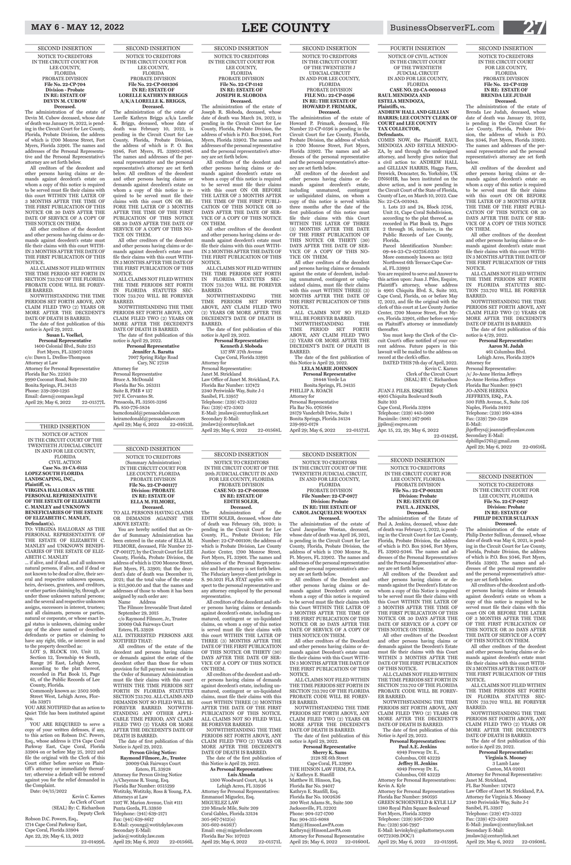SECOND INSERTION NOTICE TO CREDITORS (Summary Administration) IN THE CIRCUIT COURT FOR LEE COUNTY, FLORIDA PROBATE DIVISION **File No. 22-CP-001177 Division: PROBATE IN RE: ESTATE OF ELLA M. FILMORE, Deceased.** TO ALL PERSONS HAVING CLAIMS

OR DEMANDS AGAINST THE ABOVE ESTATE:

Address The Filmore Irrevocable Trust dated September 29, 2015 c/o Raymond Filmore, Jr., Trustee 20009 Oak Fairways Court

# MAY 6 - MAY 12, 2022 **LEE COUNTY** BusinessObserverFL.com **27**

You are hereby notified that an Order of Summary Administration has been entered in the estate of ELLA M. FILMORE, deceased, File Number 22- CP-001177, by the Circuit Court for LEE County, Florida, Probate Division, the address of which is 1700 Monroe Street, Fort Myers, FL 33901; that the decedent's date of death was December 11, 2021; that the total value of the estate is \$15,900.00 and that the names and addresses of those to whom it has been assigned by such order are:

/s/Cheyenne R. Young, Esq. Florida Bar Number: 0515299 Wotitzky, Wotitzky, Ross & Young, P.A. Attorneys at Law 1107 W. Marion Avenue, Unit #111 Punta Gorda, FL 33950 Telephone: (941) 639-2171 Fax: (941) 639-8617 E-Mail: cyoung@wotitzkylaw.com Secondary E-Mail: jackie@wotitzky.law.com April 29; May 6, 2022 22-01566L

Estero, FL 33928 ALL INTERESTED PERSONS ARE NOTIFIED THAT:

All creditors of the estate of the decedent and persons having claims or demands against the estate of the decedent other than those for whom provision for full payment was made in the Order of Summary Administration must file their claims with this court WITHIN THE TIME PERIODS SET FORTH IN FLORIDA STATUTES SECTION 733.702. ALL CLAIMS AND DEMANDS NOT SO FILED WILL BE FOREVER BARRED. NOTWITH-STANDING ANY OTHER APPLI-CABLE TIME PERIOD, ANY CLAIM FILED TWO (2) YEARS OR MORE AFTER THE DECEDENT'S DATE OF DEATH IS BARRED.

The date of first publication of this Notice is April 29, 2022.

## **Person Giving Notice: Raymond Filmore, Jr., Trustee** 20009 Oak Fairways Court Estero, FL 33928 Attorney for Person Giving Notice

# THIRD INSERTION

NOTICE OF ACTION IN THE CIRCUIT COURT OF THE TWENTIETH JUDICIAL CIRCUIT IN AND FOR LEE COUNTY, FLORIDA CIVIL ACTION **Case No. 21-CA-6155 LOPEZ SOUTH FLORIDA LANDSCAPING, INC., Plaintiff, vs. VIRGINA HALLORAN AS THE PERSONAL REPRESENTATIVE OF THE ESTATE OF ELIZABETH C. MANLEY and UNKNOWN BENEFICIARIES OF THE ESTATE OF ELIZABETH C. MANLEY, Defendant(s).**

TO: VIRGINA HALLORAN AS THE PERSONAL REPRESENTATIVE OF THE ESTATE OF ELIZABETH C. MANLEY and UNKNOWN BENEFI-CIARIES OF THE ESTATE OF ELIZ-ABETH C. MANLEY

... if alive, and if dead, and all unknown natural persons, if alive, and if dead or not known to be dead or alive, their several and respective unknown spouses, heirs, devisees, grantees, and creditors, or other parties claiming by, through, or under those unknown natural persons; and the several and respective unknown assigns, successors in interest, trustees; and all claimants, persons or parties, natural or corporate, or whose exact legal status is unknown, claiming under

> 1300 Woodward Court, Apt. 14 Lehigh Acres, FL 33936 Attorney for Personal Representatives: Emmanuel Miguelez, Esq. MIGUELEZ LAW 220 Miracle Mile, Suite 209 Coral Gables, Florida 33134 305-967-7412(o) 305-602-8456(f) Email: em@miguelezlaw.com Florida Bar No: 107023 April 29; May 6, 2022 22-01571L

any of the above named or described defendants or parties or claiming to have any right, title, or interest in and to the property described as:

LOT 9, BLOCK 110, Unit 12, Section 12, Township 44 South, Range 26 East, Lehigh Acres, according to the plat thereof, recorded in Plat Book 15, Page 61, of the Public Records of Lee County, Florida.

Commonly known as: 2502 50th Street West, Lehigh Acres, Flor-

ida 33971 YOU ARE NOTIFIED that an action to Quiet Title has been instituted against you.

NOTWITHSTANDING THE TIME PERIODS SET FORTH ABOVE, ANY CLAIM FILED TWO (2) YEARS OR MORE AFTER THE DECEDENT'S DATE OF DEATH IS BARRED.

YOU ARE REQUIRED to serve a copy of your written defenses, if any, to this action on Robson D.C. Powers, Esq., whose address is 1714 Cape Coral Parkway East, Cape Coral, Florida 33904 on or before May 25, 2022 and file the original with the Clerk of this Court either before service on Plaintiff's attorney or immediately thereafter; otherwise a default will be entered against you for the relief demanded in the Complaint.

Date: 04/15/2022

**Personal Representative** 1400 Colonial Blvd., Suite 253 Fort Myers, FL 33907-1028 c/o: Dawn L. Drellos-Thompson Attorney at Law Attorney for Personal Representative Florida Bar No. 22503 9990 Coconut Road, Suite 210 Bonita Springs, FL 34135 Phone: 239-390-1295 Email: dawn@compass.legal April 29; May 6, 2022 22-01577L

Kevin C. Karnes As Clerk of Court (SEAL) By: C. Richardson Deputy Clerk Robson D.C. Powers, Esq., 1714 Cape Coral Parkway East,

Cape Coral, Florida 33904 Apr. 22, 29; May 6, 13, 2022

22-01499L

SECOND INSERTION NOTICE TO CREDITORS IN THE CIRCUIT COURT OF THE 20th JUDICIAL CIRCUIT IN AND

FOR LEE COUNTY, FLORIDA PROBATE DIVISION **CASE NO: 22-CP-001108 IN RE: ESTATE OF EDITH SOLER, Deceased.**

The Administration of the EDITH SOLER, deceased, whose date of death was February 5th, 2020; is pending in the Circuit Court for Lee County, FL., Probate Division; File Number: 22-CP-001108; the address of which is Probate Division, Lee County Justice Center, 1700 Monroe Street, Fort Myers, FL 33901. The names and addresses of the Personal Representative and her attorney is set forth below. The Fiduciary lawyer-client privilege in S. 90.5021 FLA STAT applies with respect to the personal representative and any attorney employed by the personal representative.

> **Paul A.E. Jenkins** 4949 Freeway Dr. E., Columbus, OH 43229 **Jeffrey H. Jenkins** 4949 Freeway Dr. E., Columbus, OH 43229 Attorney for Personal Representatives: Kevin A. Kyle Attorney for Personal Representatives Florida Bar Number: 980595 GREEN SCHOENFELD & KYLE LLP 1380 Royal Palm Square Boulevard Fort Myers, Florida 33919 Telephone: (239) 936-7200 Fax: (239) 936-7997 E-Mail: kevinkyle@gskattorneys.com 00772309.DOC/1 April 29; May 6, 2022 22-01599L

All creditors of the decedent and other persons having claims or demands against decedent's estate, including unmatured, contingent or un-liquidated claims, on whom a copy of this notice

is served must file their claims with this court WITHIN THE LATER OF THREE (3) MONTHS AFTER THE DATE OF THE FIRST PUBLICATION OF THIS NOTICE OR THIRTY (30) DAVS AFTER THE DATE OF SER-VICE OF A COPY OF THIS NOTICE ON THEM.

DATE OF SERVICE OF A COPY OF THIS NOTICE ON THEM.

All other creditors of the Decedent and other persons having claims or demands against Decedent's estate must file their claims with this Court WITH-IN 3 MONTHS AFTER THE DATE OF THE FIRST PUBLICATION OF THIS **NOTICE** 

All creditors of the decedent and other persons having claims of demands against decedent's estate, including unmatured, contingent or un-liquidated claims, must file their claims with this court WITHIN THREE (3) MONTHS AFTER THE DATE OF THE FIRST PUBLICATION OF THIS NOTICE. ALL CLAIMS NOT SO FILED WILL BE FOREVER BARRED.

NOTWITHSTANDING THE TIME PERIODS SET FORTH ABOVE, ANY CLAIM FILED TWO (2) YEARS OR MORE AFTER THE DECEDENT'S DATE OF DEATH IS BARRED.

The date of the first publication of this Notice is April 29, 2022.

# Attorney for Personal Representative April 29; May 6, 2022 22-01600L

## **As Personal Representatives: Luis Almada**

**Deceased.**<br>The administration of the estate of Philip Dexter Sullivan, deceased, whose date of death was May 6, 2021, is pending in the Circuit Court for Lee County, Florida, Probate Division, the address of which is P.O. Box 9346, Fort Myers, Florida 33902. The names and addresses of the personal representative and the personal representative's attorney are set forth below.

SECOND INSERTION

# NOTICE TO CREDITORS IN THE CIRCUIT COURT FOR LEE COUNTY, FLORIDA PROBATE DIVISION **File No. 22-CP-704 Division - Probate IN RE: ESTATE OF DEVIN M. CUBOW Deceased.**

The administration of the estate of Devin M. Cubow deceased, whose date of death was January 18, 2022, is pending in the Circuit Court for Lee County, Florida, Probate Division, the address of which is 1700 Monroe Street, Fort Myers, Florida 33901. The names and addresses of the Personal Representative and the Personal Representative's attorney are set forth below.

> Canton, MA 02021 Attorney for Personal Representative: Janet M. Strickland, FL Bar Number: 137472 Law Office of Janet M. Strickland, P.A. Attorney for Virginia S. Mooney 2340 Periwinkle Way, Suite J-1 Sanibel, FL 33957 Telephone: (239) 472-3322 Fax: (239) 472-3302 E-Mail: jmslaw@centurylink.net Secondary E-Mail: jmslaw3@centurylink.net April 29; May 6, 2022 22-01608L

All creditors of the decedent and other persons having claims or demands against decedent's estate on whom a copy of this notice is required to be served must file their claims with this court WITHIN THE LATER OF 3 MONTHS AFTER THE TIME OF THE FIRST PUBLICATION OF THIS NOTICE OR 30 DAYS AFTER THE DATE OF SERVICE OF A COPY OF THIS NOTICE ON THEM.

All other creditors of the decedent and other persons having claims or demands against decedent's estate must file their claims with this court WITH-IN 3 MONTHS AFTER THE DATE OF THE FIRST PUBLICATION OF THIS NOTICE.

ALL CLAIMS NOT FILED WITHIN THE TIME PERIOD SET FORTH IN SECTION 733.702 OF THE FLORIDA PROBATE CODE WILL BE FOREV-ER BARRED.

ALL CLAIMS NOT FILED WITHIN THE TIME PERIODS SET FORTH IN FLORIDA STATUTES SEC-TION 733.702 WILL BE FOREVER BARRED.

**Jennifer A. Baratta** 7007 Spring Ridge Road Cary, NC 27518 Attorney for Personal Representative Bruce A. McDonald Florida Bar No. 263311 Suite B, PMB # 137 707 E. Cervantes St. Pensacola, FL 32501-3286 Ph. 850-776-5834 bamcdonald@pensacolalaw.com keiramcdonald@pensacolalaw.com<br>April 29; May 6, 2022 22-01613L April 29; May 6, 2022

The date of first publication of this notice is April 29, 2022.

**Susan L. Voelkel,** 

SECOND INSERTION NOTICE TO CREDITORS IN THE CIRCUIT COURT FOR LEE COUNTY, FLORIDA PROBATE DIVISION **File No.: 22-CP-001331 Division: Probate IN RE: ESTATE OF PAUL A. JENKINS, Deceased.**

The administration of the Estate of Paul A. Jenkins, deceased, whose date of death was February 5, 2022, is pending in the Circuit Court for Lee County, Florida, Probate Division, the address of which is P.O. Box 9346, Fort Myers, FL 33902-9346. The names and addresses of the Personal Representatives and the Personal Representatives' attorney are set forth below.

All creditors of the Decedent and other persons having claims or demands against the Decedent's Estate on whom a copy of this Notice is required to be served must file their claims with this Court WITHIN THE LATER OF 3 MONTHS AFTER THE TIME OF THE FIRST PUBLICATION OF THIS NOTICE OR 30 DAYS AFTER THE DATE OF SERVICE OF A COPY OF

# THIS NOTICE ON THEM.

All other creditors of the Decedent and other persons having claims or demands against the Decedent's Estate must file their claims with this Court WITHIN 3 MONTHS AFTER THE DATE OF THE FIRST PUBLICATION OF THIS NOTICE. ALL CLAIMS NOT FILED WITHIN

THE TIME PERIODS SET FORTH IN SECTION 733.702 OF THE FLORIDA PROBATE CODE WILL BE FOREV-ER BARRED.

NOTWITHSTANDING THE TIME PERIODS SET FORTH ABOVE, ANY CLAIM FILED TWO (2) YEARS OR MORE AFTER THE DECEDENT'S DATE OF DEATH IS BARRED.

The date of first publication of this Notice is April 29, 2022.

# **Personal Representatives:**

Cape Coral, Florida 33991 Attorney for Personal Representative: Janet M. Strickland Law Office of Janet M. Strickland, P.A. Florida Bar Number: 137472 2340 Periwinkle Way, Suite J-1 Sanibel, FL 33957 Telephone: (239) 472-3322 Fax: (239) 472-3302 E-Mail: jmslaw@centurylink.net Secondary E-Mail: jmslaw2@centurylink.net April 29; May 6, 2022 22-01568L

SECOND INSERTION NOTICE TO CREDITORS IN THE CIRCUIT COURT OF THE TWENTIETH J UDICIAL CIRCUIT IN AND FOR LEE COUNTY, FLORIDA PROBATE DIVISION **FILE NO.: 22-CP-0596 IN RE: THE ESTATE OF HOWARD P. FRIMARK, Deceased.**<br>The administration of the estate of

SECOND INSERTION NOTICE TO CREDITORS IN THE CIRCUIT COURT OF THE TWENTIETH JUDICIAL CIRCUIT, IN AND FOR LEE COUNTY, FLORIDA PROBATE DIVISION **File Number: 22-CP-0877 Division: Probate IN RE: THE ESTATE OF CAROL JACQUELINE WOOTAN**

**Deceased.** The administration of the estate of Carol Jacqueline Wootan, deceased, whose date of death was April 26, 2021, is pending in the Circuit Court for Lee County, Florida, Probate Division, the address of which is 1700 Monroe St., Ft. Meyers, FL 33902. The names and addresses of the personal representative and the personal representative's attorney are set forth below.

this Notice is April 29, 2022. **LELA MARIE JOHNSON Personal Representative** 28448 Verde Ln Bonita Springs, FL 34135 PHILLIP A. ROACH Attorney for Personal Representative Fla Bar No. 0765864 28179 Vanderbilt Drive, Suite 1 Bonita Springs, Florida 34134 239-992-0178 April 29; May 6, 2022 22-01572L

All creditors of the Decedent and other persons having claims or demands against Decedent's estate on whom a copy of this notice is required to be served must file their claims with this Court WITHIN THE LATER OF 3 MONTHS AFTER THE TIME OF THE FIRST PUBLICATION OF THIS NOTICE OR 30 DAYS AFTER THE

ALL CLAIMS NOT FILED WITHIN THE TIME PERIODS SET FORTH IN SECTION 733.702 OF THE FLORIDA PROBATE CODE WILL BE FOREV-ER BARRED.

NOTWITHSTANDING THE TIME PERIODS SET FORTH ABOVE, ANY CLAIM FILED TWO (2) YEARS OR MORE AFTER THE DECEDENT'S DATE OF DEATH IS BARRED. The date of first publication of this

Lehigh Acres, Florida 33974 Attorney for Personal Representative: /s/ Jo-Anne Herina Jeffreys Jo-Anne Herina Jeffreys Florida Bar Number: 99471 JO-ANNE HERINA JEFFREYS, ESQ., P.A. 500 Fifth Avenue, S., Suite 526 Naples, Florida 34102 Telephone: (239) 260-4384 Fax: (239) 790-5298 E-Mail: jhjeffreys@joannejeffreyslaw.com Secondary E-Mail: dphillips5761@gmail.com April 29; May 6, 2022 22-01616L

notice is April 29, 2022.

# **Personal Representative Sherry K. Sams**

2128 SE 6th Street

Cape Coral, FL 33990 THE HINSON LAW FIRM, P.A. /s/ Kathryn E. Stanfill Matthew H. Hinson, Esq. Florida Bar No. 94017 Kathryn E. Stanfill, Esq. Florida Bar No. 1002636 300 West Adams St., Suite 500 Jacksonville, FL 32202 Phone: 904-527-1700 Fax: 904-355-8088 Matt@HinsonLawPA.com Kathryn@HinsonLawPA.com

SECOND INSERTION

NOTICE TO CREDITORS IN THE CIRCUIT COURT FOR LEE COUNTY, FLORIDA **File No. 22-CP-0827 Division: Probate IN RE: ESTATE OF PHILIP DEXTER SULLIVAN** 

All creditors of the decedent and other persons having claims or demands against decedent's estate on whom a copy of this notice is required to be served must file their claims with this court ON OR BEFORE THE LATER OF 3 MONTHS AFTER THE TIME OF THE FIRST PUBLICATION OF

THIS NOTICE OR 30 DAYS AFTER THE DATE OF SERVICE OF A COPY OF THIS NOTICE ON THEM.

All other creditors of the decedent and other persons having claims or demands against decedent's estate must file their claims with this court WITH-IN 3 MONTHS AFTER THE DATE OF THE FIRST PUBLICATION OF THIS NOTICE.

ALL CLAIMS NOT FILED WITHIN THE TIME PERIODS SET FORTH IN FLORIDA STATUTES SEC-TION 733.702 WILL BE FOREVER BARRED.

NOTWITHSTANDING THE TIME PERIODS SET FORTH ABOVE, ANY CLAIM FILED TWO (2) YEARS OR MORE AFTER THE DECEDENT'S DATE OF DEATH IS BARRED.

The date of first publication of this notice is April 29, 2022.

# **Personal Representative: Virginia S. Mooney** 3 Lamb Lane

SECOND INSERTION NOTICE TO CREDITORS IN THE CIRCUIT COURT FOR LEE COUNTY, FLORIDA PROBATE DIVISION **File No. 22-CP-001306 IN RE: ESTATE OF LORELLE KATHRYN BRIGGS A/K/A LORELLE K. BRIGGS, Deceased.** 

The administration of the estate of Lorelle Kathryn Briggs a/k/a Lorelle K. Briggs, deceased, whose date of death was February 10, 2022, is pending in the Circuit Court for Lee County, Florida, Probate Division, the address of which is P. O. Box 9346, Fort Myers, FL 33902-9346. The names and addresses of the personal representative and the personal representative's attorney are set forth below. All creditors of the decedent and other persons having claims or demands against decedent's estate on whom a copy of this notice is required to be served must file their claims with this court ON OR BE-FORE THE LATER OF 3 MONTHS AFTER THE TIME OF THE FIRST PUBLICATION OF THIS NOTICE OR 30 DAYS AFTER THE DATE OF SERVICE OF A COPY OF THIS NO-

TICE ON THEM. All other creditors of the decedent and other persons having claims or demands against decedent's estate must file their claims with this court WITH-IN 3 MONTHS AFTER THE DATE OF THE FIRST PUBLICATION OF THIS NOTICE.

NOTWITHSTANDING THE TIME PERIODS SET FORTH ABOVE, ANY CLAIM FILED TWO (2) YEARS OR MORE AFTER THE DECEDENT'S DATE OF DEATH IS BARRED.

The date of first publication of this notice is April 29, 2022.

**Personal Representative**

FOURTH INSERTION NOTICE OF CIVIL ACTION IN THE CIRCUIT COURT OF THE TWENTIETH JUDCIAL CIRCUIT IN AND FOR LEE COUNTY, FLORIDA

**CASE NO. 22-CA-001043 RAUL MENDOZA AND ESTELA MENDOZA, Plaintiffs, vs. ANDREW HALL AND GILLIAN** 

**HARRIS; LEE COUNTY CLERK OF COURT and LEE COUNTY TAX COLLECTOR, Defendants.**

COMES NOW, the Plaintiff, RAUL MENDOZA AND ESTELA MENDO-ZA, by and through the undersigned attorney, and hereby gives notice that a civil action to: ANDREW HALL and GILLIAN HARRIS, Haggs Farm, Fenwick, Doncaster, So. Yorkshire, UK DN60HB, has been instituted on the above action, and is now pending in the Circuit Court of the State of Florida, County of Lee, on March 10, 2022. Case No: 22-CA-001043.

1. Lots 23 and 24, Block 3756, Unit 51, Cape Coral Subdivision, according to the plat thereof, as recorded in Plat Book 19, Pages 2 through 16, inclusive, in the Public Records of Lee County, Florida.

Parcel Identification Number: 09-44-23-C2-03756.0230 More commonly known as: 1912 Northwest 6th Terrace Cape Cor-

al, FL 33993 You are required to serve and Answer to this action upon: Juan J. Piles, Esquire, Plaintiff's attorney, whose address is 4905 Chiquita Blvd. S., Suite 103, Cape Coral, Florida, on or before May 17, 2022, and file the original with the clerk of this court at Lee County Justice Center, 1700 Monroe Street, Fort Myers, Florida 33901, either before service on Plaitniff 's attorney or immediately thereafter.

You must keep the Clerk of the Circuit Court's office notified of your current address. Future papers in this lawsuit will be mailed to the address on record at the clerk's office.

DATED THIS 7th day of April, 2022. Kevin C. Karnes Clerk of the Circuit Court (SEAL) BY: C. Richardson Deputy Clerk JUAN J. PILES, ESQUIRE 4905 Chiquita Boulevard South Suite 103 Cape Coral, Florida 33914 Telephone: (239) 443-5900 Facsimile: (888) 267-9061

jjpiles@esqres.com Apr. 15, 22, 29; May 6, 2022 22-01429L

SECOND INSERTION NOTICE TO CREDITORS IN THE CIRCUIT COURT FOR LEE COUNTY, FLORIDA PROBATE DIVISION **File No. 22-CP-1142 IN RE: ESTATE OF JOSEPH R. SLOBODA Deceased.** The administration of the estate of

Joseph R. Sloboda, deceased, whose date of death was March 24, 2022, is pending in the Circuit Court for Lee County, Florida, Probate Division, the address of which is P.O. Box 9346, Fort Myers, Florida 33902. The names and addresses of the personal representative and the personal representative's attorney are set forth below.

All creditors of the decedent and other persons having claims or demands against decedent's estate on whom a copy of this notice is required to be served must file their claims with this court ON OR BEFORE THE LATER OF 3 MONTHS AFTER THE TIME OF THE FIRST PUBLI-CATION OF THIS NOTICE OR 30 DAYS AFTER THE DATE OF SER-VICE OF A COPY OF THIS NOTICE ON THEM.

All other creditors of the decedent and other persons having claims or demands against decedent's estate must file their claims with this court WITH-IN 3 MONTHS AFTER THE DATE OF THE FIRST PUBLICATION OF THIS NOTICE.

ALL CLAIMS NOT FILED WITHIN THE TIME PERIODS SET FORTH IN FLORIDA STATUTES SEC-TION 733.702 WILL BE FOREVER BARRED.

NOTWITHSTANDING THE TIME PERIODS SET FORTH ABOVE, ANY CLAIM FILED TWO (2) YEARS OR MORE AFTER THE DECEDENT'S DATE OF DEATH IS BARRED.

The date of first publication of this notice is April 29, 2022.

**Personal Representative: Kenneth J. Sloboda** 137 SW 37th Avenue

Howard P. Frimark, deceased, File Number 22-CP-0596 is pending in the Circuit Court for Lee County, Florida, Probate Division, the address of which is 1700 Monroe Street, Fort Myers, Florida 33902. The names and addresses of the personal representative and the personal representative's attorney are set forth below.

All creditors of the decedent and other persons having claims or demands against decedent's estate, including unmatured, contingent or unliquidated claims, on whom a copy of this notice is served within three months after the date of the first publication of this notice must file their claims with this Court WITHIN THE LATER OF THREE (3) MONTHS AFTER THE DATE OF THE FIRST PUBLICATION OF THIS NOTICE OR THIRTY (30) DAYS AFTER THE DATE OF SER-VICE OF A COPY OF THIS NO-TICE ON THEM.

All other creditors of the decedent and persons having claims or demands against the estate of decedent, including unmatured, contingent or unliquidated claims, must file their claims with this court WITHIN THREE (3) MONTHS AFTER THE DATE OF THE FIRST PUBLICATION OF THIS NOTICE.

ALL CLAIMS NOT SO FILED WILL BE FOREVER BARRED.

NOTWITHSTANDING THE TIME PERIOD SET FORTH ABOVE, ANY CLAIM FILED TWO (2) YEARS OR MORE AFTER THE DECEDENT'S DATE OF DEATH IS BARRED. The date of the first publication of

# SECOND INSERTION NOTICE TO CREDITORS IN THE CIRCUIT COURT FOR LEE COUNTY, FLORIDA PROBATE DIVISION **File No. 22-CP-1129 IN RE: ESTATE OF BRENDA LEE JUDAH Deceased.**

The administration of the estate of Brenda Lee Judah, deceased, whose date of death was January 19, 2022, is pending in the Circuit Court for Lee County, Florida, Probate Division, the address of which is P.O. Box 9346, Fort Myers, Florida 33902. The names and addresses of the personal representative and the personal representative's attorney are set forth below.

All creditors of the decedent and other persons having claims or demands against decedent's estate on whom a copy of this notice is required to be served must file their claims with this court ON OR BEFORE THE LATER OF 3 MONTHS AFTER THE TIME OF THE FIRST PUBLI-CATION OF THIS NOTICE OR 30 DAYS AFTER THE DATE OF SER-VICE OF A COPY OF THIS NOTICE ON THEM.

All other creditors of the decedent and other persons having claims or demands against decedent's estate must file their claims with this court WITH-IN 3 MONTHS AFTER THE DATE OF THE FIRST PUBLICATION OF THIS NOTICE.

ALL CLAIMS NOT FILED WITHIN THE TIME PERIODS SET FORTH IN FLORIDA STATUTES SEC-TION 733.702 WILL BE FOREVER BARRED.

NOTWITHSTANDING THE TIME PERIODS SET FORTH ABOVE, ANY CLAIM FILED TWO (2) YEARS OR MORE AFTER THE DECEDENT'S DATE OF DEATH IS BARRED.

The date of first publication of this notice is 4/29, 2022.

**Personal Representative: Aaron M. Judah** 461 Columbus Blvd.